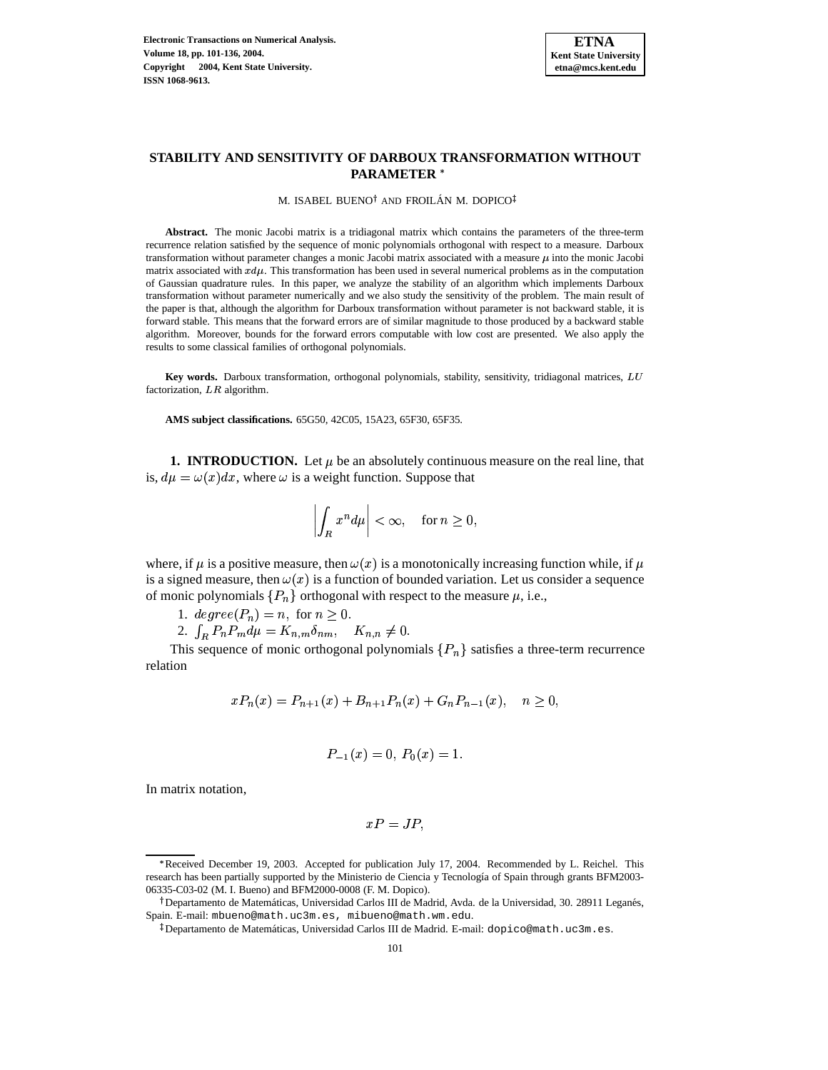

# **STABILITY AND SENSITIVITY OF DARBOUX TRANSFORMATION WITHOUT PARAMETER**

M. ISABEL BUENO<sup>†</sup> AND FROILÁN M. DOPICO

**Abstract.** The monic Jacobi matrix is a tridiagonal matrix which contains the parameters of the three-term recurrence relation satisfied by the sequence of monic polynomials orthogonal with respect to a measure. Darboux transformation without parameter changes a monic Jacobi matrix associated with a measure  $\mu$  into the monic Jacobi matrix associated with  $x d\mu$ . This transformation has been used in several numerical problems as in the computation of Gaussian quadrature rules. In this paper, we analyze the stability of an algorithm which implements Darboux transformation without parameter numerically and we also study the sensitivity of the problem. The main result of the paper is that, although the algorithm for Darboux transformation without parameter is not backward stable, it is forward stable. This means that the forward errors are of similar magnitude to those produced by a backward stable algorithm. Moreover, bounds for the forward errors computable with low cost are presented. We also apply the results to some classical families of orthogonal polynomials.

**Key words.** Darboux transformation, orthogonal polynomials, stability, sensitivity, tridiagonal matrices, factorization.  $LR$  algorithm.

**AMS subject classifications.** 65G50, 42C05, 15A23, 65F30, 65F35.

**1. INTRODUCTION.** Let  $\mu$  be an absolutely continuous measure on the real line, that is,  $d\mu = \omega(x)dx$ , where  $\omega$  is a weight function. Suppose that

$$
\left| \int_R x^n d\mu \right| < \infty, \quad \text{for } n \ge 0,
$$

where, if  $\mu$  is a positive measure, then  $\omega(x)$  is a monotonically increasing function while, if  $\mu$ is a signed measure, then  $\omega(x)$  is a function of bounded variation. Let us consider a sequence of monic polynomials  $\{P_n\}$  orthogonal with respect to the measure  $\mu$ , i.e.,

1.  $degree(P_n) = n$ , for  $n \ge 0$ .

2.  $\int_R P_n P_m d\mu = K_{n,m} \delta_{nm}, \quad K_{n,n} \neq 0.$ 

This sequence of monic orthogonal polynomials  $\{P_n\}$  satisfies a three-term recurrence relation

$$
xP_n(x) = P_{n+1}(x) + B_{n+1}P_n(x) + G_nP_{n-1}(x), \quad n \ge 0,
$$

$$
P_{-1}(x) = 0, P_0(x) = 1.
$$

In matrix notation,

$$
xP=JP,
$$

<sup>\*</sup> Received December 19, 2003. Accepted for publication July 17, 2004. Recommended by L. Reichel. This research has been partially supported by the Ministerio de Ciencia y Tecnología of Spain through grants BFM2003-06335-C03-02 (M. I. Bueno) and BFM2000-0008 (F. M. Dopico).

<sup>&</sup>lt;sup>†</sup> Departamento de Matemáticas, Universidad Carlos III de Madrid, Avda. de la Universidad, 30. 28911 Leganés, Spain. E-mail: mbueno@math.uc3m.es, mibueno@math.wm.edu.

 $^{\ddagger}$ Departamento de Matemáticas, Universidad Carlos III de Madrid. E-mail: dopico@math.uc3m.es.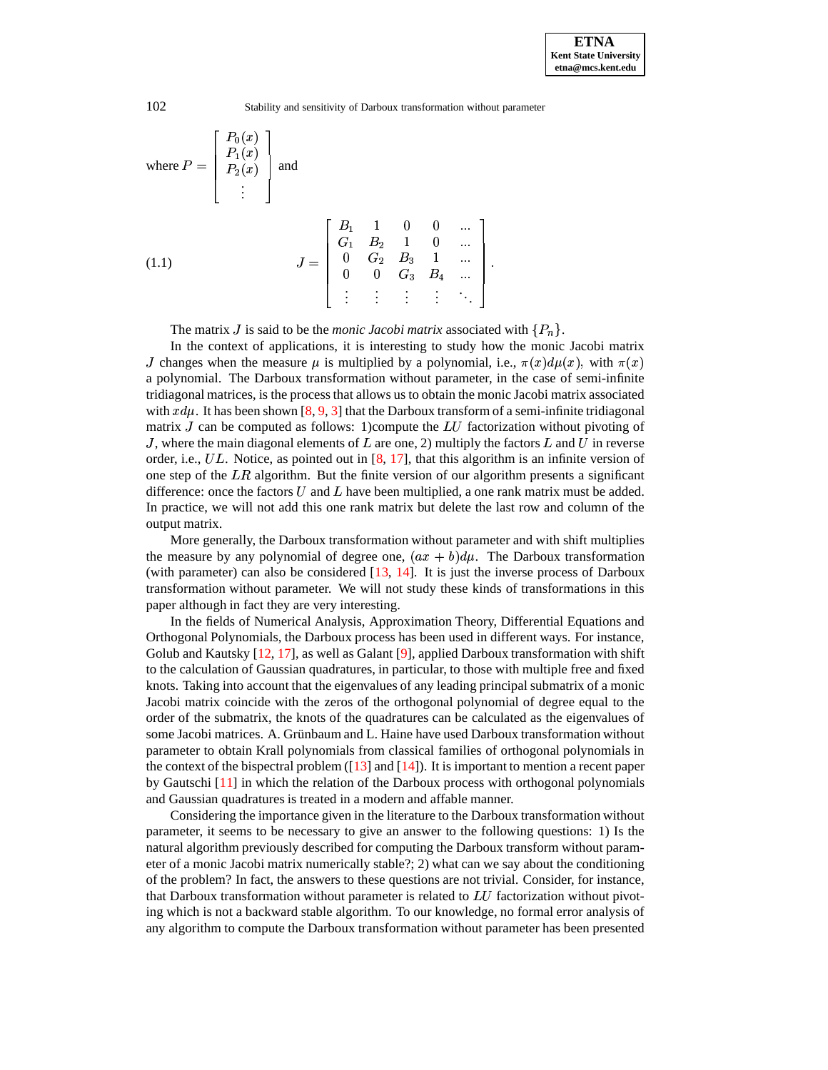where 
$$
P = \begin{bmatrix} P_0(x) \\ P_1(x) \\ P_2(x) \\ \vdots \end{bmatrix}
$$
 and

\n
$$
J = \begin{bmatrix} B_1 & 1 & 0 & 0 & \dots \\ G_1 & B_2 & 1 & 0 & \dots \\ 0 & G_2 & B_3 & 1 & \dots \\ 0 & 0 & G_3 & B_4 & \dots \\ \vdots & \vdots & \vdots & \vdots & \ddots \end{bmatrix}.
$$

<span id="page-1-0"></span>The matrix J is said to be the *monic Jacobi matrix* associated with  $\{P_n\}$ .

In the context of applications, it is interesting to study how the monic Jacobi matrix *J* changes when the measure  $\mu$  is multiplied by a polynomial, i.e.,  $\pi(x)d\mu(x)$ , with  $\pi(x)$ a polynomial. The Darboux transformation without parameter, in the case of semi-infinite tridiagonal matrices, is the process that allows us to obtain the monic Jacobi matrix associated with  $xd\mu$ . It has been shown [\[8,](#page-35-0) [9,](#page-35-1) [3\]](#page-35-2) that the Darboux transform of a semi-infinite tridiagonal matrix J can be computed as follows: 1)compute the  $LU$  factorization without pivoting of J, where the main diagonal elements of  $L$  are one, 2) multiply the factors  $L$  and  $U$  in reverse order, i.e.,  $UL$ . Notice, as pointed out in [\[8,](#page-35-0) [17\]](#page-35-3), that this algorithm is an infinite version of one step of the  $LR$  algorithm. But the finite version of our algorithm presents a significant difference: once the factors  $U$  and  $L$  have been multiplied, a one rank matrix must be added. In practice, we will not add this one rank matrix but delete the last row and column of the output matrix.

More generally, the Darboux transformation without parameter and with shift multiplies the measure by any polynomial of degree one,  $(ax + b)du$ . The Darboux transformation (with parameter) can also be considered [\[13,](#page-35-4) [14\]](#page-35-5). It is just the inverse process of Darboux transformation without parameter. We will not study these kinds of transformations in this paper although in fact they are very interesting.

In the fields of Numerical Analysis, Approximation Theory, Differential Equations and Orthogonal Polynomials, the Darboux process has been used in different ways. For instance, Golub and Kautsky [\[12,](#page-35-6) [17\]](#page-35-3), as well as Galant [\[9\]](#page-35-1), applied Darboux transformation with shift to the calculation of Gaussian quadratures, in particular, to those with multiple free and fixed knots. Taking into account that the eigenvalues of any leading principal submatrix of a monic Jacobi matrix coincide with the zeros of the orthogonal polynomial of degree equal to the order of the submatrix, the knots of the quadratures can be calculated as the eigenvalues of some Jacobi matrices. A. Grünbaum and L. Haine have used Darboux transformation without parameter to obtain Krall polynomials from classical families of orthogonal polynomials in the context of the bispectral problem ( $\lceil 13 \rceil$  and  $\lceil 14 \rceil$ ). It is important to mention a recent paper by Gautschi [\[11\]](#page-35-7) in which the relation of the Darboux process with orthogonal polynomials and Gaussian quadratures is treated in a modern and affable manner.

Considering the importance given in the literature to the Darboux transformation without parameter, it seems to be necessary to give an answer to the following questions: 1) Is the natural algorithm previously described for computing the Darboux transform without parameter of a monic Jacobi matrix numerically stable?; 2) what can we say about the conditioning of the problem? In fact, the answers to these questions are not trivial. Consider, for instance, that Darboux transformation without parameter is related to  $LU$  factorization without pivoting which is not a backward stable algorithm. To our knowledge, no formal error analysis of any algorithm to compute the Darboux transformation without parameter has been presented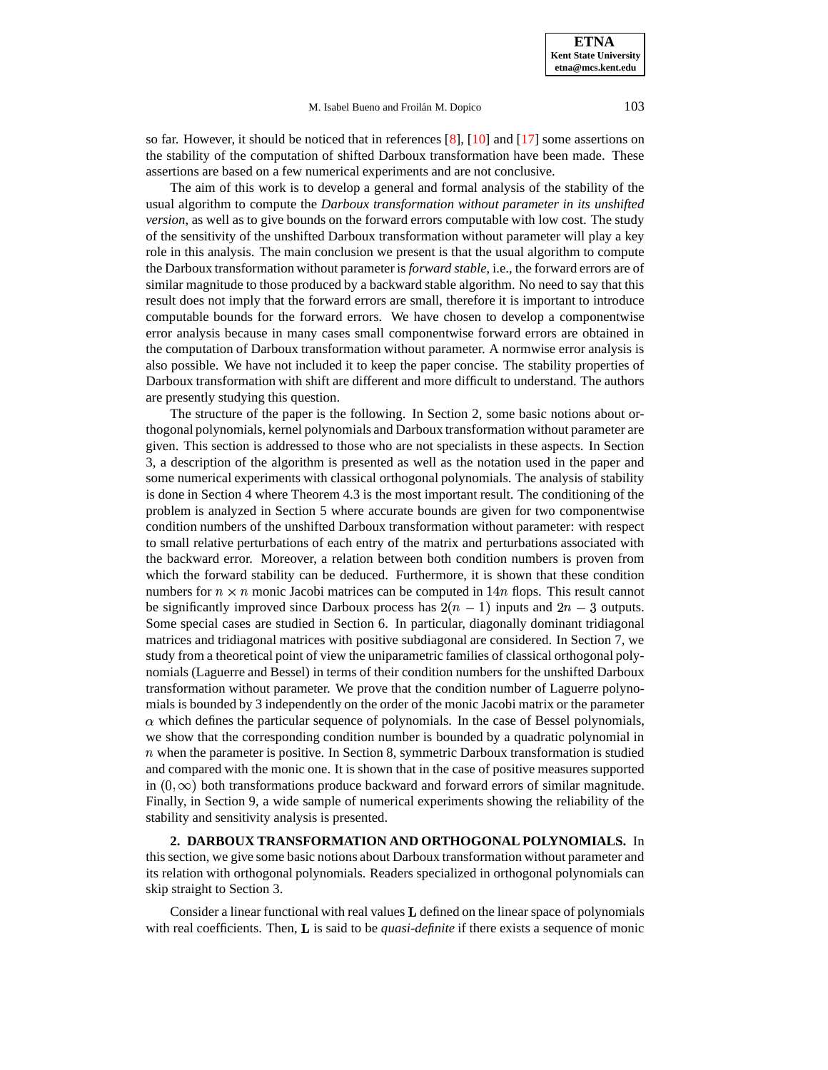so far. However, it should be noticed that in references  $[8]$ ,  $[10]$  and  $[17]$  some assertions on the stability of the computation of shifted Darboux transformation have been made. These assertions are based on a few numerical experiments and are not conclusive.

The aim of this work is to develop a general and formal analysis of the stability of the usual algorithm to compute the *Darboux transformation without parameter in its unshifted version*, as well as to give bounds on the forward errors computable with low cost. The study of the sensitivity of the unshifted Darboux transformation without parameter will play a key role in this analysis. The main conclusion we present is that the usual algorithm to compute the Darboux transformation without parameter is *forward stable*, i.e., the forward errors are of similar magnitude to those produced by a backward stable algorithm. No need to say that this result does not imply that the forward errors are small, therefore it is important to introduce computable bounds for the forward errors. We have chosen to develop a componentwise error analysis because in many cases small componentwise forward errors are obtained in the computation of Darboux transformation without parameter. A normwise error analysis is also possible. We have not included it to keep the paper concise. The stability properties of Darboux transformation with shift are different and more difficult to understand. The authors are presently studying this question.

The structure of the paper is the following. In Section 2, some basic notions about orthogonal polynomials, kernel polynomials and Darboux transformation without parameter are given. This section is addressed to those who are not specialists in these aspects. In Section 3, a description of the algorithm is presented as well as the notation used in the paper and some numerical experiments with classical orthogonal polynomials. The analysis of stability is done in Section 4 where Theorem 4.3 is the most important result. The conditioning of the problem is analyzed in Section 5 where accurate bounds are given for two componentwise condition numbers of the unshifted Darboux transformation without parameter: with respect to small relative perturbations of each entry of the matrix and perturbations associated with the backward error. Moreover, a relation between both condition numbers is proven from which the forward stability can be deduced. Furthermore, it is shown that these condition numbers for  $n \times n$  monic Jacobi matrices can be computed in  $14n$  flops. This result cannot be significantly improved since Darboux process has  $2(n - 1)$  inputs and  $2n - 3$  outputs. Some special cases are studied in Section 6. In particular, diagonally dominant tridiagonal matrices and tridiagonal matrices with positive subdiagonal are considered. In Section 7, we study from a theoretical point of view the uniparametric families of classical orthogonal polynomials (Laguerre and Bessel) in terms of their condition numbers for the unshifted Darboux transformation without parameter. We prove that the condition number of Laguerre polynomials is bounded by 3 independently on the order of the monic Jacobi matrix or the parameter  $\alpha$  which defines the particular sequence of polynomials. In the case of Bessel polynomials, we show that the corresponding condition number is bounded by a quadratic polynomial in  $n$  when the parameter is positive. In Section 8, symmetric Darboux transformation is studied and compared with the monic one. It is shown that in the case of positive measures supported in  $(0, \infty)$  both transformations produce backward and forward errors of similar magnitude. Finally, in Section 9, a wide sample of numerical experiments showing the reliability of the stability and sensitivity analysis is presented.

**2. DARBOUX TRANSFORMATION AND ORTHOGONAL POLYNOMIALS.** In this section, we give some basic notions about Darboux transformation without parameter and its relation with orthogonal polynomials. Readers specialized in orthogonal polynomials can skip straight to Section 3.

Consider a linear functional with real values  **defined on the linear space of polynomials** with real coefficients. Then, **L** is said to be *quasi-definite* if there exists a sequence of monic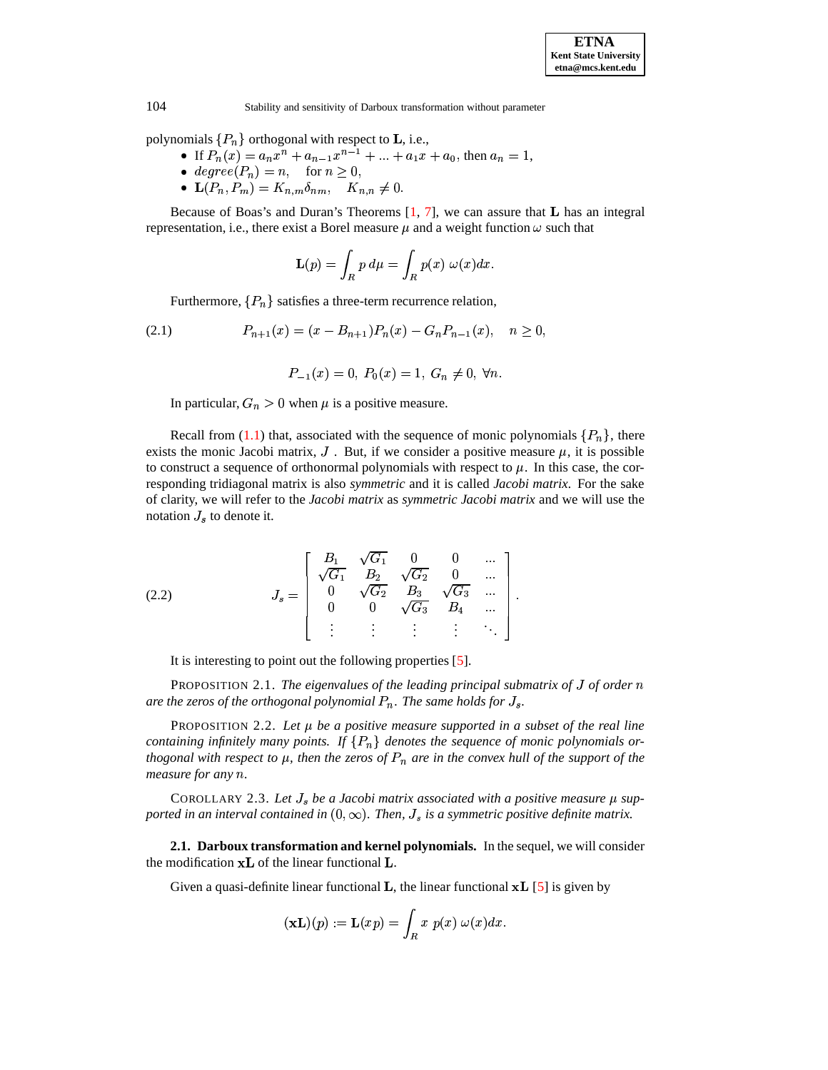polynomials  $\{P_n\}$  orthogonal with respect to **L**, i.e.,

- If  $P_n(x) = a_n x^n + a_{n-1} x^{n-1} + \dots + a_1 x + a_0$ , then  $a_n = 1$ ,<br>•  $degree(P_n) = n$ , for  $n \ge 0$ ,
- 
- ${\bf L}(P_n, P_m) = K_{n,m} \delta_{nm}, \quad K_{n,n} \neq 0.$

Because of Boas's and Duran's Theorems  $[1, 7]$  $[1, 7]$  $[1, 7]$ , we can assure that **L** has an integral representation, i.e., there exist a Borel measure  $\mu$  and a weight function  $\omega$  such that

$$
\mathbf{L}(p) = \int_R p \, d\mu = \int_R p(x) \, \omega(x) dx.
$$

Furthermore,  $\{P_n\}$  satisfies a three-term recurrence relation,

<span id="page-3-0"></span>
$$
(2.1) \t\t P_{n+1}(x) = (x - B_{n+1})P_n(x) - G_n P_{n-1}(x), \quad n \ge 0,
$$

$$
P_{-1}(x) = 0, P_0(x) = 1, G_n \neq 0, \forall n.
$$

In particular,  $G_n > 0$  when  $\mu$  is a positive measure.

Recall from [\(1.1\)](#page-1-0) that, associated with the sequence of monic polynomials  $\{P_n\}$ , there exists the monic Jacobi matrix,  $J$ . But, if we consider a positive measure  $\mu$ , it is possible to construct a sequence of orthonormal polynomials with respect to  $\mu$ . In this case, the corresponding tridiagonal matrix is also *symmetric* and it is called *Jacobi matrix*. For the sake of clarity, we will refer to the *Jacobi matrix* as *symmetric Jacobi matrix* and we will use the notation  $J_s$  to denote it.

<span id="page-3-1"></span>(2.2) 
$$
J_s = \begin{bmatrix} B_1 & \sqrt{G_1} & 0 & 0 & \dots \\ \sqrt{G_1} & B_2 & \sqrt{G_2} & 0 & \dots \\ 0 & \sqrt{G_2} & B_3 & \sqrt{G_3} & \dots \\ 0 & 0 & \sqrt{G_3} & B_4 & \dots \\ \vdots & \vdots & \vdots & \vdots & \ddots \end{bmatrix}.
$$

It is interesting to point out the following properties [\[5\]](#page-35-11).

PROPOSITION 2.1. *The eigenvalues of the leading principal submatrix of* <sup>T</sup> *of order* '  $a$ re the zeros of the orthogonal polynomial  $P_n$ . The same holds for  $J_s$ .

PROPOSITION 2.2. *Let be a positive measure supported in a subset of the real line containing infinitely many points.* If  $\{P_n\}$  *denotes the sequence of monic polynomials or*thogonal with respect to  $\mu$ , then the zeros of  $P_n$  are in the convex hull of the support of the *measure* for any  $n$ .

COROLLARY 2.3. Let  $J_s$  be a Jacobi matrix associated with a positive measure  $\mu$  supported in an interval contained in  $(0,\infty).$  Then,  $J_s$  is a symmetric positive definite matrix.

**2.1. Darboux transformation and kernel polynomials.** In the sequel, we will consider the modification  $xL$  of the linear functional  $L$ .

Given a quasi-definite linear functional **L**, the linear functional  $xL$  [\[5\]](#page-35-11) is given by

$$
(\mathbf{xL})(p) := \mathbf{L}(xp) = \int_R x \ p(x) \ \omega(x) dx.
$$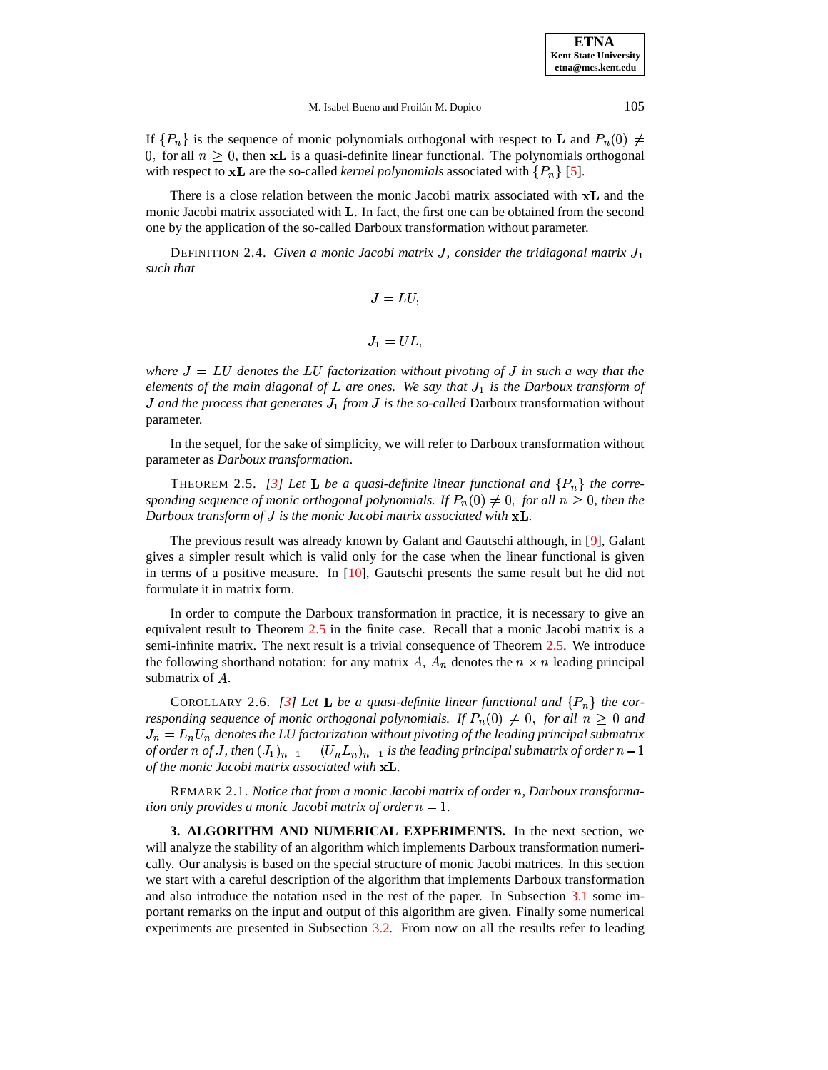**ETNA Kent State University etna@mcs.kent.edu**

#### M. Isabel Bueno and Froilán M. Dopico 105

If  $\{P_n\}$  is the sequence of monic polynomials orthogonal with respect to **L** and  $P_n(0) \neq$ 0, for all  $n \geq 0$ , then **xL** is a quasi-definite linear functional. The polynomials orthogonal with respect to  $xL$  are the so-called *kernel polynomials* associated with  $\{P_n\}$  [\[5\]](#page-35-11).

There is a close relation between the monic Jacobi matrix associated with  $xL$  and the monic Jacobi matrix associated with  $\bf{L}$ . In fact, the first one can be obtained from the second one by the application of the so-called Darboux transformation without parameter.

DEFINITION 2.4. Given a monic Jacobi matrix J, consider the tridiagonal matrix  $J_1$ *such that*

$$
J = LU,
$$

<sup>T</sup> <sup>G</sup> %

*where*  $J = LU$  *denotes the*  $LU$  *factorization without pivoting of*  $J$  *in such*  $a$  *way that the elements of the main diagonal of are ones. We say that* <sup>T</sup> *is the Darboux transform of* <sup>G</sup> <sup>T</sup> *and the process that generates* <sup>T</sup> *from* <sup>T</sup> *is the so-called* Darboux transformation without parameter.

In the sequel, for the sake of simplicity, we will refer to Darboux transformation without parameter as *Darboux transformation*.

<span id="page-4-0"></span>THEOREM 2.5. *[\[3\]](#page-35-2) Let* **L** be a quasi-definite linear functional and  $\{P_n\}$  the corresponding sequence of monic orthogonal polynomials. If  $P_n(0) \neq 0$ , for all  $n \geq 0$ , then the *Darboux transform of J is the monic Jacobi matrix associated with* **xL**.

The previous result was already known by Galant and Gautschi although, in [\[9\]](#page-35-1), Galant gives a simpler result which is valid only for the case when the linear functional is given in terms of a positive measure. In [\[10\]](#page-35-8), Gautschi presents the same result but he did not formulate it in matrix form.

In order to compute the Darboux transformation in practice, it is necessary to give an equivalent result to Theorem [2.5](#page-4-0) in the finite case. Recall that a monic Jacobi matrix is a semi-infinite matrix. The next result is a trivial consequence of Theorem [2.5.](#page-4-0) We introduce the following shorthand notation: for any matrix A,  $A_n$  denotes the  $n \times n$  leading principal submatrix of  $A$ .

<span id="page-4-1"></span>COROLLARY 2.6. *[\[3\]](#page-35-2) Let* **L** be a quasi-definite linear functional and  $\{P_n\}$  the cor*responding sequence of monic orthogonal polynomials.* If  $P_n(0) \neq 0$ , for all  $n \geq 0$  and \* C \* %  $J_n = L_n U_n$  denotes the LU factorization without pivoting of the leading principal submatrix *of* order  $n$  of  $J$ , then  $(J_1)_{n-1} = (U_n L_n)_{n-1}$  is the leading principal submatrix of order  $n-1$ O *of the monic Jacobi matrix associated with .*

REMARK 2.1. *Notice that from a monic Jacobi matrix of order* '*, Darboux transformation only provides a monic Jacobi matrix of order*  $n - 1$ *.* 

<span id="page-4-2"></span>**3. ALGORITHM AND NUMERICAL EXPERIMENTS.** In the next section, we will analyze the stability of an algorithm which implements Darboux transformation numerically. Our analysis is based on the special structure of monic Jacobi matrices. In this section we start with a careful description of the algorithm that implements Darboux transformation and also introduce the notation used in the rest of the paper. In Subsection [3.1](#page-6-0) some important remarks on the input and output of this algorithm are given. Finally some numerical experiments are presented in Subsection [3.2.](#page-7-0) From now on all the results refer to leading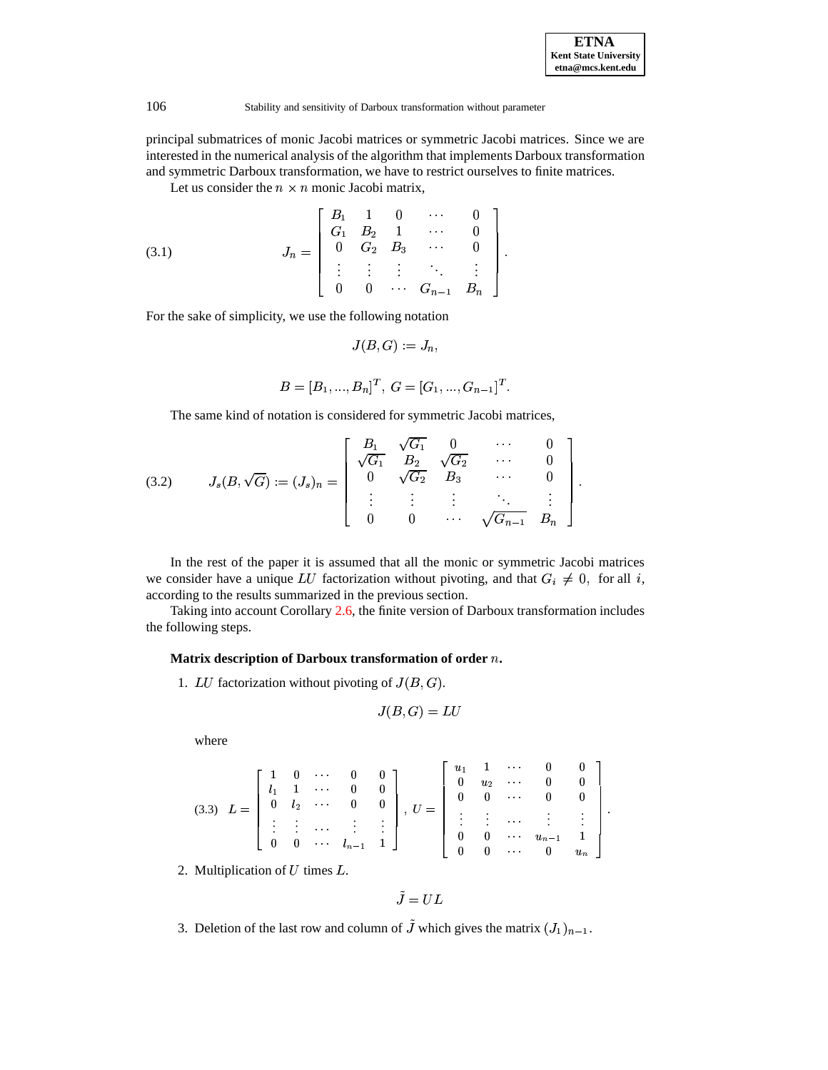| <b>ETNA</b>                  |
|------------------------------|
| <b>Kent State University</b> |
| etna@mcs.kent.edu            |

principal submatrices of monic Jacobi matrices or symmetric Jacobi matrices. Since we are interested in the numerical analysis of the algorithm that implements Darboux transformation and symmetric Darboux transformation, we have to restrict ourselves to finite matrices.

Let us consider the  $n \times n$  monic Jacobi matrix,

<span id="page-5-2"></span>(3.1) 
$$
J_n = \begin{bmatrix} B_1 & 1 & 0 & \cdots & 0 \\ G_1 & B_2 & 1 & \cdots & 0 \\ 0 & G_2 & B_3 & \cdots & 0 \\ \vdots & \vdots & \vdots & \ddots & \vdots \\ 0 & 0 & \cdots & G_{n-1} & B_n \end{bmatrix}.
$$

For the sake of simplicity, we use the following notation

$$
J(B,G):=J_n,
$$

$$
B=[B_1,...,B_n]^T, G=[G_1,...,G_{n-1}]^T.
$$

The same kind of notation is considered for symmetric Jacobi matrices,

<span id="page-5-0"></span>(3.2) 
$$
J_s(B,\sqrt{G}) := (J_s)_n = \begin{bmatrix} B_1 & \sqrt{G_1} & 0 & \cdots & 0 \\ \sqrt{G_1} & B_2 & \sqrt{G_2} & \cdots & 0 \\ 0 & \sqrt{G_2} & B_3 & \cdots & 0 \\ \vdots & \vdots & \vdots & \ddots & \vdots \\ 0 & 0 & \cdots & \sqrt{G_{n-1}} & B_n \end{bmatrix}.
$$

In the rest of the paper it is assumed that all the monic or symmetric Jacobi matrices we consider have a unique LU factorization without pivoting, and that  $G_i \neq 0$ , for all i, according to the results summarized in the previous section.

Taking into account Corollary [2.6,](#page-4-1) the finite version of Darboux transformation includes the following steps.

## **Matrix description of Darboux transformation of order** '**.**

1. LU factorization without pivoting of  $J(B, G)$ .

$$
J(B,G)=LU
$$

where

<span id="page-5-1"></span>
$$
(3.3) \quad L = \left[\begin{array}{cccccc} 1 & 0 & \cdots & 0 & 0 \\ l_1 & 1 & \cdots & 0 & 0 \\ 0 & l_2 & \cdots & 0 & 0 \\ \vdots & \vdots & \cdots & \vdots & \vdots \\ 0 & 0 & \cdots & l_{n-1} & 1 \end{array}\right], \ U = \left[\begin{array}{cccccc} u_1 & 1 & \cdots & 0 & 0 \\ 0 & u_2 & \cdots & 0 & 0 \\ 0 & 0 & \cdots & 0 & 0 \\ \vdots & \vdots & \ddots & \vdots & \vdots \\ 0 & 0 & \cdots & u_{n-1} & 1 \\ 0 & 0 & \cdots & 0 & u_n \end{array}\right].
$$

2. Multiplication of  $U$  times  $L$ .

$$
\tilde{J}=UL
$$

3. Deletion of the last row and column of J which gives the matrix  $(J_1)_{n-1}$ .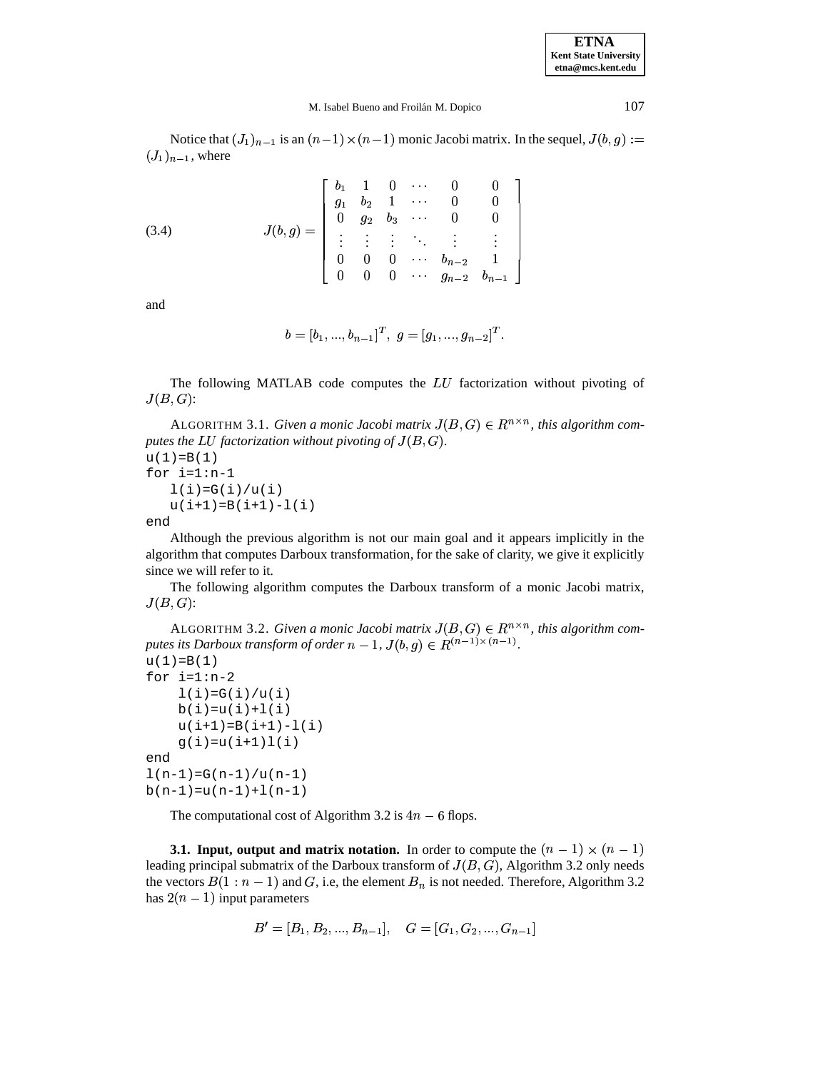**ETNA Kent State University etna@mcs.kent.edu**

 

### M. Isabel Bueno and Froilán M. Dopico 107

Notice that  $(J_1)_{n-1}$  is an  $(n-1) \times (n-1)$  monic Jacobi matrix. In the sequel,  $J(b, g) :=$  $(J_1)_{n-1}$ , where

<span id="page-6-2"></span>(3.4) 
$$
J(b,g) = \begin{bmatrix} b_1 & 1 & 0 & \cdots & 0 & 0 \\ g_1 & b_2 & 1 & \cdots & 0 & 0 \\ 0 & g_2 & b_3 & \cdots & 0 & 0 \\ \vdots & \vdots & \vdots & \ddots & \vdots & \vdots \\ 0 & 0 & 0 & \cdots & b_{n-2} & 1 \\ 0 & 0 & 0 & \cdots & g_{n-2} & b_{n-1} \end{bmatrix}
$$

and

$$
b=[b_1,...,b_{n-1}]^T, \; g=[g_1,...,g_{n-2}]^T.
$$

The following MATLAB code computes the  $LU$  factorization without pivoting of  $J(B,G)$ :

ALGORITHM 3.1. *Given a monic Jacobi matrix*  $J(B, G) \in R^{n \times n}$ , this algorithm com*putes the LU factorization without pivoting of*  $J(B,G)$ *.*  $u(1)=B(1)$ 

for i=1:n-1  $l(i)=G(i)/u(i)$  $u(i+1)=B(i+1)-l(i)$ 

end

Although the previous algorithm is not our main goal and it appears implicitly in the algorithm that computes Darboux transformation, for the sake of clarity, we give it explicitly since we will refer to it.

The following algorithm computes the Darboux transform of a monic Jacobi matrix,  $J(B,G)$ :

<span id="page-6-1"></span>ALGORITHM 3.2. *Given a monic Jacobi matrix*  $J(B, G) \in R^{n \times n}$ , this algorithm computes its Darboux transform of order  $n-1$ ,  $J(b,g) \in R^{(n-1)\times (n-1)}$ .  $\sim$   $\sim$  $\Delta$ - $\sim$   $\ell$  and  $\sim$ *.*

```
u(1)=B(1)for i=1:n-21(i)=G(i)/u(i)b(i)=u(i)+1(i)u(i+1)=B(i+1)-l(i)g(i)=u(i+1)l(i)end
l(n-1)=G(n-1)/u(n-1)b(n-1)=u(n-1)+l(n-1)
```
The computational cost of Algorithm 3.2 is  $4n - 6$  flops.

<span id="page-6-0"></span>**3.1. Input, output and matrix notation.** In order to compute the  $(n-1) \times (n-1)$ leading principal submatrix of the Darboux transform of  $J(B, G)$ , Algorithm 3.2 only needs the vectors  $B(1:n-1)$  and G, i.e, the element  $B_n$  is not needed. Therefore, Algorithm 3.2 has  $2(n - 1)$  input parameters

$$
B' = [B_1, B_2, ..., B_{n-1}], \quad G = [G_1, G_2, ..., G_{n-1}]
$$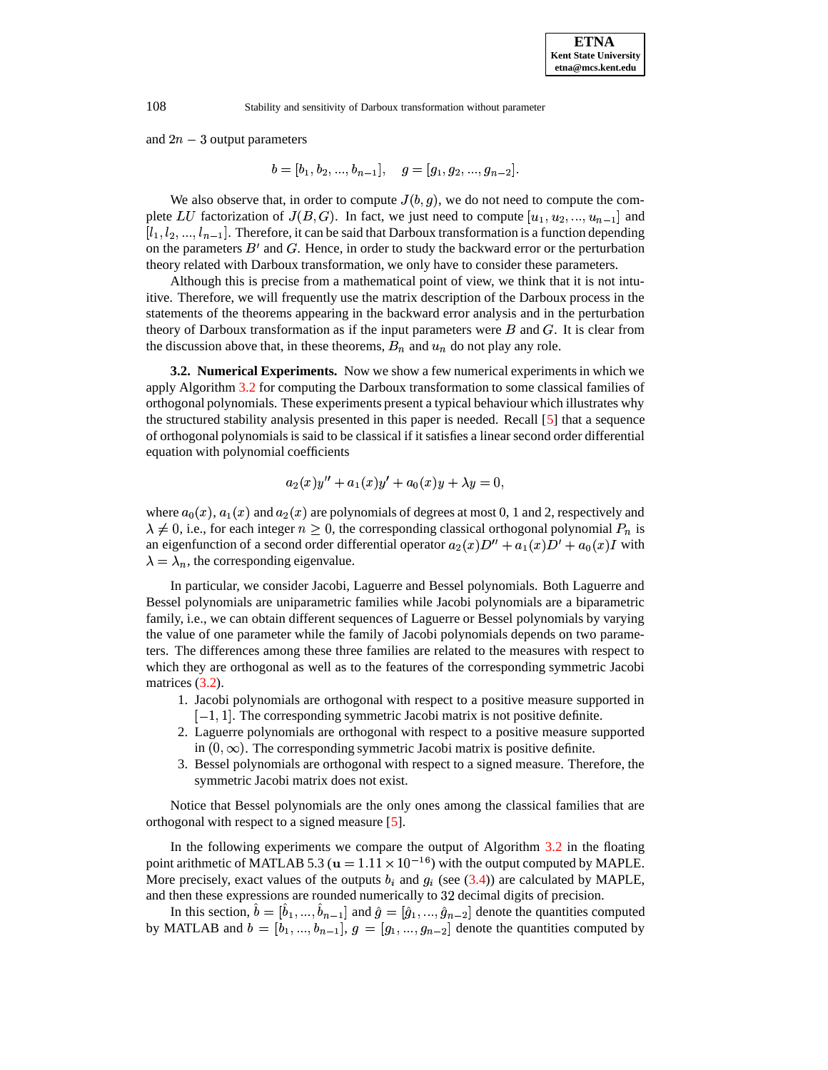and  $2n - 3$  output parameters

$$
b=[b_1,b_2,...,b_{n-1}], \quad g=[g_1,g_2,...,g_{n-2}].
$$

We also observe that, in order to compute  $J(b, g)$ , we do not need to compute the complete LU factorization of  $J(B, G)$ . In fact, we just need to compute  $[u_1, u_2, ..., u_{n-1}]$  and  $[l_1, l_2, ..., l_{n-1}]$ . Therefore, it can be said that Darboux transformation is a function depending on the parameters  $B'$  and  $G$ . Hence, in order to study the backward error or the perturbation theory related with Darboux transformation, we only have to consider these parameters.

Although this is precise from a mathematical point of view, we think that it is not intuitive. Therefore, we will frequently use the matrix description of the Darboux process in the statements of the theorems appearing in the backward error analysis and in the perturbation theory of Darboux transformation as if the input parameters were  $B$  and  $G$ . It is clear from the discussion above that, in these theorems,  $B_n$  and  $u_n$  do not play any role.

<span id="page-7-0"></span>**3.2. Numerical Experiments.** Now we show a few numerical experimentsin which we apply Algorithm [3.2](#page-6-1) for computing the Darboux transformation to some classical families of orthogonal polynomials. These experiments present a typical behaviour which illustrates why the structured stability analysis presented in this paper is needed. Recall [\[5\]](#page-35-11) that a sequence of orthogonal polynomialsis said to be classical if it satisfies a linear second order differential equation with polynomial coefficients

$$
a_2(x)y'' + a_1(x)y' + a_0(x)y + \lambda y = 0,
$$

where  $a_0(x)$ ,  $a_1(x)$  and  $a_2(x)$  are polynomials of degrees at most 0, 1 and 2, respectively and  $\lambda \neq 0$ , i.e., for each integer  $n \geq 0$ , the corresponding classical orthogonal polynomial  $P_n$  is an eigenfunction of a second order differential operator  $a_2(x)D'' + a_1(x)D' + a_0(x)I$  with  $\lambda = \lambda_n$ , the corresponding eigenvalue.

In particular, we consider Jacobi, Laguerre and Bessel polynomials. Both Laguerre and Bessel polynomials are uniparametric families while Jacobi polynomials are a biparametric family, i.e., we can obtain different sequences of Laguerre or Bessel polynomials by varying the value of one parameter while the family of Jacobi polynomials depends on two parameters. The differences among these three families are related to the measures with respect to which they are orthogonal as well as to the features of the corresponding symmetric Jacobi matrices  $(3.2)$ .

- 1. Jacobi polynomials are orthogonal with respect to a positive measure supported in  $[-1, 1]$ . The corresponding symmetric Jacobi matrix is not positive definite.
- 2. Laguerre polynomials are orthogonal with respect to a positive measure supported in  $(0, \infty)$ . The corresponding symmetric Jacobi matrix is positive definite.
- 3. Bessel polynomials are orthogonal with respect to a signed measure. Therefore, the symmetric Jacobi matrix does not exist.

Notice that Bessel polynomials are the only ones among the classical families that are orthogonal with respect to a signed measure [\[5\]](#page-35-11).

In the following experiments we compare the output of Algorithm [3.2](#page-6-1) in the floating point arithmetic of MATLAB 5.3 ( $\mathbf{u} = 1.11 \times 10^{-16}$ ) with the output computed by MAPLE. More precisely, exact values of the outputs  $b_i$  and  $q_i$  (see [\(3.4\)](#page-6-2)) are calculated by MAPLE, and then these expressions are rounded numerically to 32 decimal digits of precision.

In this section,  $\hat{b} = [\hat{b}_1, ..., \hat{b}_{n-1}]$  and  $\hat{g} = [\hat{g}_1, ..., \hat{g}_{n-2}]$  denote the quantities computed by MATLAB and  $b = [b_1, ..., b_{n-1}], g = [g_1, ..., g_{n-2}]$  denote the quantities computed by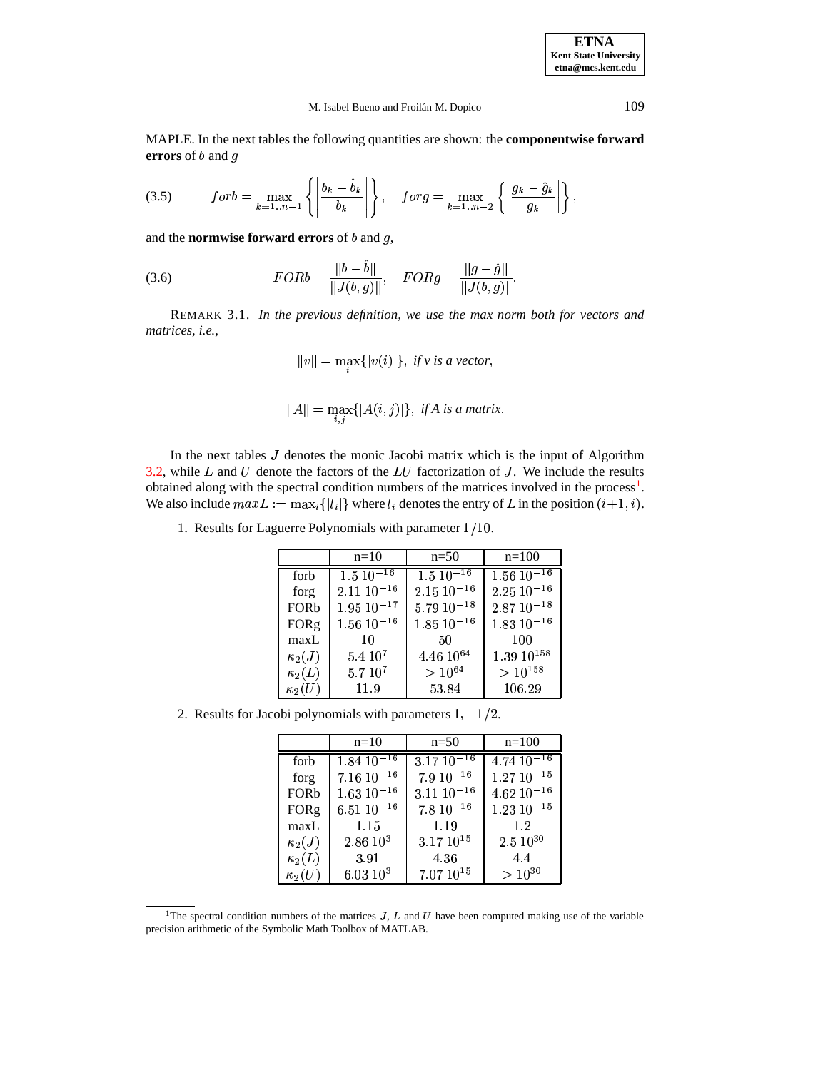**ETNA Kent State University etna@mcs.kent.edu**

### M. Isabel Bueno and Froilán M. Dopico 109

MAPLE. In the next tables the following quantities are shown: the **componentwise forward errors** of *b* and *g* 

<span id="page-8-1"></span>
$$
(3.5) \quad for \, b = \max_{k=1..n-1} \left\{ \left| \frac{b_k - \hat{b}_k}{b_k} \right| \right\}, \quad for \, g = \max_{k=1..n-2} \left\{ \left| \frac{g_k - \hat{g}_k}{g_k} \right| \right\},
$$

and the **normwise** forward **errors** of  $b$  and  $g$ ,

<span id="page-8-2"></span>(3.6) 
$$
FORb = \frac{\|b - \hat{b}\|}{\|J(b, g)\|}, \quad FORg = \frac{\|g - \hat{g}\|}{\|J(b, g)\|}.
$$

REMARK 3.1. *In the previous definition, we use the max norm both for vectors and matrices, i.e.,*

$$
||v|| = \max_{i} \{|v(i)|\}, \text{ if } v \text{ is a vector},
$$

$$
||A|| = \max_{i,j} \{|A(i,j)|\}, \text{ if } A \text{ is a matrix.}
$$

In the next tables  $J$  denotes the monic Jacobi matrix which is the input of Algorithm [3.2,](#page-6-1) while  $L$  and  $U$  denote the factors of the  $LU$  factorization of  $J$ . We include the results obtained along with the spectral condition numbers of the matrices involved in the process<sup>[1](#page-8-0)</sup>. We also include  $maxL := \max_i \{ |l_i| \}$  where  $l_i$  denotes the entry of L in the position  $(i+1, i)$ .

1. Results for Laguerre Polynomials with parameter  $1/10$ .

|               | $n=10$                    | $n=50$                    | $n=100$                    |
|---------------|---------------------------|---------------------------|----------------------------|
| forb          | $1.5 \overline{10^{-16}}$ | $1.5 \overline{10^{-16}}$ | $1.56 \overline{10^{-16}}$ |
| forg          | $2.11\ 10^{-16}$          | $2.15 \ 10^{-16}$         | $2.25\ 10^{-16}$           |
| <b>FORb</b>   | $1.95 \ 10^{-17}$         | $5.79\ 10^{-18}$          | $2.87\ 10^{-18}$           |
| <b>FORg</b>   | $1.56\ 10^{-16}$          | $1.85 \ 10^{-16}$         | $1.83\ 10^{-16}$           |
| maxL          | 10                        | 50                        | 100                        |
| $\kappa_2(J)$ | $5.4 10^7$                | $4.46~10^{64}$            | $1.39\ 10^{158}$           |
| $\kappa_2(L)$ | $5.710^{7}$               | $> 10^{64}$               | $>10^{158}\,$              |
| $\kappa_2(U)$ | 11.9                      | 53.84                     | 106.29                     |

2. Results for Jacobi polynomials with parameters  $1, -1/2$ .

|               | $n=10$                     | $n=50$           | $n=100$           |
|---------------|----------------------------|------------------|-------------------|
| forb          | $1.84 \overline{10^{-16}}$ | $3.17\ 10^{-16}$ | $4.74\ 10^{-16}$  |
| forg          | $7.16\ 10^{-16}$           | $7.9 10^{-16}$   | $1.27\ 10^{-15}$  |
| <b>FORb</b>   | $1.63\ 10^{-16}$           | $3.11\ 10^{-16}$ | $4.62$ $10^{-16}$ |
| <b>FORg</b>   | $6.5110^{-16}$             | $7.8 10^{-16}$   | $1.23\ 10^{-15}$  |
| maxL          | 1.15                       | 1.19             | 1.2               |
| $\kappa_2(J)$ | $2.86\;10^3$               | $3.17~10^{15}$   | $2.510^{30}$      |
| $\kappa_2(L)$ | 3.91                       | 4.36             | 4.4               |
| $\kappa_2(U)$ | $6.03 10^3$                | $7.07~10^{15}$   | $> 10^{30}$       |

<span id="page-8-0"></span><sup>&</sup>lt;sup>1</sup>The spectral condition numbers of the matrices  $J$ ,  $L$  and  $U$  have been computed making use of the variable precision arithmetic of the Symbolic Math Toolbox of MATLAB.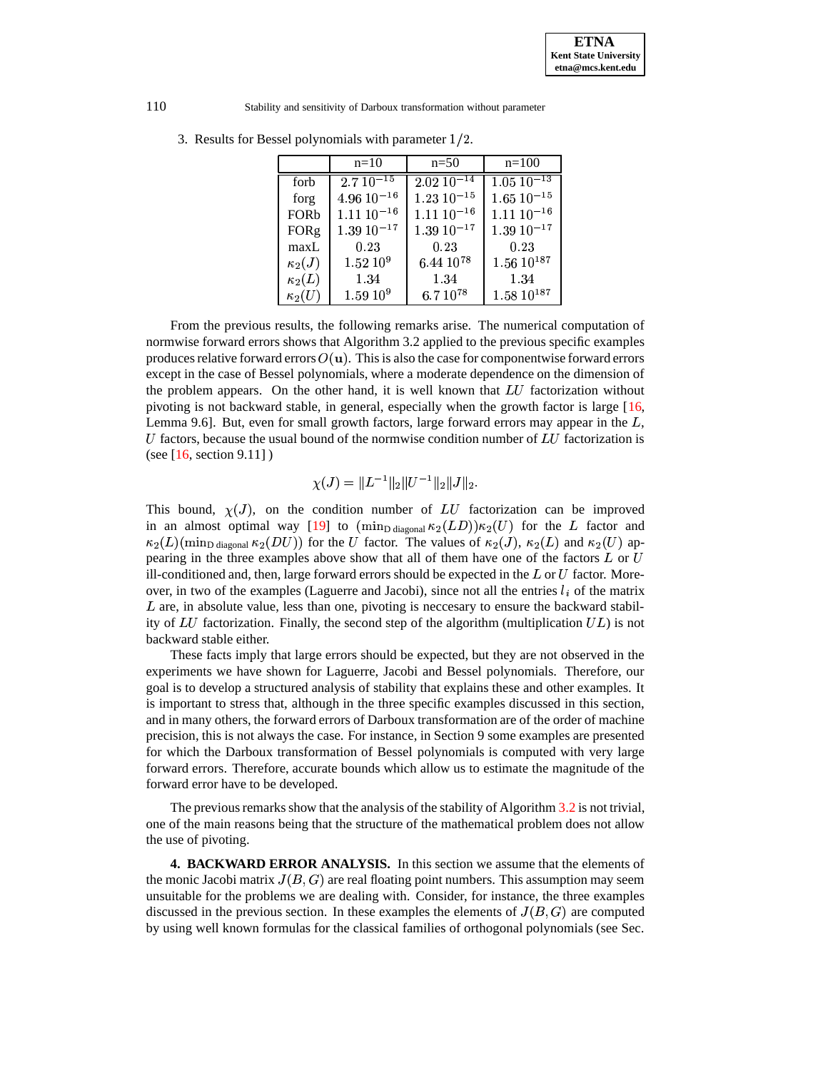|               | $n=10$            | $n=50$                     | $n=100$          |
|---------------|-------------------|----------------------------|------------------|
| forb          | $2.7 \, 10^{-15}$ | $2.02 \overline{10^{-14}}$ | $1.05\ 10^{-13}$ |
| forg          | $4.96\ 10^{-16}$  | $1.23\ 10^{-15}$           | $1.65\ 10^{-15}$ |
| FORb          | $1.11\ 10^{-16}$  | $1.11\ 10^{-16}$           | $1.11\ 10^{-16}$ |
| <b>FORg</b>   | $1.39\ 10^{-17}$  | $1.39 10^{-17}$            | $1.39\ 10^{-17}$ |
| maxL          | 0.23              | 0.23                       | 0.23             |
| $\kappa_2(J)$ | $1.52~10^{9}$     | $6.44\ 10^{78}$            | $1.56\ 10^{187}$ |
| $\kappa_2(L)$ | 1.34              | 1.34                       | 1.34             |
| $\kappa_2(U)$ | $1.59~10^{9}$     | $6.7~10^{78}$              | $1.58\ 10^{187}$ |

3. Results for Bessel polynomials with parameter  $1/2$ .

From the previous results, the following remarks arise. The numerical computation of normwise forward errors shows that Algorithm 3.2 applied to the previous specific examples produces relative forward errors  $O(u)$ . This is also the case for componentwise forward errors except in the case of Bessel polynomials, where a moderate dependence on the dimension of the problem appears. On the other hand, it is well known that  $LU$  factorization without pivoting is not backward stable, in general, especially when the growth factor is large [\[16,](#page-35-12) Lemma 9.6]. But, even for small growth factors, large forward errors may appear in the  $L$ ,  $U$  factors, because the usual bound of the normwise condition number of  $LU$  factorization is (see  $[16, \text{ section } 9.11]$  $[16, \text{ section } 9.11]$ )

$$
\chi(J) = \|L^{-1}\|_2 \|U^{-1}\|_2 \|J\|_2.
$$

This bound,  $\chi(J)$ , on the condition number of LU factorization can be improved in an almost optimal way [\[19\]](#page-35-13) to  $(\min_{\text{D diagonal}} \kappa_2(LD)) \kappa_2(U)$  for the L factor and  $\kappa_2(L)$ (min<sub>D diagonal</sub>  $\kappa_2(DU)$ ) for the U factor. The values of  $\kappa_2(J)$ ,  $\kappa_2(L)$  and  $\kappa_2(U)$  appearing in the three examples above show that all of them have one of the factors  $L$  or  $U$ ill-conditioned and, then, large forward errors should be expected in the  $L$  or  $U$  factor. Moreover, in two of the examples (Laguerre and Jacobi), since not all the entries  $l_i$  of the matrix  $L$  are, in absolute value, less than one, pivoting is necessary to ensure the backward stability of  $LU$  factorization. Finally, the second step of the algorithm (multiplication  $UL$ ) is not backward stable either.

These facts imply that large errors should be expected, but they are not observed in the experiments we have shown for Laguerre, Jacobi and Bessel polynomials. Therefore, our goal is to develop a structured analysis of stability that explains these and other examples. It is important to stress that, although in the three specific examples discussed in this section, and in many others, the forward errors of Darboux transformation are of the order of machine precision, this is not always the case. For instance, in Section 9 some examples are presented for which the Darboux transformation of Bessel polynomials is computed with very large forward errors. Therefore, accurate bounds which allow us to estimate the magnitude of the forward error have to be developed.

The previous remarks show that the analysis of the stability of Algorithm  $3.2$  is not trivial, one of the main reasons being that the structure of the mathematical problem does not allow the use of pivoting.

<span id="page-9-0"></span>**4. BACKWARD ERROR ANALYSIS.** In this section we assume that the elements of the monic Jacobi matrix  $J(B, G)$  are real floating point numbers. This assumption may seem unsuitable for the problems we are dealing with. Consider, for instance, the three examples discussed in the previous section. In these examples the elements of  $J(B, G)$  are computed by using well known formulas for the classical families of orthogonal polynomials (see Sec.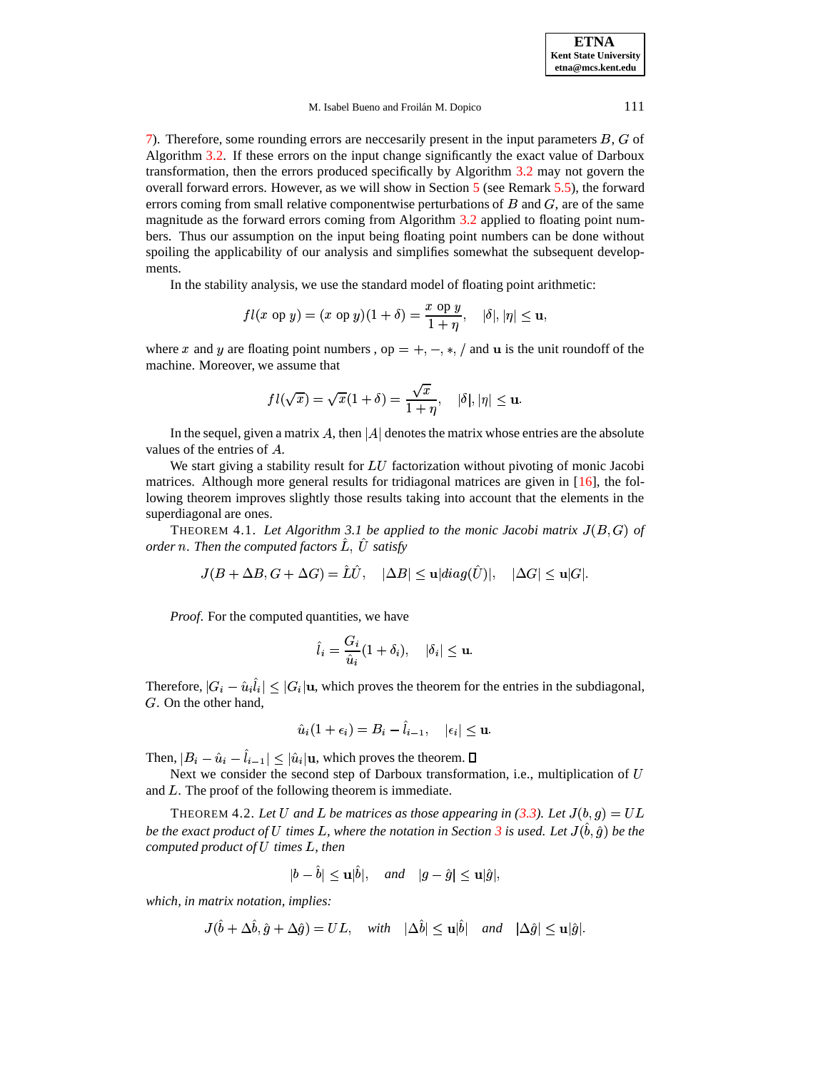[7\)](#page-20-0). Therefore, some rounding errors are neccesarily present in the input parameters  $B$ ,  $G$  of Algorithm [3.2.](#page-6-1) If these errors on the input change significantly the exact value of Darboux transformation, then the errors produced specifically by Algorithm [3.2](#page-6-1) may not govern the overall forward errors. However, as we will show in Section [5](#page-12-0) (see Remark [5.5\)](#page-18-0), the forward errors coming from small relative componentwise perturbations of  $B$  and  $G$ , are of the same magnitude as the forward errors coming from Algorithm [3.2](#page-6-1) applied to floating point numbers. Thus our assumption on the input being floating point numbers can be done without spoiling the applicability of our analysis and simplifies somewhat the subsequent developments.

In the stability analysis, we use the standard model of floating point arithmetic:

$$
fl(x \text{ op } y) = (x \text{ op } y)(1 + \delta) = \frac{x \text{ op } y}{1 + \eta}, \quad |\delta|, |\eta| \leq \mathbf{u},
$$

where x and y are floating point numbers, op  $= +, -, *,/$  and u is the unit roundoff of the machine. Moreover, we assume that

$$
fl(\sqrt{x})=\sqrt{x}(1+\delta)=\frac{\sqrt{x}}{1+\eta},\quad |\delta|,|\eta|\leq \mathbf{u}.
$$

In the sequel, given a matrix  $A$ , then  $|A|$  denotes the matrix whose entries are the absolute values of the entries of  $A$ .

We start giving a stability result for  $LU$  factorization without pivoting of monic Jacobi matrices. Although more general results for tridiagonal matrices are given in [\[16\]](#page-35-12), the following theorem improves slightly those results taking into account that the elements in the superdiagonal are ones.

<span id="page-10-0"></span>THEOREM 4.1. Let Algorithm 3.1 be applied to the monic Jacobi matrix  $J(B, G)$  of  $\emph{order}$   $\emph{n}.$  Then the computed factors  $\hat{L},\ \hat{U}$  satisfy

$$
J(B+\Delta B, G+\Delta G)=\hat L\hat U,\quad |\Delta B|\leq \textbf{u}|diag(\hat U)|,\quad |\Delta G|\leq \textbf{u}|G|.
$$

*Proof*. For the computed quantities, we have

$$
\hat{l}_i = \frac{G_i}{\hat{u}_i} (1 + \delta_i), \quad |\delta_i| \leq \mathbf{u}.
$$

Therefore,  $|G_i - \hat{u}_i \hat{l}_i| \leq |G_i| \mathbf{u}$ , which proves the theorem for the entries in the subdiagonal,  $G$ . On the other hand,

$$
\hat u_i(1+\epsilon_i)=B_i-\hat l_{i-1},\quad |\epsilon_i|\leq \textbf{u}.
$$

Then,  $|B_i - \hat{u}_i - l_{i-1}| \leq |\hat{u}_i|$ u  $|\hat{l}_{i-1}| \leq |\hat{u}_i|$ **u**, which proves the theorem.

Next we consider the second step of Darboux transformation, i.e., multiplication of U and  $L$ . The proof of the following theorem is immediate.

<span id="page-10-1"></span>THEOREM 4.2. Let U and L be matrices as those appearing in [\(3.3\)](#page-5-1). Let  $J(b, g) = UL$ *be the exact product of U times L, where the notation in Section [3](#page-4-2) is used. Let*  $J(\hat{b}, \hat{g})$  *be the computed product of*  $U$  *times*  $L$ *, then* 

$$
|b-\hat{b}|\leq \mathbf{u}|\hat{b}|, \quad and \quad |g-\hat{g}|\leq \mathbf{u}|\hat{g}|,
$$

*which, in matrix notation, implies:*

$$
J(\hat{b} + \Delta \hat{b}, \hat{g} + \Delta \hat{g}) = UL, \quad with \quad |\Delta \hat{b}| \le \mathbf{u}|\hat{b}| \quad and \quad |\Delta \hat{g}| \le \mathbf{u}|\hat{g}|.
$$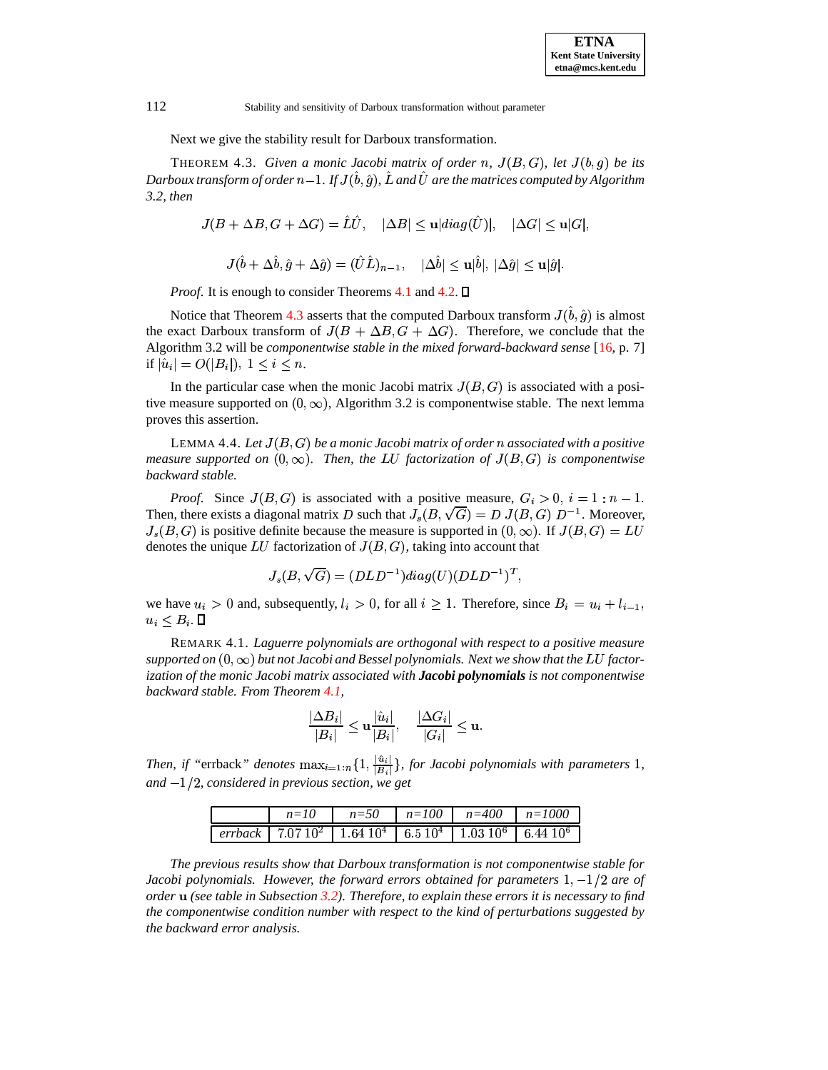Next we give the stability result for Darboux transformation.

<span id="page-11-0"></span>**THEOREM 4.3.** Given a monic Jacobi matrix of order n,  $J(B, G)$ , let  $J(b,g)$  be its Darboux transform of order  $n\!-\!1$ . If  $J(\hat{b},\hat{g})$ ,  $\hat{L}$  and  $\hat{U}$  are the matrices computed by Algorithm *3.2, then*

$$
J(B+\Delta B, G+\Delta G)=\hat L\hat U,\quad |\Delta B|\leq \textbf{u}|diag(\hat U)|,\quad |\Delta G|\leq \textbf{u}|G|,
$$

$$
J(\hat{b}+\Delta\hat{b},\hat{g}+\Delta\hat{g})=(\hat{U}\hat{L})_{n-1},\quad |\Delta\hat{b}|\leq \textbf{u}|\hat{b}|,\ |\Delta\hat{g}|\leq \textbf{u}|\hat{g}|.
$$

*Proof.* It is enough to consider Theorems [4.1](#page-10-0) and [4.2.](#page-10-1)  $\Box$ 

Notice that Theorem [4.3](#page-11-0) asserts that the computed Darboux transform  $J(\hat{b}, \hat{g})$  is almost the exact Darboux transform of  $J(B + \Delta B, G + \Delta G)$ . Therefore, we conclude that the Algorithm 3.2 will be *componentwise stable in the mixed forward-backward sense* [\[16,](#page-35-12) p. 7] if  $|\hat{u}_i| = O(|B_i|), 1 \leq i \leq n$ .

In the particular case when the monic Jacobi matrix  $J(B, G)$  is associated with a positive measure supported on  $(0, \infty)$ , Algorithm 3.2 is componentwise stable. The next lemma proves this assertion.

<span id="page-11-1"></span> $\emph{LEMMA } 4.4.$   $\emph{Let } J(B,G)$  be a monic Jacobi matrix of order  $n$  associated with a positive *measure* supported on  $(0, \infty)$ . Then, the LU factorization of  $J(B, G)$  is componentwise *backward stable.*

*Proof.* Since  $J(B, G)$  is associated with a positive measure,  $G_i > 0$ ,  $i = 1 : n - 1$ . Then, there exists a diagonal matrix D such that  $J_s(B,\sqrt{G}) = D \ J(B,G) \ D^{-1}$ . Moreover,  $J_s(B, G)$  is positive definite because the measure is supported in  $(0, \infty)$ . If  $J(B, G) = LU$ denotes the unique  $LU$  factorization of  $J(B,G)$ , taking into account that

$$
J_s(B,\sqrt{G})=(DLD^{-1})diag(U)(DLD^{-1})^T,
$$

we have  $u_i > 0$  and, subsequently,  $l_i > 0$ , for all  $i \geq 1$ . Therefore, since  $B_i = u_i + l_{i-1}$ , <sup>G</sup> % -8J 9

REMARK 4.1. *Laguerre polynomials are orthogonal with respect to a positive measure*  $s$ upported on  $(0,\infty)$  but not Jacobi and Bessel polynomials. Next we show that the LU factor*ization of the monic Jacobi matrix associated with Jacobi polynomials is not componentwise backward stable. From Theorem [4.1,](#page-10-0)*

$$
\frac{|\Delta B_i|}{|B_i|}\leq \mathbf{u}\frac{|\hat{u}_i|}{|B_i|}, \quad \frac{|\Delta G_i|}{|G_i|}\leq \mathbf{u}.
$$

*Then, if* "errback" *denotes*  $\max_{i=1:n} \{1, \frac{|u_i|}{|B_i|}\},\$ <sup>G</sup> / *and* Q'% *, considered in previous section, we get*  $\sim$   $\sim$   $\sim$   $\sim$  $\frac{|u_i|}{|B_i|}$ , for Jacobi polynomials with parameters 1,

|                                                                                                                                       |  | $n=10$ $n=50$ $n=100$ $n=400$ $n=1000$ |  |
|---------------------------------------------------------------------------------------------------------------------------------------|--|----------------------------------------|--|
| $\sqrt{e^{rrback}}$   7.07 10 <sup>2</sup>   1.64 10 <sup>4</sup>   6.5 10 <sup>4</sup>   1.03 10 <sup>6</sup>   6.44 10 <sup>6</sup> |  |                                        |  |

*The previous results show that Darboux transformation is not componentwise stable for Jacobi* polynomials. However, the forward errors obtained for parameters  $1, -1/2$  are of *order (see table in Subsection [3.2\)](#page-7-0). Therefore, to explain these errors it is necessary to find the componentwise condition number with respect to the kind of perturbations suggested by the backward error analysis.*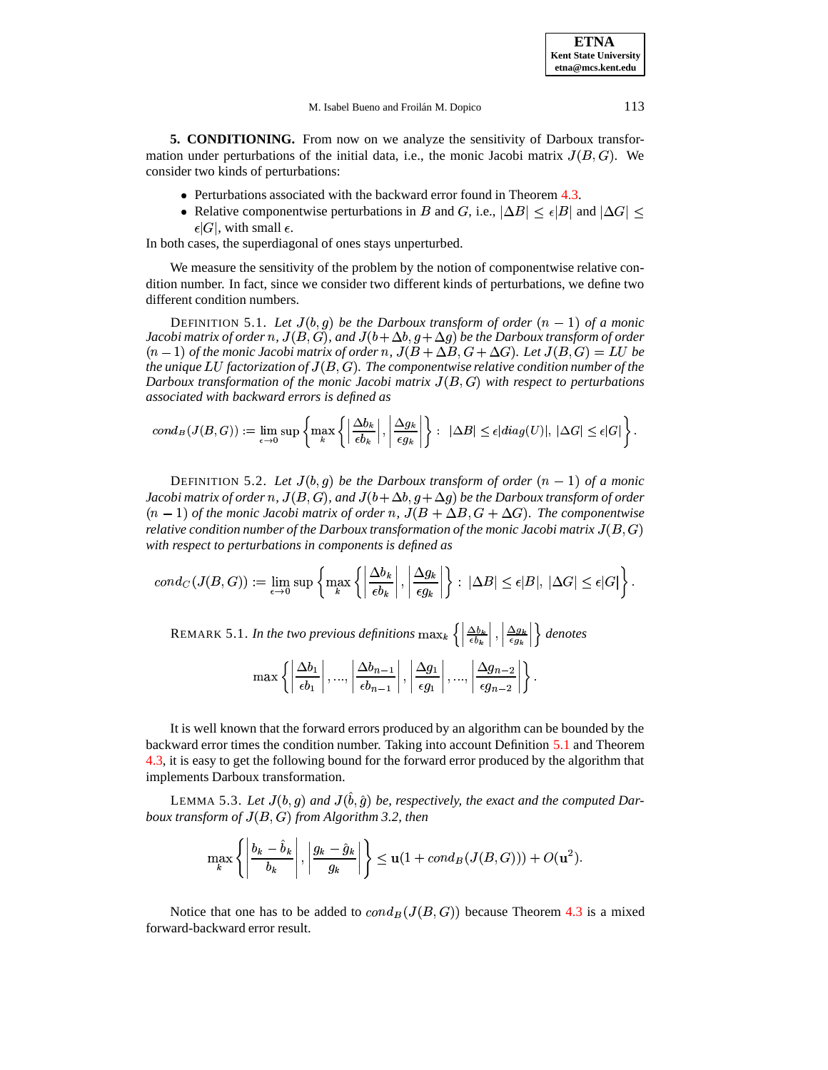<span id="page-12-0"></span>**5. CONDITIONING.** From now on we analyze the sensitivity of Darboux transformation under perturbations of the initial data, i.e., the monic Jacobi matrix  $J(B, G)$ . We consider two kinds of perturbations:

- Perturbations associated with the backward error found in Theorem [4.3.](#page-11-0)
- Relative componentwise perturbations in B and G, i.e.,  $|\Delta B| \leq \epsilon |B|$  and  $|\Delta G| \leq$  $\epsilon |G|$ , with small  $\epsilon$ .

In both cases, the superdiagonal of ones stays unperturbed.

We measure the sensitivity of the problem by the notion of componentwise relative condition number. In fact, since we consider two different kinds of perturbations, we define two different condition numbers.

<span id="page-12-1"></span>DEFINITION 5.1. Let  $J(b, g)$  be the Darboux transform of order  $(n - 1)$  of a monic Jacobi matrix of order  $n$ ,  $J(B,G)$ , and  $J(b+\Delta b,g+\Delta g)$  be the Darboux transform of order  $(n-1)$  of the monic Jacobi matrix of order  $n$ ,  $J(B+\Delta B, G+\Delta G)$ . Let  $J(B,G)=LU$  be *the unique factorization of*<sup>T</sup> 5J % M *. Thecomponentwise relative condition number of the Darboux transformation of the monic Jacobi matrix*  $J(B, G)$  with respect to perturbations *associated with backward errors is defined as*

$$
cond_B(J(B, G)) := \lim_{\epsilon \to 0} \sup \left\{ \max_k \left\{ \left| \frac{\Delta b_k}{\epsilon b_k} \right|, \left| \frac{\Delta g_k}{\epsilon g_k} \right| \right\} : \ |\Delta B| \leq \epsilon |diag(U)|, \ |\Delta G| \leq \epsilon |G| \right\}.
$$

<span id="page-12-2"></span>DEFINITION 5.2. Let  $J(b, g)$  be the Darboux transform of order  $(n - 1)$  of a monic Jacobi matrix of order  $n$ ,  $J(B,G)$ , and  $J(b+\Delta b,g+\Delta g)$  be the Darboux transform of order  $(n-1)$  *of the monic Jacobi matrix of order n,*  $J(B+\Delta B, G+\Delta G)$ *. The componentwise relative condition number of the Darboux transformation of the monic Jacobi matrix*  $J(B,G)$ *with respect to perturbations in components is defined as*

$$
cond_C(J(B,G)) := \lim_{\epsilon \to 0} \sup \left\{ \max_k \left\{ \left| \frac{\Delta b_k}{\epsilon b_k} \right|, \left| \frac{\Delta g_k}{\epsilon g_k} \right| \right\} : \ |\Delta B| \leq \epsilon |B|, \ |\Delta G| \leq \epsilon |G| \right\}.
$$

REMARK 5.1. In the two previous definitions  $\max_k \left\{ \left| \frac{\Delta b_k}{\epsilon b_k} \right|, \left| \frac{\Delta b_k}{\epsilon a_k} \right| \right\}$  $\Big\vert \ ,\ \Big\vert \frac{\Delta}{\epsilon}$  $\frac{\Delta g_k}{\Delta g}$   $\left| \right\rangle$  dei  $\left\{ \right\}$  *denotes* 

$$
\max \left\{ \left|\frac{\Delta b_1}{\epsilon b_1}\right|, ..., \left|\frac{\Delta b_{n-1}}{\epsilon b_{n-1}}\right|, \left|\frac{\Delta g_1}{\epsilon g_1}\right|, ..., \left|\frac{\Delta g_{n-2}}{\epsilon g_{n-2}}\right| \right\}.
$$

It is well known that the forward errors produced by an algorithm can be bounded by the backward error times the condition number. Taking into account Definition [5.1](#page-12-1) and Theorem [4.3,](#page-11-0) it is easy to get the following bound for the forward error produced by the algorithm that implements Darboux transformation.

<span id="page-12-3"></span>LEMMA 5.3. Let  $J(b, g)$  and  $J(\hat{b}, \hat{g})$  be, respectively, the exact and the computed Dar $b$ oux *transform of*  $J(B,G)$  *from Algorithm 3.2, then* 

$$
\max_{k} \left\{ \left| \frac{b_k - \hat{b}_k}{b_k} \right|, \left| \frac{g_k - \hat{g}_k}{g_k} \right| \right\} \leq \mathbf{u}(1 + cond_B(J(B, G))) + O(\mathbf{u}^2).
$$

Notice that one has to be added to  $cond_B(J(B, G))$  because Theorem [4.3](#page-11-0) is a mixed forward-backward error result.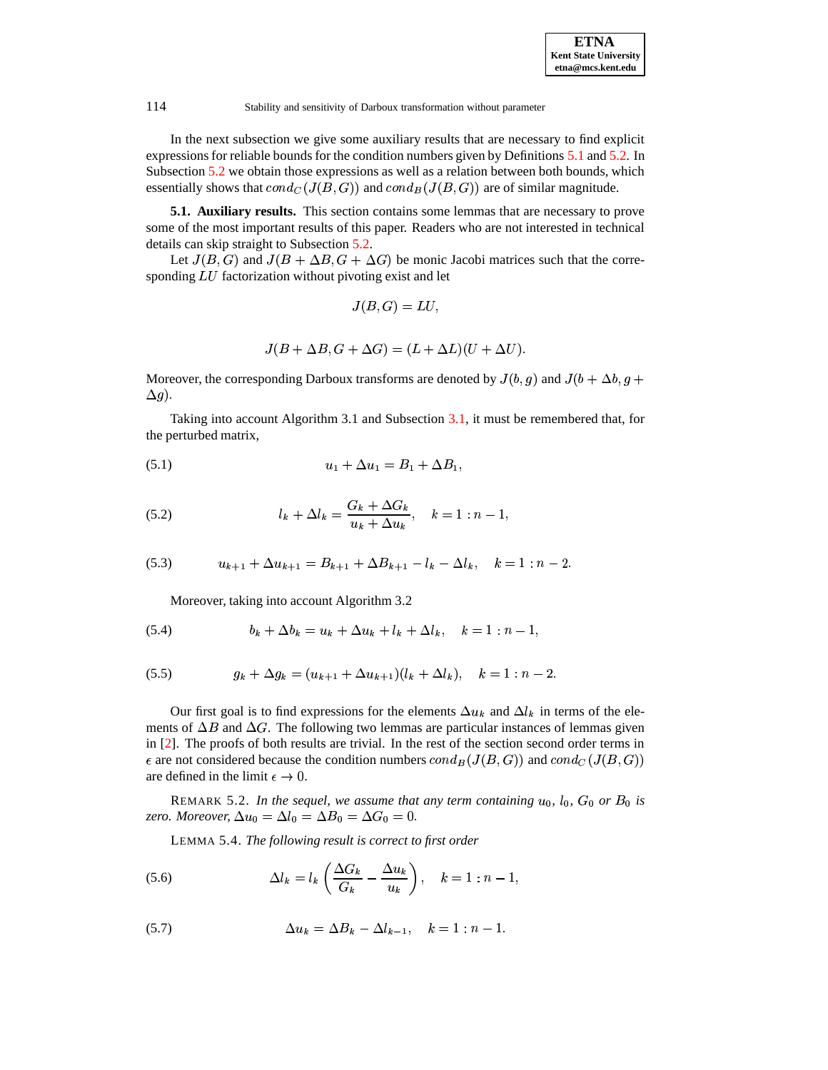In the next subsection we give some auxiliary results that are necessary to find explicit expressions for reliable bounds for the condition numbers given by Definitions [5.1](#page-12-1) and [5.2.](#page-12-2) In Subsection [5.2](#page-17-0) we obtain those expressions as well as a relation between both bounds, which essentially shows that  $cond_C(J(B,G))$  and  $cond_B(J(B,G))$  are of similar magnitude.

<span id="page-13-5"></span>**5.1. Auxiliary results.** This section contains some lemmas that are necessary to prove some of the most important results of this paper. Readers who are not interested in technical details can skip straight to Subsection [5.2.](#page-17-0)

Let  $J(B, G)$  and  $J(B + \Delta B, G + \Delta G)$  be monic Jacobi matrices such that the corresponding  $LU$  factorization without pivoting exist and let

$$
J(B,G)=LU,
$$

$$
J(B + \Delta B, G + \Delta G) = (L + \Delta L)(U + \Delta U).
$$

Moreover, the corresponding Darboux transforms are denoted by  $J(b, g)$  and  $J(b + \Delta b, g +$  $\Delta g$ ).

Taking into account Algorithm 3.1 and Subsection [3.1,](#page-6-0) it must be remembered that, for the perturbed matrix,

(5.1) 
$$
u_1 + \Delta u_1 = B_1 + \Delta B_1,
$$

(5.2) 
$$
l_k + \Delta l_k = \frac{G_k + \Delta G_k}{u_k + \Delta u_k}, \quad k = 1 : n - 1,
$$

$$
(5.3) \t u_{k+1} + \Delta u_{k+1} = B_{k+1} + \Delta B_{k+1} - l_k - \Delta l_k, \quad k = 1 : n-2.
$$

<span id="page-13-2"></span>Moreover, taking into account Algorithm 3.2

(5.4) 
$$
b_k + \Delta b_k = u_k + \Delta u_k + l_k + \Delta l_k, \quad k = 1 : n - 1,
$$

<span id="page-13-3"></span>(5.5) 
$$
g_k + \Delta g_k = (u_{k+1} + \Delta u_{k+1})(l_k + \Delta l_k), \quad k = 1 : n-2.
$$

Our first goal is to find expressions for the elements  $\Delta u_k$  and  $\Delta l_k$  in terms of the elements of  $\Delta B$  and  $\Delta G$ . The following two lemmas are particular instances of lemmas given in [\[2\]](#page-35-14). The proofs of both results are trivial. In the rest of the section second order terms in  $\epsilon$  are not considered because the condition numbers  $cond_B(J(B, G))$  and  $cond_C(J(B, G))$ are defined in the limit  $\epsilon \to 0$ .  $0.$ 

<span id="page-13-4"></span>REMARK 5.2. In the sequel, we assume that any term containing  $u_0$ ,  $l_0$ ,  $G_0$  or  $B_0$  is zero. Moreover,  $\Delta u_0 = \Delta l_0 = \Delta B_0 = \Delta G_0 = 0$ .

<span id="page-13-0"></span>LEMMA 5.4. *The following result is correct to first order*

(5.6) 
$$
\Delta l_k = l_k \left( \frac{\Delta G_k}{G_k} - \frac{\Delta u_k}{u_k} \right), \quad k = 1 : n - 1,
$$

<span id="page-13-1"></span>(5.7) 
$$
\Delta u_k = \Delta B_k - \Delta l_{k-1}, \quad k = 1 : n-1.
$$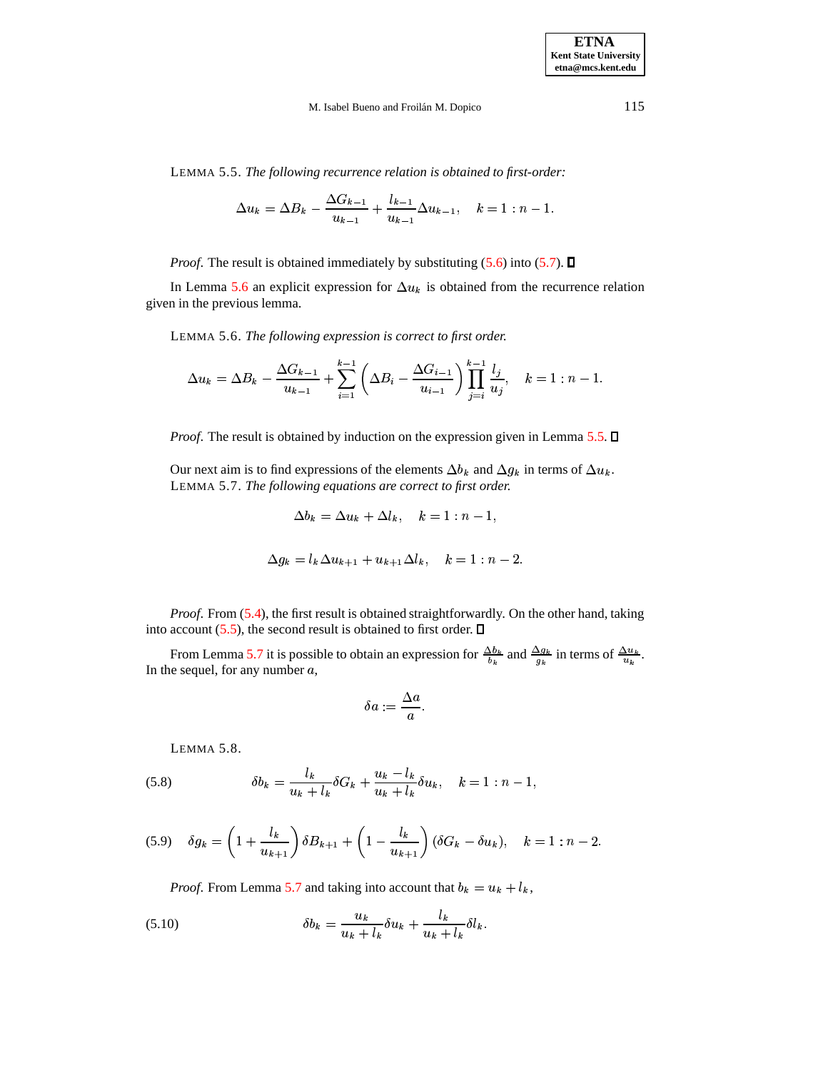<span id="page-14-1"></span>LEMMA 5.5. *The following recurrence relation is obtained to first-order:*

$$
\Delta u_k = \Delta B_k - \frac{\Delta G_{k-1}}{u_{k-1}} + \frac{l_{k-1}}{u_{k-1}} \Delta u_{k-1}, \quad k = 1 : n-1.
$$

*Proof.* The result is obtained immediately by substituting  $(5.6)$  into  $(5.7)$ .  $\Box$ 

<span id="page-14-0"></span>In Lemma [5.6](#page-14-0) an explicit expression for  $\Delta u_k$  is obtained from the recurrence relation given in the previous lemma.

LEMMA 5.6. *The following expression is correct to first order.*

$$
\Delta u_k = \Delta B_k - \frac{\Delta G_{k-1}}{u_{k-1}} + \sum_{i=1}^{k-1} \left( \Delta B_i - \frac{\Delta G_{i-1}}{u_{i-1}} \right) \prod_{j=i}^{k-1} \frac{l_j}{u_j}, \quad k = 1 : n-1.
$$

*Proof.* The result is obtained by induction on the expression given in Lemma [5.5.](#page-14-1)  $\Box$ 

<span id="page-14-2"></span>Our next aim is to find expressions of the elements  $\Delta b_k$  and  $\Delta g_k$  in terms of  $\Delta u_k$ . LEMMA 5.7. *The following equations are correct to first order.*

$$
\Delta b_k = \Delta u_k + \Delta l_k, \quad k = 1 : n - 1,
$$

$$
\Delta g_k = l_k \Delta u_{k+1} + u_{k+1} \Delta l_k, \quad k = 1 : n-2.
$$

*Proof*. From [\(5.4\)](#page-13-2), the first result is obtained straightforwardly. On the other hand, taking into account  $(5.5)$ , the second result is obtained to first order.  $\Box$ 

From Lemma [5.7](#page-14-2) it is possible to obtain an expression for  $\frac{\Delta b_k}{b_k}$  and  $\frac{\Delta g_k}{g_k}$  in terms of  $\frac{\Delta u_k}{u_k}$ . In the sequel, for any number  $a$ ,

$$
\delta a:=\frac{\Delta a}{a}.
$$

LEMMA 5.8.

<span id="page-14-4"></span><span id="page-14-3"></span>(5.8) 
$$
\delta b_k = \frac{l_k}{u_k + l_k} \delta G_k + \frac{u_k - l_k}{u_k + l_k} \delta u_k, \quad k = 1 : n - 1,
$$

$$
(5.9) \quad \delta g_k = \left(1 + \frac{l_k}{u_{k+1}}\right) \delta B_{k+1} + \left(1 - \frac{l_k}{u_{k+1}}\right) (\delta G_k - \delta u_k), \quad k = 1 : n - 2.
$$

*Proof.* From Lemma [5.7](#page-14-2) and taking into account that  $b_k = u_k + l_k$ ,

(5.10) 
$$
\delta b_k = \frac{u_k}{u_k + l_k} \delta u_k + \frac{l_k}{u_k + l_k} \delta l_k.
$$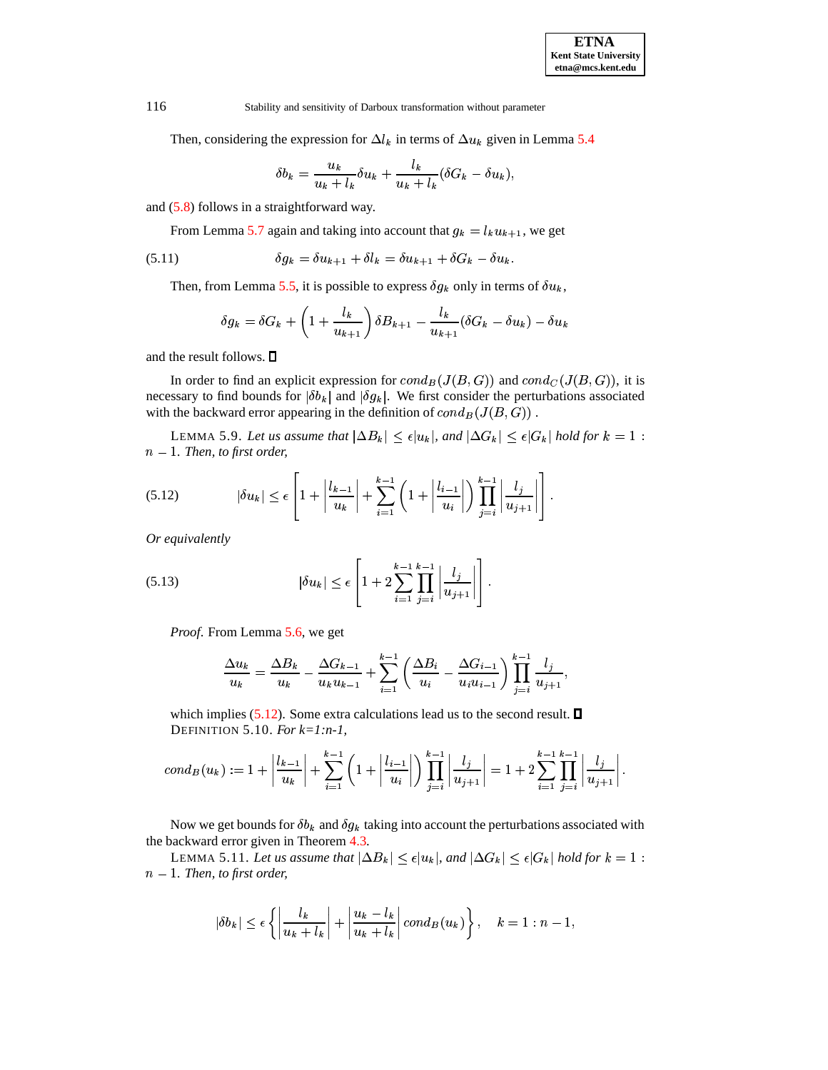Then, considering the expression for  $\Delta l_k$  in terms of  $\Delta u_k$  given in Lemma [5.4](#page-13-4)

$$
\delta b_k = \frac{u_k}{u_k + l_k} \delta u_k + \frac{l_k}{u_k + l_k} (\delta G_k - \delta u_k),
$$

and [\(5.8\)](#page-14-3) follows in a straightforward way.

From Lemma [5.7](#page-14-2) again and taking into account that  $g_k = l_k u_{k+1}$ , we get

$$
(5.11) \t\t \delta g_k = \delta u_{k+1} + \delta l_k = \delta u_{k+1} + \delta G_k - \delta u_k.
$$

Then, from Lemma [5.5,](#page-14-1) it is possible to express  $\delta g_k$  only in terms of  $\delta u_k$ ,

$$
\delta g_k = \delta G_k + \left(1 + \frac{l_k}{u_{k+1}}\right) \delta B_{k+1} - \frac{l_k}{u_{k+1}} (\delta G_k - \delta u_k) - \delta u_k
$$

and the result follows.

In order to find an explicit expression for  $cond_B(J(B, G))$  and  $cond_C(J(B, G))$ , it is necessary to find bounds for  $|\delta b_k|$  and  $|\delta g_k|$ . We first consider the perturbations associated with the backward error appearing in the definition of  $cond_B(J(B, G))$ .

<span id="page-15-2"></span>LEMMA 5.9. Let us assume that  $|\Delta B_k| \leq \epsilon |u_k|$ , and  $|\Delta G_k| \leq \epsilon |G_k|$  hold for  $k = 1$ :  $n - 1$ *. Then, to first order,* 

<span id="page-15-0"></span>
$$
(5.12) \qquad |\delta u_k| \leq \epsilon \left[1 + \left|\frac{l_{k-1}}{u_k}\right| + \sum_{i=1}^{k-1} \left(1 + \left|\frac{l_{i-1}}{u_i}\right|\right) \prod_{j=i}^{k-1} \left|\frac{l_j}{u_{j+1}}\right|\right].
$$

*Or equivalently*

<span id="page-15-1"></span>
$$
(5.13) \qquad \qquad |\delta u_k| \leq \epsilon \left[1 + 2 \sum_{i=1}^{k-1} \prod_{j=i}^{k-1} \left| \frac{l_j}{u_{j+1}} \right| \right].
$$

*Proof*. From Lemma [5.6,](#page-14-0) we get

$$
\frac{\Delta u_k}{u_k} = \frac{\Delta B_k}{u_k} - \frac{\Delta G_{k-1}}{u_k u_{k-1}} + \sum_{i=1}^{k-1} \left( \frac{\Delta B_i}{u_i} - \frac{\Delta G_{i-1}}{u_i u_{i-1}} \right) \prod_{j=i}^{k-1} \frac{l_j}{u_{j+1}},
$$

<span id="page-15-4"></span>which implies [\(5.12\)](#page-15-0). Some extra calculations lead us to the second result.  $\square$ DEFINITION 5.10. *For k=1:n-1,*

$$
cond_B(u_k) := 1 + \left| \frac{l_{k-1}}{u_k} \right| + \sum_{i=1}^{k-1} \left( 1 + \left| \frac{l_{i-1}}{u_i} \right| \right) \prod_{j=i}^{k-1} \left| \frac{l_j}{u_{j+1}} \right| = 1 + 2 \sum_{i=1}^{k-1} \prod_{j=i}^{k-1} \left| \frac{l_j}{u_{j+1}} \right|.
$$

Now we get bounds for  $\delta b_k$  and  $\delta g_k$  taking into account the perturbations associated with the backward error given in Theorem [4.3.](#page-11-0)

LEMMA 5.11. Let us assume that  $|\Delta B_k| \leq \epsilon |u_k|$ , and  $|\Delta G_k| \leq \epsilon |G_k|$  hold for  $k=1$  :  $n - 1$ *. Then, to first order,* 

<span id="page-15-3"></span>
$$
|\delta b_k|\leq \epsilon\left\{\left|\frac{l_k}{u_k+l_k}\right|+\left|\frac{u_k-l_k}{u_k+l_k}\right|cond_B(u_k)\right\},\quad k=1:n-1,
$$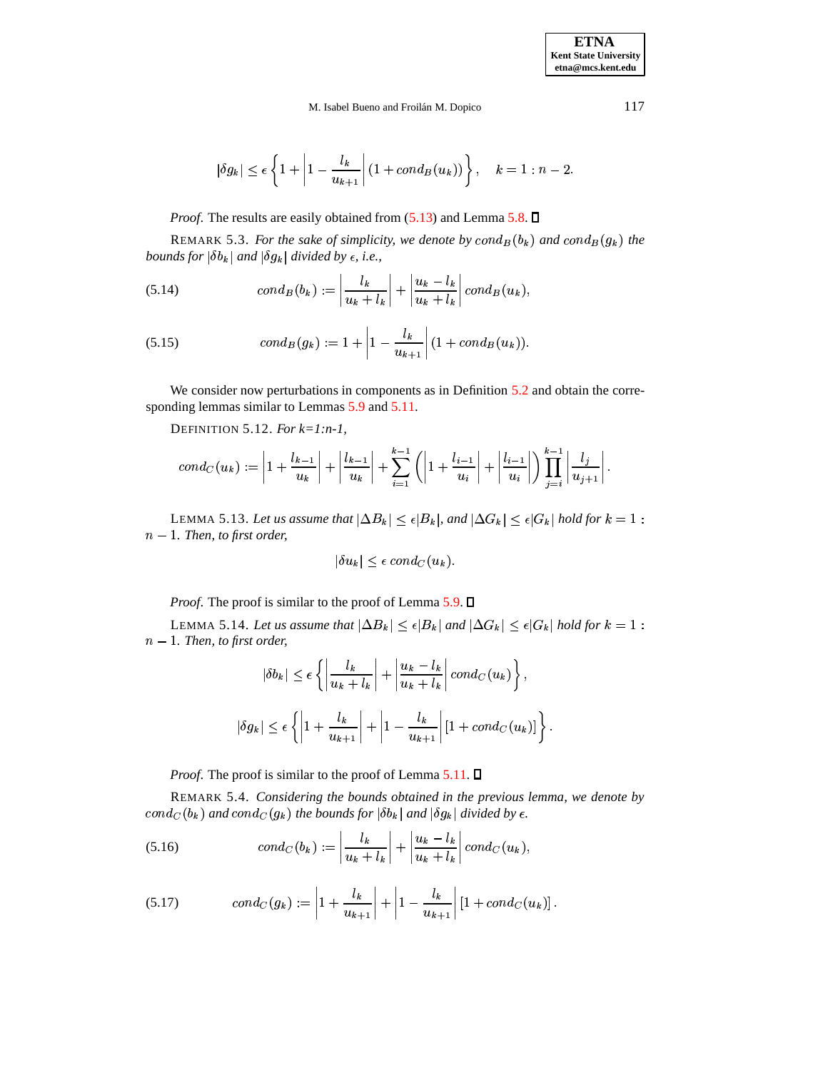$$
|\delta g_k|\leq \epsilon\left\{1+\left|1-\frac{l_k}{u_{k+1}}\right|(1+cond_B(u_k))\right\},\quad k=1:n-2.
$$

*Proof.* The results are easily obtained from [\(5.13\)](#page-15-1) and Lemma [5.8.](#page-14-4)  $\square$ 

REMARK 5.3. For the sake of simplicity, we denote by  $cond_B(b_k)$  and  $cond_B(g_k)$  the *bounds* for  $|\delta b_k|$  and  $|\delta g_k|$  divided by  $\epsilon$ , i.e.,

<span id="page-16-0"></span>(5.14) 
$$
cond_B(b_k) := \left| \frac{l_k}{u_k + l_k} \right| + \left| \frac{u_k - l_k}{u_k + l_k} \right| cond_B(u_k),
$$

<span id="page-16-1"></span>(5.15) 
$$
cond_B(g_k) := 1 + \left| 1 - \frac{l_k}{u_{k+1}} \right| (1 + cond_B(u_k)).
$$

We consider now perturbations in components as in Definition [5.2](#page-12-2) and obtain the corresponding lemmas similar to Lemmas [5.9](#page-15-2) and [5.11.](#page-15-3)

DEFINITION 5.12. *For k=1:n-1,*

$$
cond_C(u_k):=\left|1+\frac{l_{k-1}}{u_k}\right|+\left|\frac{l_{k-1}}{u_k}\right|+\sum_{i=1}^{k-1}\left(\left|1+\frac{l_{i-1}}{u_i}\right|+\left|\frac{l_{i-1}}{u_i}\right|\right)\prod_{j=i}^{k-1}\left|\frac{l_j}{u_{j+1}}\right|.
$$

LEMMA 5.13. Let us assume that  $|\Delta B_k| \leq \epsilon |B_k|$ , and  $|\Delta G_k| \leq \epsilon |G_k|$  hold for  $k=1$  :  $n - 1$ *. Then, to first order,* 

$$
|\delta u_k|\leq \epsilon\,cond_C(u_k).
$$

*Proof.* The proof is similar to the proof of Lemma [5.9.](#page-15-2)  $\square$ 

<span id="page-16-4"></span>LEMMA 5.14. Let us assume that  $|\Delta B_k| \leq \epsilon |B_k|$  and  $|\Delta G_k| \leq \epsilon |G_k|$  hold for  $k=1$  :  $n - 1$ . Then, to first order,

$$
|\delta b_k| \le \epsilon \left\{ \left| \frac{l_k}{u_k + l_k} \right| + \left| \frac{u_k - l_k}{u_k + l_k} \right| \operatorname{cond}_C(u_k) \right\},\
$$
  

$$
|\delta g_k| \le \epsilon \left\{ \left| 1 + \frac{l_k}{u_{k+1}} \right| + \left| 1 - \frac{l_k}{u_{k+1}} \right| [1 + \operatorname{cond}_C(u_k)] \right\}.
$$

*Proof.* The proof is similar to the proof of Lemma  $5.11$ .  $\Box$ 

REMARK 5.4. *Considering the bounds obtained in the previous lemma, we denote by*  $cond_C(b_k)$  and  $cond_C(g_k)$  the bounds for  $|\delta b_k|$  and  $|\delta g_k|$  divided by  $\epsilon$ .

<span id="page-16-2"></span>(5.16) 
$$
cond_C(b_k) := \left| \frac{l_k}{u_k + l_k} \right| + \left| \frac{u_k - l_k}{u_k + l_k} \right| cond_C(u_k),
$$

<span id="page-16-3"></span>
$$
(5.17) \qquad cond_C(g_k) := \left| 1 + \frac{l_k}{u_{k+1}} \right| + \left| 1 - \frac{l_k}{u_{k+1}} \right| \left[ 1 + cond_C(u_k) \right].
$$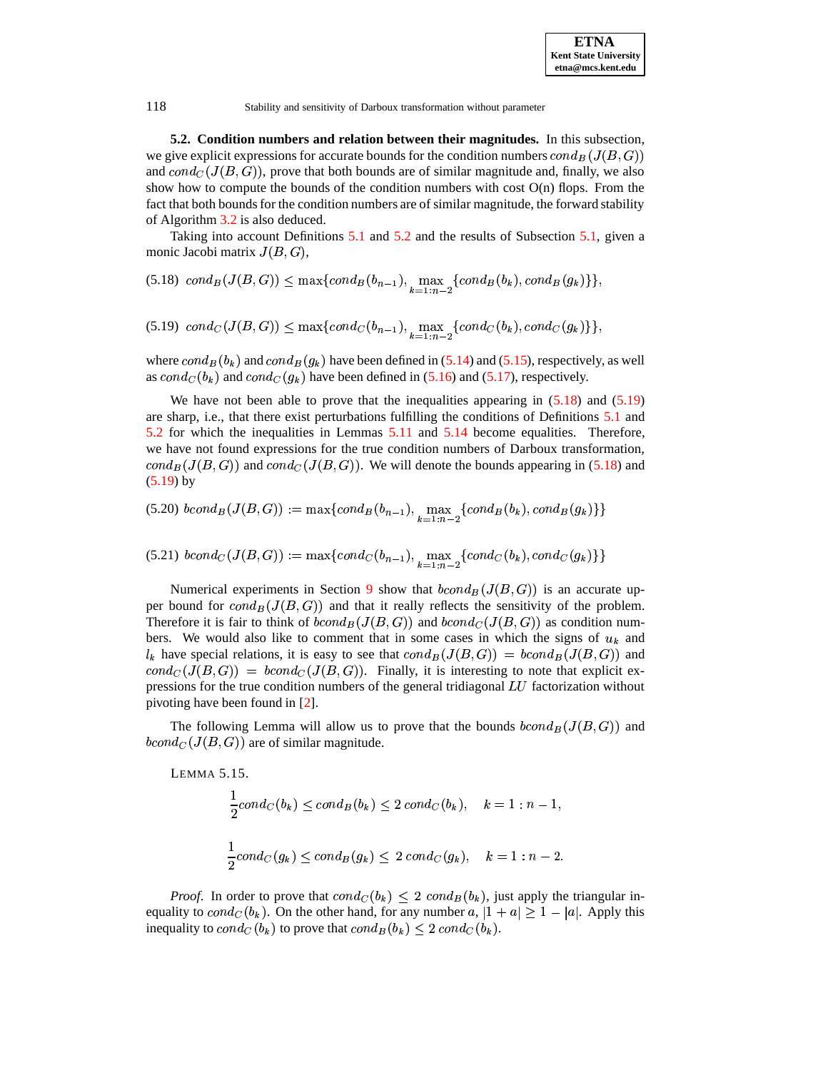<span id="page-17-0"></span>**5.2. Condition numbers and relation between their magnitudes.** In this subsection, we give explicit expressions for accurate bounds for the condition numbers  $cond_B(J(B,G))$ and  $cond_C(J(B, G))$ , prove that both bounds are of similar magnitude and, finally, we also show how to compute the bounds of the condition numbers with cost  $O(n)$  flops. From the fact that both bounds for the condition numbers are of similar magnitude, the forward stability of Algorithm [3.2](#page-6-1) is also deduced.

Taking into account Definitions [5.1](#page-12-1) and [5.2](#page-12-2) and the results of Subsection [5.1,](#page-13-5) given a monic Jacobi matrix  $J(B, G)$ ,

<span id="page-17-1"></span>(5.18)  $cond_B(J(B, G)) \le \max\{cond_B(b_{n-1}), \max_{k=1:n-2} \{cond_B(b_k), cond_B(g_k)\}\},\$ 

<span id="page-17-2"></span> $(5.19) \quad cond_C(J(B, G)) \leq \max\{cond_C(b_{n-1}), \max_{k=1:n-2}\{cond_C(b_k), cond_C(g_k)\}\},$ 

where  $cond_B(b_k)$  and  $cond_B(g_k)$  have been defined in [\(5.14\)](#page-16-0) and [\(5.15\)](#page-16-1), respectively, as well as  $cond_C(b_k)$  and  $cond_C(g_k)$  have been defined in [\(5.16\)](#page-16-2) and [\(5.17\)](#page-16-3), respectively.

We have not been able to prove that the inequalities appearing in  $(5.18)$  and  $(5.19)$ are sharp, i.e., that there exist perturbations fulfilling the conditions of Definitions [5.1](#page-12-1) and [5.2](#page-12-2) for which the inequalities in Lemmas [5.11](#page-15-3) and [5.14](#page-16-4) become equalities. Therefore, we have not found expressions for the true condition numbers of Darboux transformation,  $cond_B(J(B, G))$  and  $cond_C(J(B, G))$ . We will denote the bounds appearing in [\(5.18\)](#page-17-1) and  $(5.19)$  by

<span id="page-17-3"></span>
$$
(5.20) \; bcond_B(J(B, G)) := \max\{cond_B(b_{n-1}), \max_{k=1:n-2} \{cond_B(b_k), cond_B(g_k)\}\}
$$

 $(5.21) \; bcond_C(J(B,G)) := \max \{ cond_C(b_{n-1}), \max_{k=1:n-2} \{ cond_C(b_k), cond_C(g_k)\} \}$ 

Numerical experiments in Section [9](#page-33-0) show that  $bcond_B(J(B, G))$  is an accurate upper bound for  $cond_B(J(B, G))$  and that it really reflects the sensitivity of the problem. Therefore it is fair to think of  $bcond_B(J(B, G))$  and  $bcond_C(J(B, G))$  as condition numbers. We would also like to comment that in some cases in which the signs of  $u_k$  and  $l_k$  have special relations, it is easy to see that  $cond_B(J(B, G)) = bond_B(J(B, G))$  and  $cond_C(J(B, G)) = bond_C(J(B, G))$ . Finally, it is interesting to note that explicit expressions for the true condition numbers of the general tridiagonal  $LU$  factorization without pivoting have been found in [\[2\]](#page-35-14).

The following Lemma will allow us to prove that the bounds  $bcond_B(J(B, G))$  and  $bcond_{C}(J(B,G))$  are of similar magnitude.

LEMMA 5.15.

$$
\frac{1}{2}cond_C(b_k) \leq cond_B(b_k) \leq 2\ cond_C(b_k), \quad k = 1 : n - 1,
$$
  

$$
\frac{1}{2}cond_C(g_k) \leq cond_B(g_k) \leq 2\ cond_C(g_k), \quad k = 1 : n - 2.
$$

*Proof.* In order to prove that  $cond_C(b_k) \leq 2$   $cond_B(b_k)$ , just apply the triangular inequality to  $cond_{\mathcal{C}}(b_k)$ . On the other hand, for any number  $a, |1 + a| \geq 1 - |a|$ . Apply this inequality to  $cond_C(b_k)$  to prove that  $cond_B(b_k) \leq 2$   $cond_C(b_k)$ .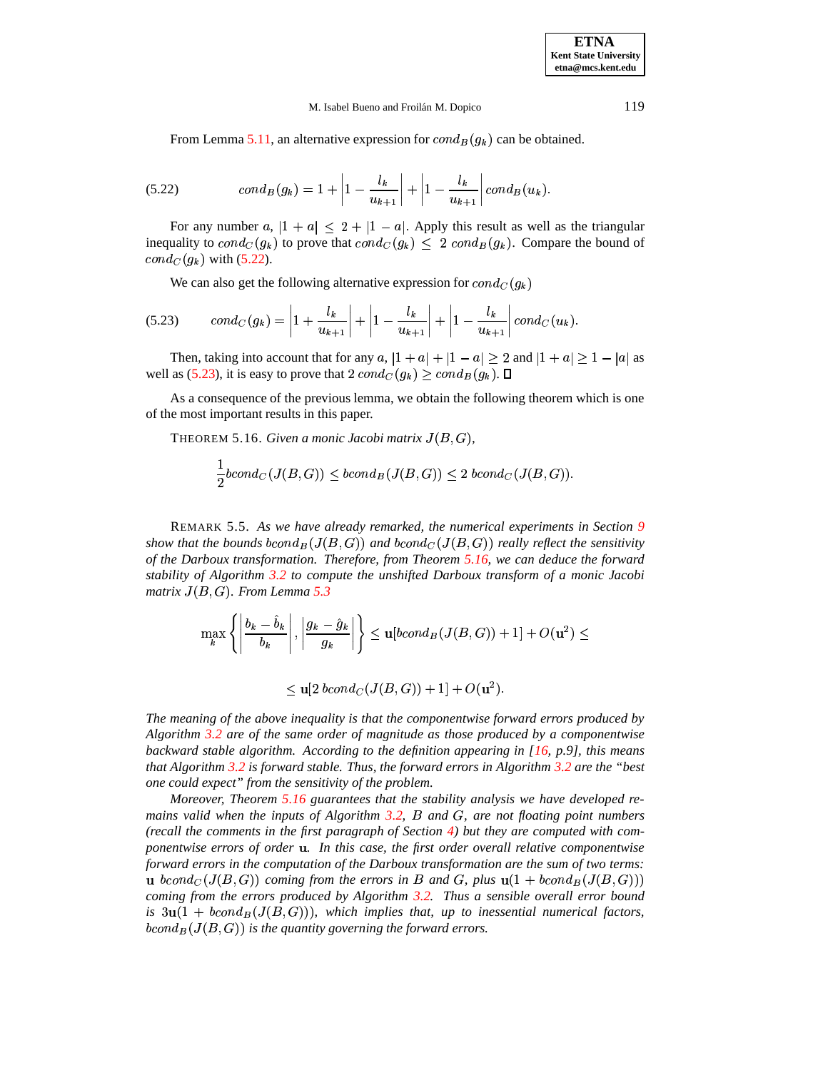From Lemma [5.11,](#page-15-3) an alternative expression for  $cond_B(g_k)$  can be obtained.

<span id="page-18-1"></span>
$$
(5.22) \tcond_B(g_k) = 1 + \left| 1 - \frac{l_k}{u_{k+1}} \right| + \left| 1 - \frac{l_k}{u_{k+1}} \right| cond_B(u_k).
$$

For any number  $a, |1 + a| \leq 2 + |1 - a|$ . Apply this result as well as the triangular inequality to  $cond_C(g_k)$  to prove that  $cond_C(g_k) \leq 2$   $cond_B(g_k)$ . Compare the bound of  $cond_C(g_k)$  with [\(5.22\)](#page-18-1).

We can also get the following alternative expression for  $cond_C(g_k)$ 

<span id="page-18-2"></span>
$$
(5.23) \qquad cond_C(g_k) = \left| 1 + \frac{l_k}{u_{k+1}} \right| + \left| 1 - \frac{l_k}{u_{k+1}} \right| + \left| 1 - \frac{l_k}{u_{k+1}} \right| cond_C(u_k).
$$

Then, taking into account that for any  $a$ ,  $|1 + a| + |1 - a| \ge 2$  and  $|1 + a| \ge 1 - |a|$  as well as [\(5.23\)](#page-18-2), it is easy to prove that  $2 \text{ cond}_C(g_k) \geq \text{cond}_B(g_k)$ .  $\Box$ 

<span id="page-18-3"></span>As a consequence of the previous lemma, we obtain the following theorem which is one of the most important results in this paper.

 $THEOREM 5.16. *Given a monic Jacobi matrix*  $J(B, G)$ ,$ 

$$
\frac{1}{2}bcond_C(J(B,G)) \leq bcond_B(J(B,G)) \leq 2\;bcond_C(J(B,G)).
$$

<span id="page-18-0"></span>REMARK 5.5. *As we have already remarked, the numerical experiments in Section [9](#page-33-0)* show that the bounds  $bcond_B(J(B, G))$  and  $bcond_C(J(B, G))$  really reflect the sensitivity *of the Darboux transformation. Therefore, from Theorem [5.16,](#page-18-3) we can deduce the forward stability of Algorithm [3.2](#page-6-1) to compute the unshifted Darboux transform of a monic Jacobi matrix*  $J(B, G)$ *. From Lemma* [5.3](#page-12-3)

$$
\max_{k} \left\{ \left| \frac{b_k - \hat{b}_k}{b_k} \right|, \left| \frac{g_k - \hat{g}_k}{g_k} \right| \right\} \leq \mathbf{u}[bcond_B(J(B, G)) + 1] + O(\mathbf{u}^2) \leq
$$

$$
\leq \mathbf{u}[2\text{ }bcond_C(J(B,G))+1]+O(\mathbf{u}^2).
$$

*The meaning of the above inequality is that the componentwise forward errors produced by Algorithm [3.2](#page-6-1) are of the same order of magnitude as those produced by a componentwise backward stable algorithm. According to the definition appearing in [\[16,](#page-35-12) p.9], this means that Algorithm [3.2](#page-6-1) is forward stable. Thus, the forward errors in Algorithm [3.2](#page-6-1) are the "best one could expect" from the sensitivity of the problem.*

*Moreover, Theorem [5.16](#page-18-3) guarantees that the stability analysis we have developed remains valid when the inputs of Algorithm [3.2,](#page-6-1)* <sup>J</sup> *and* <sup>M</sup>*, are not floating point numbers (recall the comments in the first paragraph of Section [4\)](#page-9-0) but they are computed with componentwise errors of order . In this case, the first order overall relative componentwise forward errors in the computation of the Darboux transformation are the sum of two terms:* **u** bcond<sub>C</sub>( $J(B, G)$ ) coming from the errors in B and G, plus  $\mathbf{u}(1 + bcond_B(J(B, G)))$ *coming from the errors produced by Algorithm [3.2.](#page-6-1) Thus a sensible overall error bound is*  $3u(1 + bcond_B(J(B, G)))$ , which implies that, up to inessential numerical factors,  $bcond_B(J(B, G))$  is the quantity governing the forward errors.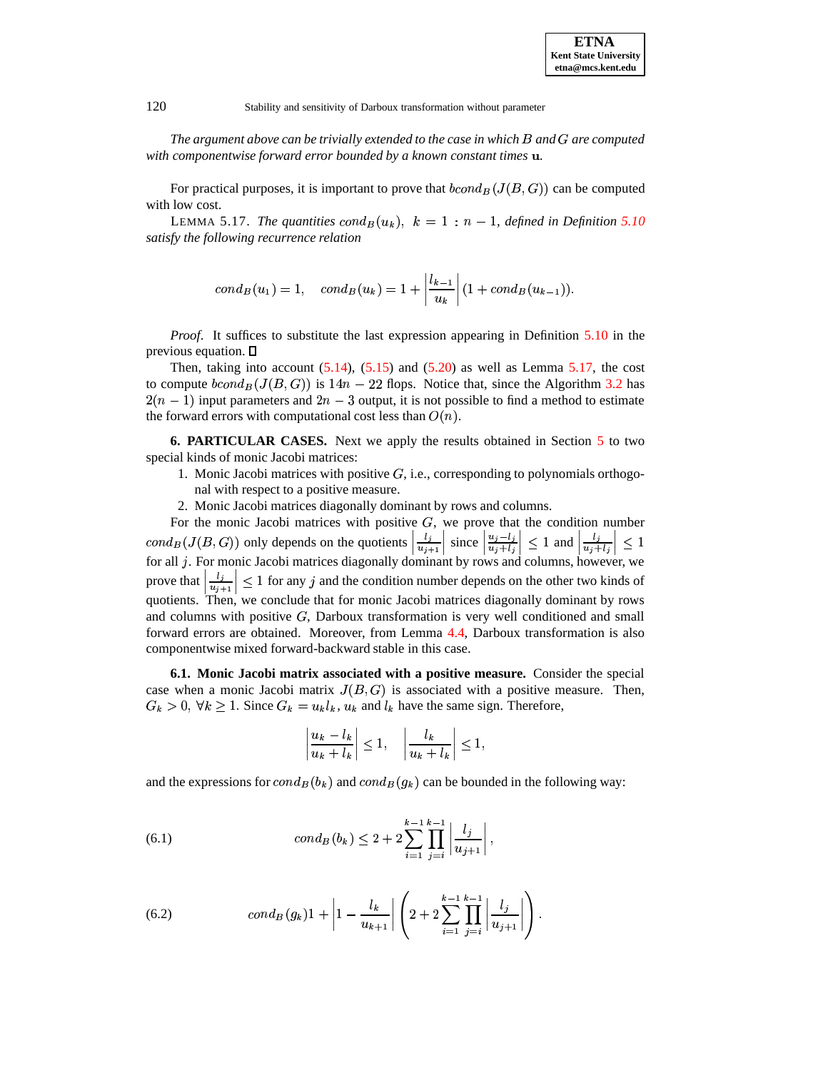*The argument above can be trivially extended to the case in which* <sup>J</sup> *and* <sup>M</sup> *are computed with componentwise forward error bounded by a known constant times .*

<span id="page-19-0"></span>For practical purposes, it is important to prove that  $bcond_B(J(B,G))$  can be computed with low cost.

LEMMA 5.17. *The quantities*  $cond_B(u_k)$ ,  $k = 1 : n - 1$ , defined in Definition [5.10](#page-15-4) *satisfy the following recurrence relation*

$$
cond_B(u_1)=1, cond_B(u_k)=1+\left|\frac{l_{k-1}}{u_k}\right|(1+cond_B(u_{k-1})).
$$

*Proof*. It suffices to substitute the last expression appearing in Definition [5.10](#page-15-4) in the previous equation.  $\square$ 

Then, taking into account  $(5.14)$ ,  $(5.15)$  and  $(5.20)$  as well as Lemma [5.17,](#page-19-0) the cost to compute  $bcond_B(J(B, G))$  is  $14n - 22$  flops. Notice that, since the Algorithm [3.2](#page-6-1) has  $2(n - 1)$  input parameters and  $2n - 3$  output, it is not possible to find a method to estimate the forward errors with computational cost less than  $O(n)$ .

**6. PARTICULAR CASES.** Next we apply the results obtained in Section [5](#page-12-0) to two special kinds of monic Jacobi matrices:

- 1. Monic Jacobi matrices with positive  $G$ , i.e., corresponding to polynomials orthogonal with respect to a positive measure.
- 2. Monic Jacobi matrices diagonally dominant by rows and columns.

For the monic Jacobi matrices with positive  $G$ , we prove that the condition number  $cond_B(J(B, G))$  only depends on the quotients  $\left| \frac{l_j}{u_{i+1}} \right|$  sin  $\left| \text{ since } \left| \frac{u_j - l_j}{u_j + l_j} \right| \leq 1 \text{ and }$  $\left| \leq 1 \text{ and } \frac{l_j}{u_j + l_j} \right| \leq$  $cond_B(J(B, G))$  only depends on the quotients  $\left|\frac{l_j}{u_j+l_1}\right|$  since  $\left|\frac{u_j-l_j}{u_j+l_j}\right| \leq 1$  and  $\left|\frac{l_j}{u_j+l_j}\right| \leq 1$  for all j. For monic Jacobi matrices diagonally dominant by rows and columns, however, we prove that  $\left|\frac{i_j}{n_{i+1}}\right| \leq 1$  for any j and the condition number depends on the other two kinds of quotients. Then, we conclude that for monic Jacobi matrices diagonally dominant by rows and columns with positive  $G$ , Darboux transformation is very well conditioned and small forward errors are obtained. Moreover, from Lemma [4.4,](#page-11-1) Darboux transformation is also componentwise mixed forward-backward stable in this case.

<span id="page-19-3"></span>**6.1. Monic Jacobi matrix associated with a positive measure.** Consider the special case when a monic Jacobi matrix  $J(B, G)$  is associated with a positive measure. Then,  $G_k > 0$ ,  $\forall k \ge 1$ . Since  $G_k = u_k l_k$ ,  $u_k$  and  $l_k$  have the same sign. Therefore,

$$
\left|\frac{u_k - l_k}{u_k + l_k}\right| \le 1, \quad \left|\frac{l_k}{u_k + l_k}\right| \le 1,
$$

and the expressions for  $cond_B(b_k)$  and  $cond_B(g_k)$  can be bounded in the following way:

<span id="page-19-1"></span>(6.1) 
$$
cond_B(b_k) \leq 2 + 2 \sum_{i=1}^{k-1} \prod_{j=i}^{k-1} \left| \frac{l_j}{u_{j+1}} \right|,
$$

<span id="page-19-2"></span>(6.2) 
$$
cond_B(g_k)1 + \left| 1 - \frac{l_k}{u_{k+1}} \right| \left( 2 + 2 \sum_{i=1}^{k-1} \prod_{j=i}^{k-1} \left| \frac{l_j}{u_{j+1}} \right| \right).
$$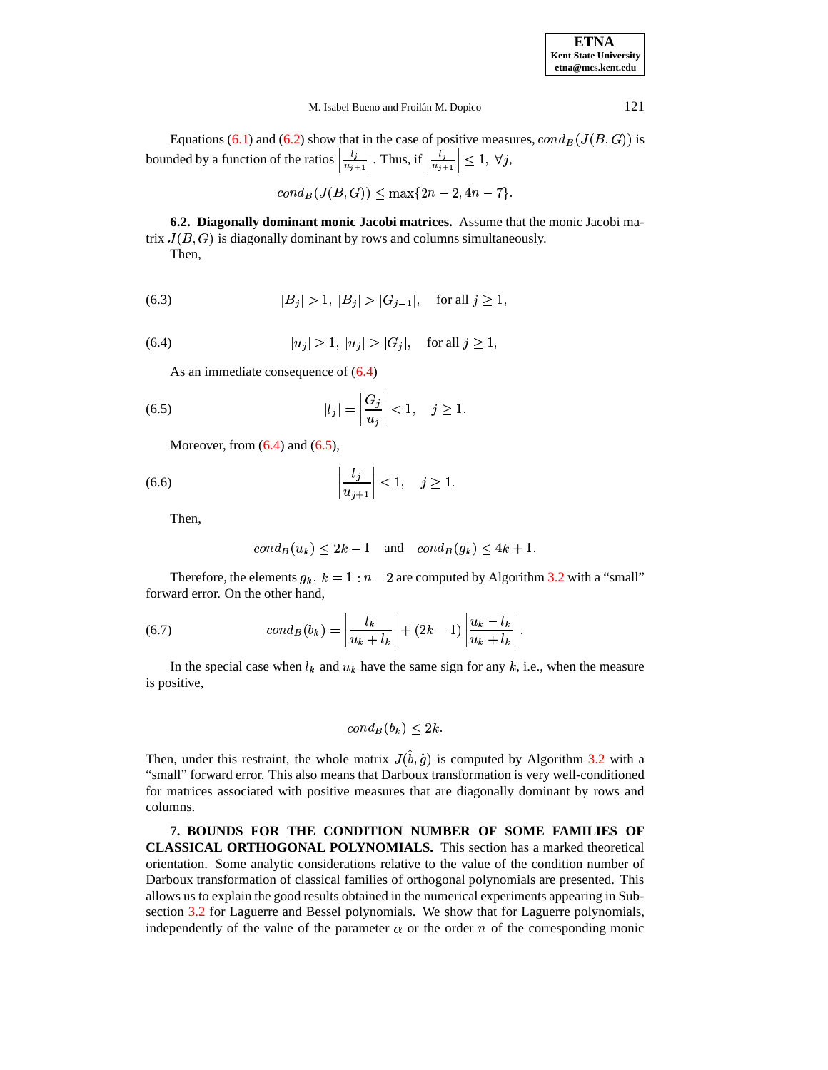| <b>ETNA</b>                  |
|------------------------------|
| <b>Kent State University</b> |
| etna@mcs.kent.edu            |

Equations [\(6.1\)](#page-19-1) and [\(6.2\)](#page-19-2) show that in the case of positive measures,  $cond_B(J(B, G))$  is bounded by a function of the ratios  $\left| \frac{l_i}{l_{i+1}} \right|$ . The . Thus, if  $\left| \frac{l_j}{u_{j+1}} \right| \leq$  $\vert \leq 1, \; \forall j,$ 

$$
cond_B(J(B, G)) \le \max\{2n-2, 4n-7\}.
$$

**6.2. Diagonally dominant monic Jacobi matrices.** Assume that the monic Jacobi matrix  $J(B, G)$  is diagonally dominant by rows and columns simultaneously. Then,

(6.3) 
$$
|B_j| > 1, |B_j| > |G_{j-1}|, \text{ for all } j \ge 1,
$$

<span id="page-20-1"></span>(6.4) 
$$
|u_j| > 1, |u_j| > |G_j|
$$
, for all  $j \ge 1$ ,

<span id="page-20-2"></span>As an immediate consequence of [\(6.4\)](#page-20-1)

(6.5) 
$$
|l_j| = \left|\frac{G_j}{u_j}\right| < 1, \quad j \ge 1.
$$

Moreover, from  $(6.4)$  and  $(6.5)$ ,

$$
\left|\frac{l_j}{u_{j+1}}\right| < 1, \quad j \ge 1.
$$

Then,

$$
cond_B(u_k) \le 2k - 1 \quad \text{and} \quad cond_B(g_k) \le 4k + 1.
$$

Therefore, the elements  $g_k$ ,  $k = 1 : n - 2$  are computed by Algorithm [3.2](#page-6-1) with a "small" forward error. On the other hand,

(6.7) 
$$
cond_B(b_k) = \left| \frac{l_k}{u_k + l_k} \right| + (2k - 1) \left| \frac{u_k - l_k}{u_k + l_k} \right|.
$$

In the special case when  $l_k$  and  $u_k$  have the same sign for any k, i.e., when the measure is positive,

$$
cond_B(b_k) \leq 2k.
$$

Then, under this restraint, the whole matrix  $J(\hat{b}, \hat{g})$  is computed by Algorithm [3.2](#page-6-1) with a "small" forward error. This also means that Darboux transformation is very well-conditioned for matrices associated with positive measures that are diagonally dominant by rows and columns.

<span id="page-20-0"></span>**7. BOUNDS FOR THE CONDITION NUMBER OF SOME FAMILIES OF CLASSICAL ORTHOGONAL POLYNOMIALS.** This section has a marked theoretical orientation. Some analytic considerations relative to the value of the condition number of Darboux transformation of classical families of orthogonal polynomials are presented. This allows us to explain the good results obtained in the numerical experiments appearing in Subsection [3.2](#page-7-0) for Laguerre and Bessel polynomials. We show that for Laguerre polynomials, independently of the value of the parameter  $\alpha$  or the order n of the corresponding monic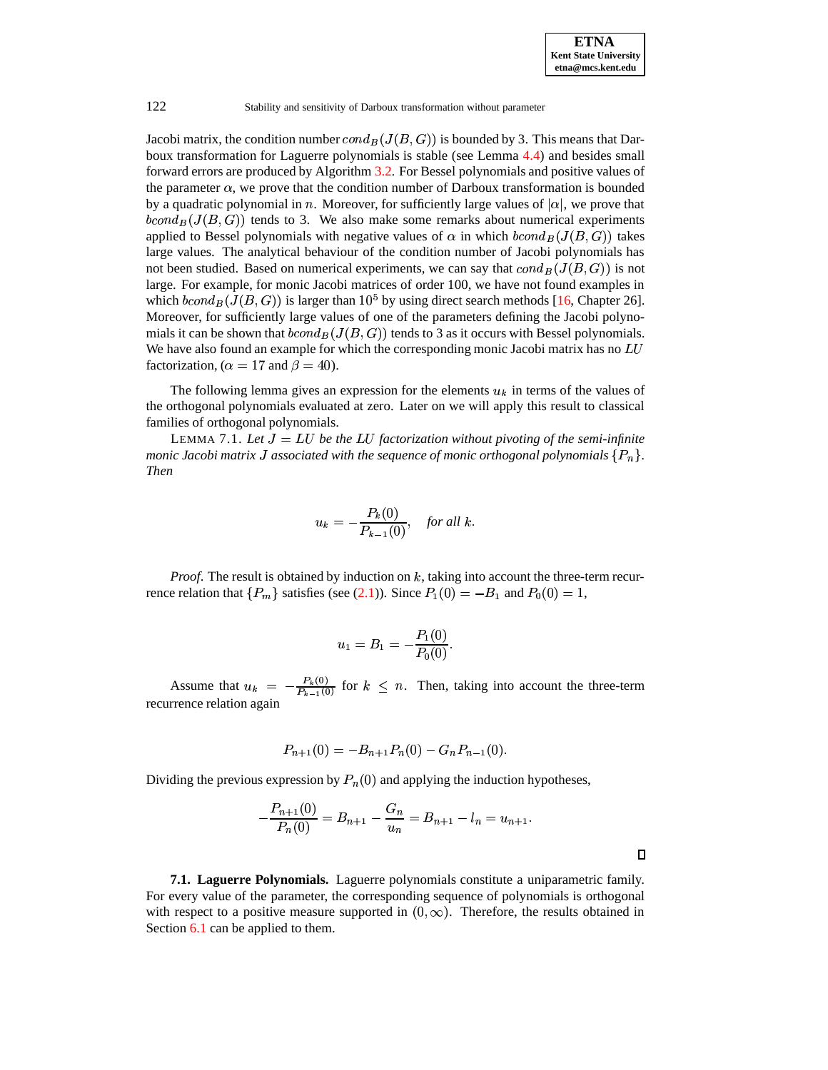$\Box$ 

#### 122 Stability and sensitivity of Darboux transformation without parameter

Jacobi matrix, the condition number  $cond_B(J(B,G))$  is bounded by 3. This means that Darboux transformation for Laguerre polynomials is stable (see Lemma [4.4\)](#page-11-1) and besides small forward errors are produced by Algorithm [3.2.](#page-6-1) For Bessel polynomials and positive values of the parameter  $\alpha$ , we prove that the condition number of Darboux transformation is bounded by a quadratic polynomial in n. Moreover, for sufficiently large values of  $|\alpha|$ , we prove that  $bcond_B(J(B, G))$  tends to 3. We also make some remarks about numerical experiments applied to Bessel polynomials with negative values of  $\alpha$  in which  $bcond_B(J(B,G))$  takes large values. The analytical behaviour of the condition number of Jacobi polynomials has not been studied. Based on numerical experiments, we can say that  $cond_B(J(B, G))$  is not large. For example, for monic Jacobi matrices of order 100, we have not found examples in which  $bcond_B(J(B, G))$  is larger than  $10^5$  by using direct search methods [\[16,](#page-35-12) Chapter 26]. Moreover, for sufficiently large values of one of the parameters defining the Jacobi polynomials it can be shown that  $bcond_B(J(B, G))$  tends to 3 as it occurs with Bessel polynomials. We have also found an example for which the corresponding monic Jacobi matrix has no LU factorization, ( $\alpha = 17$  and  $\beta = 40$ ).

<span id="page-21-0"></span>The following lemma gives an expression for the elements  $u_k$  in terms of the values of the orthogonal polynomials evaluated at zero. Later on we will apply this result to classical families of orthogonal polynomials.

LEMMA 7.1. Let  $J = LU$  be the LU factorization without pivoting of the semi-infinite *monic Jacobi matrix*  $J$  *associated with the sequence of monic orthogonal polynomials*  $\{P_n\}.$ *Then*

$$
u_k = -\frac{P_k(0)}{P_{k-1}(0)}, \quad \text{for all } k.
$$

*Proof.* The result is obtained by induction on  $k$ , taking into account the three-term recurrence relation that  $\{P_m\}$  satisfies (see [\(2.1\)](#page-3-0)). Since  $P_1(0) = -B_1$  and  $P_0(0) = 1$ ,

$$
u_1=B_1=-\frac{P_1(0)}{P_0(0)}.
$$

Assume that  $u_k = -\frac{P_k(0)}{P_{k-1}(0)}$  for  $(0)$   $\sim$  $\frac{\partial f(t)}{\partial x(t)}$  for  $k \leq n$ . Then, taking into account the three-term recurrence relation again

$$
P_{n+1}(0) = -B_{n+1}P_n(0) - G_n P_{n-1}(0).
$$

Dividing the previous expression by  $P_n(0)$  and applying the induction hypotheses,

$$
-\frac{P_{n+1}(0)}{P_n(0)} = B_{n+1} - \frac{G_n}{u_n} = B_{n+1} - l_n = u_{n+1}.
$$

**7.1. Laguerre Polynomials.** Laguerre polynomials constitute a uniparametric family. For every value of the parameter, the corresponding sequence of polynomials is orthogonal with respect to a positive measure supported in  $(0, \infty)$ . Therefore, the results obtained in Section [6.1](#page-19-3) can be applied to them.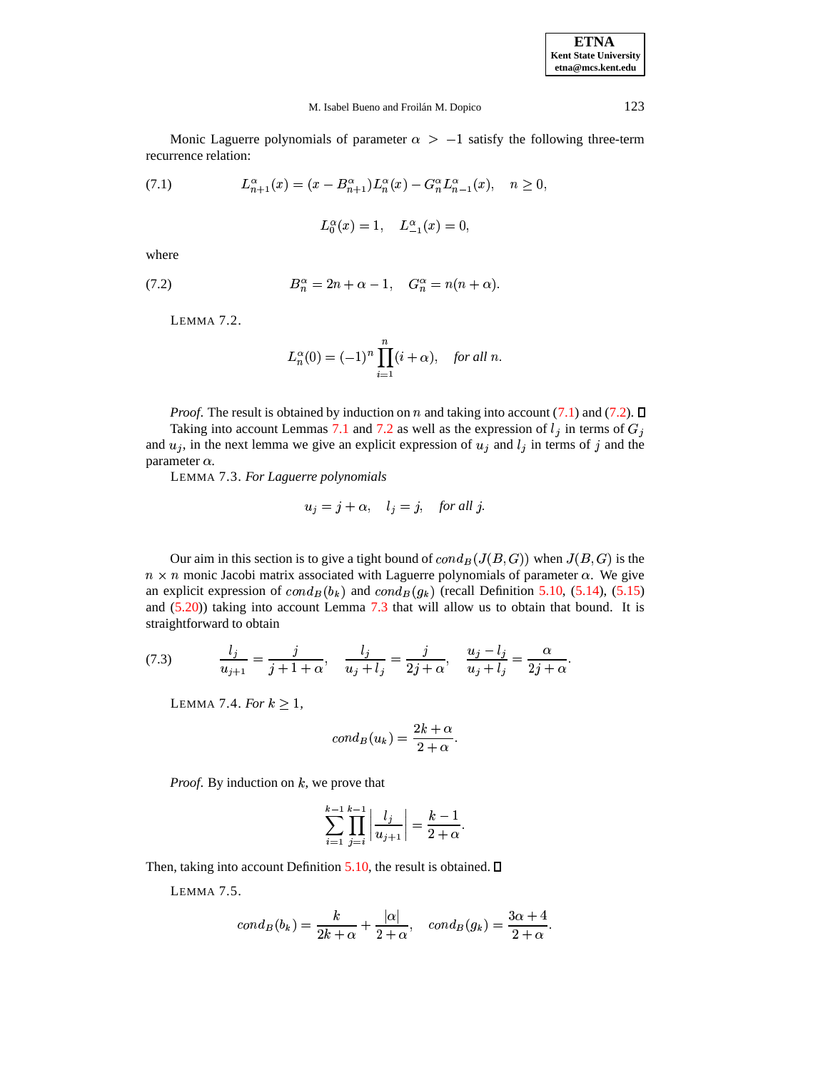**ETNA Kent State University etna@mcs.kent.edu**

#### M. Isabel Bueno and Froilán M. Dopico 123

Monic Laguerre polynomials of parameter  $\alpha$  >  $-1$  satisfy the following three-term recurrence relation:

<span id="page-22-0"></span>(7.1) 
$$
L_{n+1}^{\alpha}(x) = (x - B_{n+1}^{\alpha})L_n^{\alpha}(x) - G_n^{\alpha}L_{n-1}^{\alpha}(x), \quad n \ge 0,
$$

$$
L_0^\alpha(x)=1,\quad L_{-1}^\alpha(x)=0,
$$

<span id="page-22-1"></span>where

<span id="page-22-2"></span>(7.2) 
$$
B_n^{\alpha} = 2n + \alpha - 1, \quad G_n^{\alpha} = n(n + \alpha).
$$

LEMMA 7.2.

$$
L_n^{\alpha}(0) = (-1)^n \prod_{i=1}^n (i + \alpha), \quad \text{for all } n.
$$

*Proof.* The result is obtained by induction on n and taking into account [\(7.1\)](#page-22-0) and [\(7.2\)](#page-22-1).  $\Box$ 

<span id="page-22-3"></span>Taking into account Lemmas [7.1](#page-21-0) and [7.2](#page-22-2) as well as the expression of  $l_j$  in terms of  $G_j$ and  $u_j$ , in the next lemma we give an explicit expression of  $u_j$  and  $l_j$  in terms of j and the parameter  $\alpha$ .

LEMMA 7.3. *For Laguerre polynomials*

$$
u_j = j + \alpha, \quad l_j = j, \quad \text{for all } j.
$$

Our aim in this section is to give a tight bound of  $cond_B(J(B, G))$  when  $J(B, G)$  is the  $n \times n$  monic Jacobi matrix associated with Laguerre polynomials of parameter  $\alpha$ . We give an explicit expression of  $cond_B(b_k)$  and  $cond_B(g_k)$  (recall Definition [5.10,](#page-15-4) [\(5.14\)](#page-16-0), [\(5.15\)](#page-16-1) and  $(5.20)$ ) taking into account Lemma [7.3](#page-22-3) that will allow us to obtain that bound. It is straightforward to obtain

<span id="page-22-5"></span><span id="page-22-4"></span>(7.3) 
$$
\frac{l_j}{u_{j+1}} = \frac{j}{j+1+\alpha}, \quad \frac{l_j}{u_j+l_j} = \frac{j}{2j+\alpha}, \quad \frac{u_j-l_j}{u_j+l_j} = \frac{\alpha}{2j+\alpha}.
$$

LEMMA 7.4. *For*  $k \geq 1$ ,

$$
cond_B(u_k) = \frac{2k+\alpha}{2+\alpha}.
$$

*Proof.* By induction on  $k$ , we prove that

$$
\sum_{i=1}^{k-1}\prod_{j=i}^{k-1}\left|\frac{l_j}{u_{j+1}}\right|=\frac{k-1}{2+\alpha}.
$$

<span id="page-22-6"></span>Then, taking into account Definition [5.10,](#page-15-4) the result is obtained.  $\square$ 

LEMMA 7.5.

$$
cond_B(b_k)=\frac{k}{2k+\alpha}+\frac{|\alpha|}{2+\alpha},\quad cond_B(g_k)=\frac{3\alpha+4}{2+\alpha}.
$$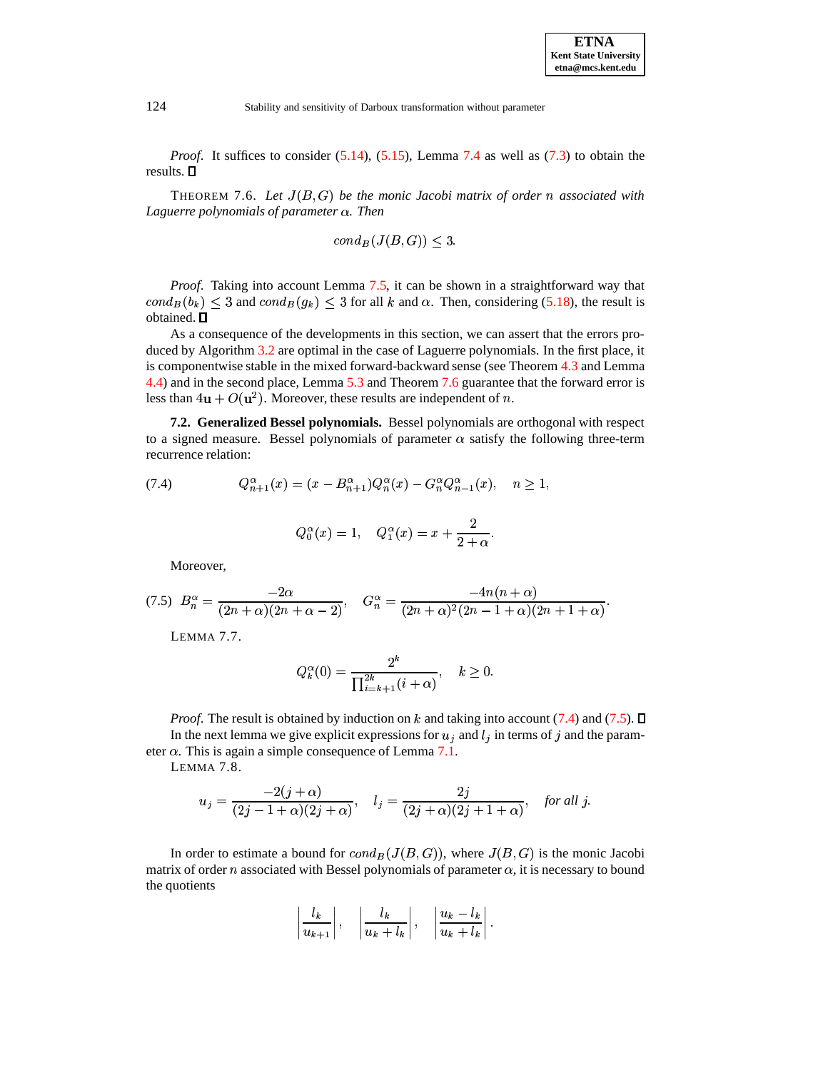<span id="page-23-0"></span>*Proof.* It suffices to consider [\(5.14\)](#page-16-0), [\(5.15\)](#page-16-1), Lemma [7.4](#page-22-4) as well as [\(7.3\)](#page-22-5) to obtain the results.

THEOREM 7.6. Let  $J(B, G)$  be the monic Jacobi matrix of order n associated with *Laguerre polynomials of parameter . Then*

$$
cond_B(J(B,G)) \leq 3.
$$

*Proof*. Taking into account Lemma [7.5,](#page-22-6) it can be shown in a straightforward way that  $cond_B(b_k) \leq 3$  and  $cond_B(g_k) \leq 3$  for all k and  $\alpha$ . Then, considering [\(5.18\)](#page-17-1), the result is obtained.  $\square$ 

As a consequence of the developments in this section, we can assert that the errors produced by Algorithm [3.2](#page-6-1) are optimal in the case of Laguerre polynomials. In the first place, it is componentwise stable in the mixed forward-backward sense (see Theorem [4.3](#page-11-0) and Lemma [4.4\)](#page-11-1) and in the second place, Lemma [5.3](#page-12-3) and Theorem [7.6](#page-23-0) guarantee that the forward error is less than  $4u + O(u^2)$ . Moreover, these results are independent of n.

**7.2. Generalized Bessel polynomials.** Bessel polynomials are orthogonal with respect to a signed measure. Bessel polynomials of parameter  $\alpha$  satisfy the following three-term recurrence relation:

<span id="page-23-1"></span>(7.4) 
$$
Q_{n+1}^{\alpha}(x) = (x - B_{n+1}^{\alpha})Q_n^{\alpha}(x) - G_n^{\alpha}Q_{n-1}^{\alpha}(x), \quad n \ge 1,
$$

$$
Q_0^{\alpha}(x) = 1, \quad Q_1^{\alpha}(x) = x + \frac{2}{2 + \alpha}.
$$

Moreover,

<span id="page-23-2"></span>
$$
(7.5) \ B_n^{\alpha} = \frac{-2\alpha}{(2n+\alpha)(2n+\alpha-2)}, \quad G_n^{\alpha} = \frac{-4n(n+\alpha)}{(2n+\alpha)^2(2n-1+\alpha)(2n+1+\alpha)}.
$$

LEMMA 7.7.

$$
Q_k^{\alpha}(0) = \frac{2^k}{\prod_{i=k+1}^{2k} (i+\alpha)}, \quad k \ge 0.
$$

 $\blacksquare$  . The contract of the contract of the contract of the contract of the contract of the contract of the contract of the contract of the contract of the contract of the contract of the contract of the contract of the

<span id="page-23-3"></span>*Proof.* The result is obtained by induction on  $k$  and taking into account [\(7.4\)](#page-23-1) and [\(7.5\)](#page-23-2). In the next lemma we give explicit expressions for  $u_j$  and  $l_j$  in terms of  $j$  and the parameter  $\alpha$ . This is again a simple consequence of Lemma [7.1.](#page-21-0)

LEMMA 7.8.

$$
u_j = \frac{-2(j+\alpha)}{(2j-1+\alpha)(2j+\alpha)}, \quad l_j = \frac{2j}{(2j+\alpha)(2j+1+\alpha)}, \quad \text{for all } j.
$$

In order to estimate a bound for  $cond_B(J(B, G))$ , where  $J(B, G)$  is the monic Jacobi matrix of order n associated with Bessel polynomials of parameter  $\alpha$ , it is necessary to bound the quotients

$$
\left|\frac{l_k}{u_{k+1}}\right|, \quad \left|\frac{l_k}{u_k+l_k}\right|, \quad \left|\frac{u_k-l_k}{u_k+l_k}\right|.
$$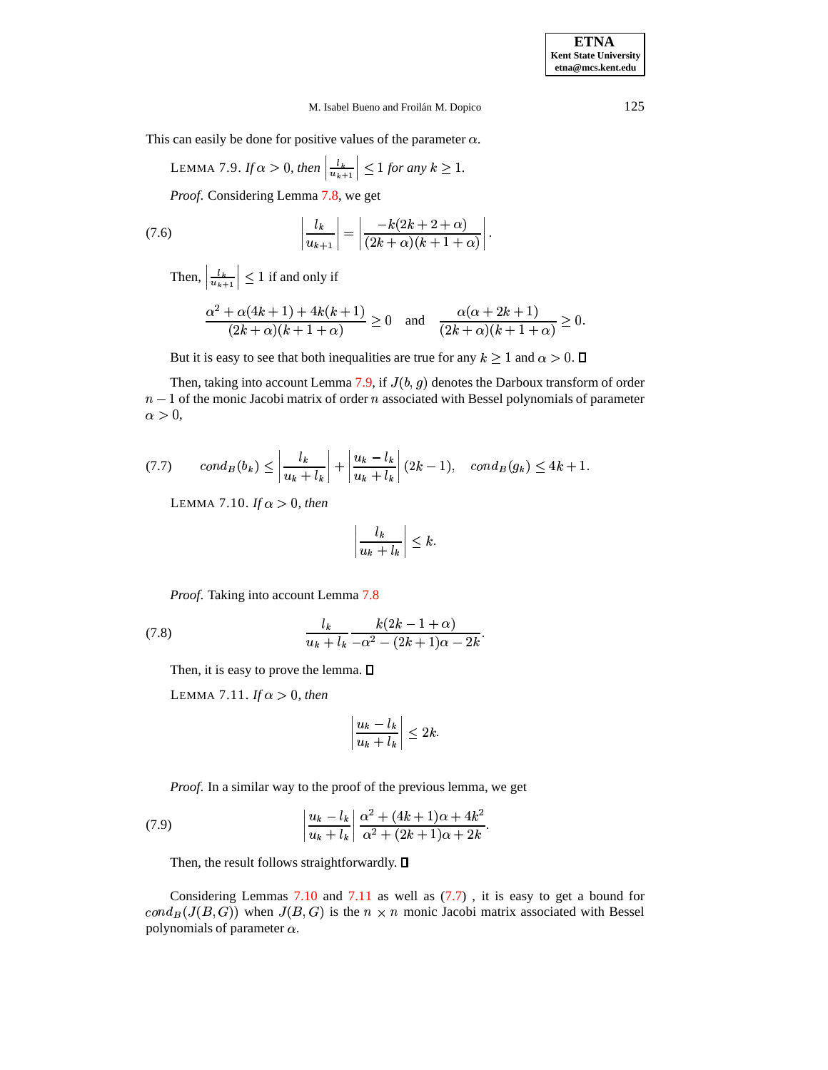<span id="page-24-0"></span>This can easily be done for positive values of the parameter  $\alpha$ .

LEMMA 7.9. If 
$$
\alpha > 0
$$
, then  $\left| \frac{l_k}{u_{k+1}} \right| \le 1$  for any  $k \ge 1$ .

<span id="page-24-4"></span>*Proof*. Considering Lemma [7.8,](#page-23-3) we get

(7.6) 
$$
\left|\frac{l_k}{u_{k+1}}\right| = \left|\frac{-k(2k+2+\alpha)}{(2k+\alpha)(k+1+\alpha)}\right|.
$$

Then,  $\left| \frac{l_k}{u_{k+1}} \right| \leq 1$  $\leq 1$  if and only if

$$
\frac{\alpha^2 + \alpha(4k+1) + 4k(k+1)}{(2k+\alpha)(k+1+\alpha)} \ge 0 \text{ and } \frac{\alpha(\alpha+2k+1)}{(2k+\alpha)(k+1+\alpha)} \ge 0.
$$

But it is easy to see that both inequalities are true for any  $k \geq 1$  and  $\alpha > 0$ .  $\Box$ 

Then, taking into account Lemma [7.9,](#page-24-0) if  $J(b, g)$  denotes the Darboux transform of order  $n-1$  of the monic Jacobi matrix of order n associated with Bessel polynomials of parameter  $\alpha>0,$ 

<span id="page-24-3"></span><span id="page-24-1"></span>
$$
(7.7) \qquad cond_B(b_k) \le \left| \frac{l_k}{u_k + l_k} \right| + \left| \frac{u_k - l_k}{u_k + l_k} \right| (2k - 1), \quad cond_B(g_k) \le 4k + 1.
$$

LEMMA 7.10. *If*  $\alpha > 0$ , then

$$
\left|\frac{l_k}{u_k+l_k}\right| \leq k.
$$

<span id="page-24-5"></span>*Proof*. Taking into account Lemma [7.8](#page-23-3)

<span id="page-24-2"></span>(7.8) 
$$
\frac{l_k}{u_k + l_k} \frac{k(2k - 1 + \alpha)}{-\alpha^2 - (2k + 1)\alpha - 2k}.
$$

Then, it is easy to prove the lemma.  $\square$ 

LEMMA 7.11. *If*  $\alpha > 0$ *, then* 

$$
\left|\frac{u_k-l_k}{u_k+l_k}\right|\leq 2k.
$$

<span id="page-24-6"></span>*Proof*. In a similar way to the proof of the previous lemma, we get

(7.9) 
$$
\frac{u_k - l_k}{u_k + l_k} \left| \frac{\alpha^2 + (4k+1)\alpha + 4k^2}{\alpha^2 + (2k+1)\alpha + 2k} \right|.
$$

Then, the result follows straightforwardly.  $\square$ 

Considering Lemmas [7.10](#page-24-1) and [7.11](#page-24-2) as well as [\(7.7\)](#page-24-3) , it is easy to get a bound for  $cond_B(J(B, G))$  when  $J(B, G)$  is the  $n \times n$  monic Jacobi matrix associated with Bessel polynomials of parameter  $\alpha$ .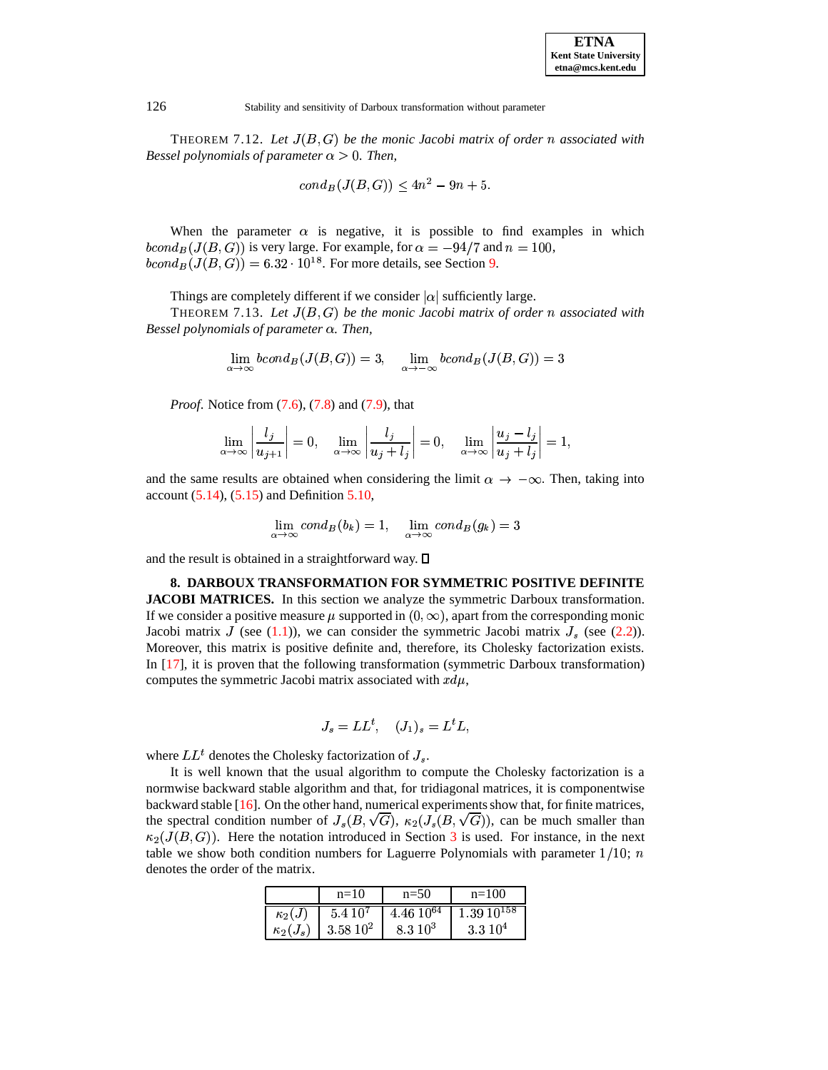THEOREM 7.12. Let  $J(B, G)$  be the monic Jacobi matrix of order n associated with *Bessel polynomials of parameter*  $\alpha > 0$ *. Then,* 

$$
cond_B(J(B, G)) \le 4n^2 - 9n + 5.
$$

When the parameter  $\alpha$  is negative, it is possible to find examples in which  $bcond_B(J(B, G))$  is very large. For example, for  $\alpha = -94/7$  and  $n = 100$ ,  $bcond_B(J(B, G)) = 6.32 \cdot 10^{18}$ . For more details, see Section [9.](#page-33-0)

Things are completely different if we consider  $|\alpha|$  sufficiently large.

**THEOREM** 7.13. Let  $J(B, G)$  be the monic Jacobi matrix of order n associated with *Bessel polynomials of parameter . Then,*

$$
\lim_{\alpha \to \infty} bcond_B(J(B, G)) = 3, \quad \lim_{\alpha \to -\infty} bcond_B(J(B, G)) = 3
$$

*Proof.* Notice from [\(7.6\)](#page-24-4), [\(7.8\)](#page-24-5) and [\(7.9\)](#page-24-6), that

$$
\lim_{\alpha \to \infty} \left| \frac{l_j}{u_{j+1}} \right| = 0, \quad \lim_{\alpha \to \infty} \left| \frac{l_j}{u_j + l_j} \right| = 0, \quad \lim_{\alpha \to \infty} \left| \frac{u_j - l_j}{u_j + l_j} \right| = 1,
$$

and the same results are obtained when considering the limit  $\alpha \to -\infty$ . Then, taking into account  $(5.14)$ ,  $(5.15)$  and Definition [5.10,](#page-15-4)

$$
\lim_{\alpha \to \infty} cond_B(b_k) = 1, \quad \lim_{\alpha \to \infty} cond_B(g_k) = 3
$$

and the result is obtained in a straightforward way.  $\square$ 

**8. DARBOUX TRANSFORMATION FOR SYMMETRIC POSITIVE DEFINITE JACOBI MATRICES.** In this section we analyze the symmetric Darboux transformation. If we consider a positive measure  $\mu$  supported in  $(0,\infty),$  apart from the corresponding monic Jacobi matrix J (see [\(1.1\)](#page-1-0)), we can consider the symmetric Jacobi matrix  $J_s$  (see [\(2.2\)](#page-3-1)). Moreover, this matrix is positive definite and, therefore, its Cholesky factorization exists. In [\[17\]](#page-35-3), it is proven that the following transformation (symmetric Darboux transformation) computes the symmetric Jacobi matrix associated with  $xd\mu$ ,

$$
J_s = LL^t, \quad (J_1)_s = L^t L,
$$

where  $LL<sup>t</sup>$  denotes the Cholesky factorization of  $J_s$ .

It is well known that the usual algorithm to compute the Cholesky factorization is a normwise backward stable algorithm and that, for tridiagonal matrices, it is componentwise backward stable  $[16]$ . On the other hand, numerical experiments show that, for finite matrices, the spectral condition number of  $J_s(B, \sqrt{G})$ ,  $\kappa_2(J_s(B, \sqrt{G}))$ , can be much smaller than  $\kappa_2(J(B, G))$ . Here the notation introduced in Section [3](#page-4-2) is used. For instance, in the next table we show both condition numbers for Laguerre Polynomials with parameter  $1/10$ ;  $n$ denotes the order of the matrix.

|                 | $n=10$      | $n=50$          | $n=100$            |
|-----------------|-------------|-----------------|--------------------|
| $\kappa_2(J)$   | $5.410^{7}$ | $4.46\ 10^{64}$ | $1.39\ 10^{158}$   |
| $\kappa_2(J_s)$ | $13.5810^2$ | $8.3 10^3$      | 3.310 <sup>4</sup> |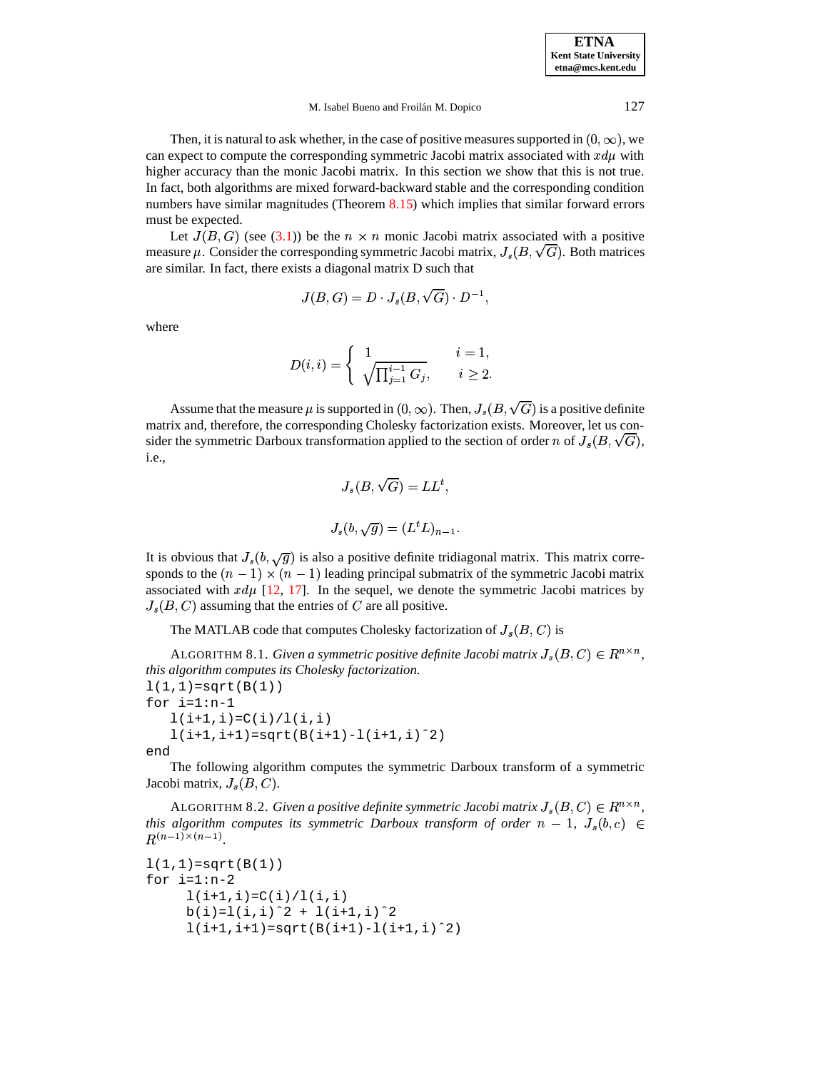**ETNA Kent State University etna@mcs.kent.edu**

#### M. Isabel Bueno and Froilán M. Dopico 127

Then, it is natural to ask whether, in the case of positive measures supported in  $(0, \infty)$ , we can expect to compute the corresponding symmetric Jacobi matrix associated with  $xd\mu$  with higher accuracy than the monic Jacobi matrix. In this section we show that this is not true. In fact, both algorithms are mixed forward-backward stable and the corresponding condition numbers have similar magnitudes (Theorem [8.15\)](#page-32-0) which implies that similar forward errors must be expected.

Let  $J(B, G)$  (see [\(3.1\)](#page-5-2)) be the  $n \times n$  monic Jacobi matrix associated with a positive measure  $\mu$ . Consider the corresponding symmetric Jacobi matrix,  $J_s(B,\sqrt{G})$ . Both matrices are similar. In fact, there exists a diagonal matrix D such that

$$
J(B,G)=D\cdot J_s(B,\sqrt{G})\cdot D^{-1},
$$

where

$$
D(i,i) = \begin{cases} 1 & i = 1, \\ \sqrt[n]{\prod_{j=1}^{i-1} G_j}, & i \ge 2. \end{cases}
$$

Assume that the measure  $\mu$  is supported in  $(0,\infty).$  Then,  $J_s(B,\sqrt{G})$  is a positive definite matrix and, therefore, the corresponding Cholesky factorization exists. Moreover, let us consider the symmetric Darboux transformation applied to the section of order  $n$  of  $J_s(B,\sqrt{G}),$ i.e.,

$$
J_s(B, \sqrt{G}) = LL^t,
$$
  

$$
J_s(b, \sqrt{g}) = (L^t L)_{n-1}.
$$

It is obvious that  $J_s(b, \sqrt{g})$  is also a positive definite tridiagonal matrix. This matrix corresponds to the  $(n-1) \times (n-1)$  leading principal submatrix of the symmetric Jacobi matrix associated with  $xd\mu$  [\[12,](#page-35-6) [17\]](#page-35-3). In the sequel, we denote the symmetric Jacobi matrices by  $J_s(B, C)$  assuming that the entries of C are all positive.

```
The MATLAB code that computes Cholesky factorization of J_s(B, C) is
```
<span id="page-26-1"></span>ALGORITHM 8.1. *Given a symmetric positive definite Jacobi matrix*  $J_s(B,C) \in R^{n \times n}$ , *this algorithm computes its Cholesky factorization.*  $1(1,1)=sqrt(B(1))$ for i=1:n-1  $1(i+1,i)=C(i)/1(i,i)$  $l(i+1,i+1)=sqrt(R(i+1)-l(i+1,i)^2)$ end

The following algorithm computes the symmetric Darboux transform of a symmetric Jacobi matrix,  $J_s(B, C)$ .

<span id="page-26-0"></span>ALGORITHM 8.2. *Given a positive definite symmetric Jacobi matrix*  $J_s(B,C) \in R^{n \times n}$ , *this* algorithm computes its symmetric Darboux transform of order  $n-1$ ,  $J_s(b,c) \in$  $(n-1)\times(n-1)$ .

```
1(1,1)=sqrt(B(1))for i=1:n-2l(i+1,i)=C(i)/l(i,i)b(i)=l(i,i)^2 + l(i+1,i)^2l(i+1,i+1)=sqrt(B(i+1)-l(i+1,i)^2)
```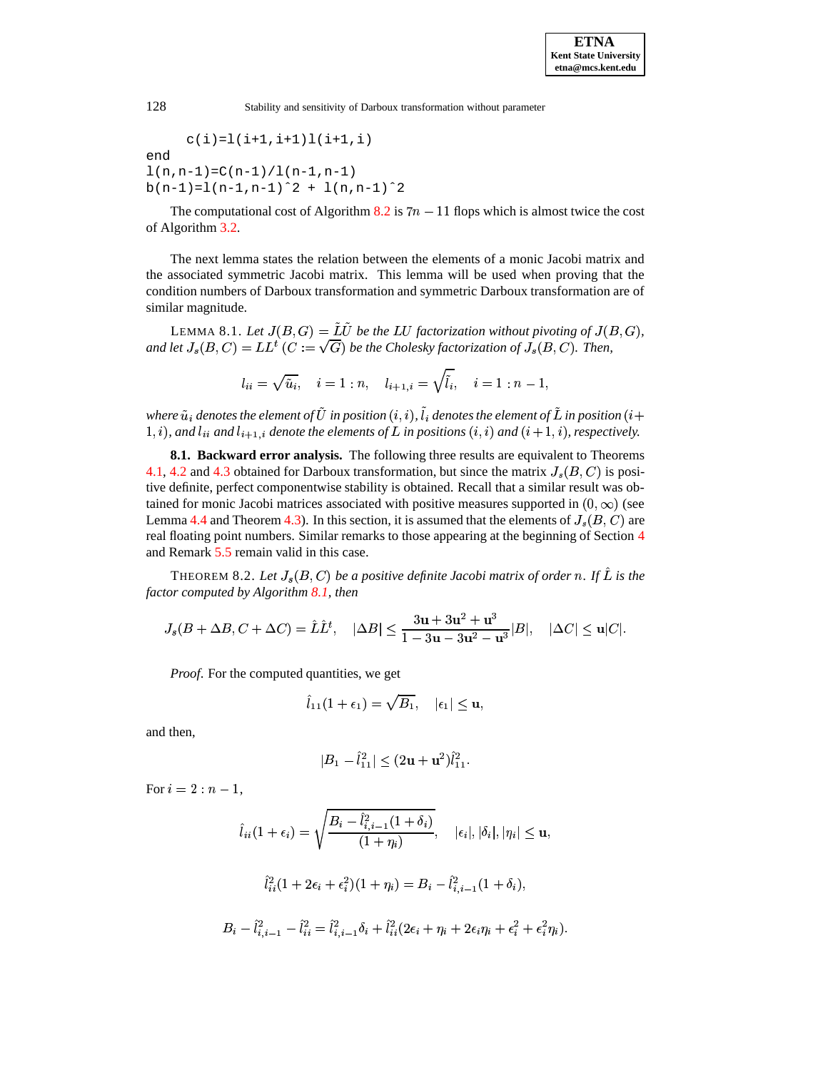$$
c(i) = 1(i+1, i+1)1(i+1, i)
$$

end  $l(n,n-1)=C(n-1)/l(n-1,n-1)$  $b(n-1)=1(n-1,n-1)^2 + 1(n,n-1)^2$ 

The computational cost of Algorithm [8.2](#page-26-0) is  $7n - 11$  flops which is almost twice the cost of Algorithm [3.2.](#page-6-1)

The next lemma states the relation between the elements of a monic Jacobi matrix and the associated symmetric Jacobi matrix. This lemma will be used when proving that the condition numbers of Darboux transformation and symmetric Darboux transformation are of similar magnitude.

<span id="page-27-1"></span>LEMMA 8.1. Let  $J(B, G) = LU$  be the LU factorization without pivoting of  $J(B, G)$ , and let  $J_s(B,C) = LL^t(C := \sqrt{G})$  be the Cho  $\mathcal{F}^t$   $(C:=\sqrt{G})$  be the Cholesky factorization of  $J_s(B,C).$  Then,

$$
l_{ii}=\sqrt{\tilde u_i},\quad i=1:n,\quad l_{i+1,i}=\sqrt{\tilde l_i},\quad i=1:n-1,
$$

*where*  $_i$  denotes the element of  $U$  in position  $(i,i)$ ,  $l_i$  denotes the element of  $L$  in position  $(i+1)$  $(1, i)$ , and  $l_{ii}$  and  $l_{i+1,i}$  denote the elements of  $L$  in positions  $(i, i)$  and  $(i + 1, i)$ , respectively.

**8.1. Backward error analysis.** The following three results are equivalent to Theorems [4.1,](#page-10-0) [4.2](#page-10-1) and [4.3](#page-11-0) obtained for Darboux transformation, but since the matrix  $J_s(B, C)$  is positive definite, perfect componentwise stability is obtained. Recall that a similar result was obtained for monic Jacobi matrices associated with positive measures supported in  $(0, \infty)$  (see Lemma [4.4](#page-11-1) and Theorem [4.3\)](#page-11-0). In this section, it is assumed that the elements of  $J_s(B, C)$  are real floating point numbers. Similar remarks to those appearing at the beginning of Section [4](#page-9-0) and Remark [5.5](#page-18-0) remain valid in this case.

<span id="page-27-0"></span>THEOREM 8.2. Let  $J_s(B,C)$  be a positive definite Jacobi matrix of order n. If  $\hat{L}$  is the %-*factor computed by Algorithm [8.1,](#page-26-1) then*

$$
J_s(B+\Delta B,C+\Delta C)=\hat{L}\hat{L}^t,\quad |\Delta B|\leq \frac{3\mathbf{u}+3\mathbf{u}^2+\mathbf{u}^3}{1-3\mathbf{u}-3\mathbf{u}^2-\mathbf{u}^3}|B|,\quad |\Delta C|\leq \mathbf{u}|C|.
$$

*Proof.* For the computed quantities, we get

$$
\hat{l}_{11}(1+\epsilon_1)=\sqrt{B_1}, \quad |\epsilon_1|\leq \mathbf{u},
$$

and then,

$$
|B_1 - \hat{l}_{11}^2| \le (2\mathbf{u} + \mathbf{u}^2)\hat{l}_{11}^2.
$$

For  $i = 2 : n - 1$ ,

$$
\hat{l}_{ii}(1+\epsilon_{i}) = \sqrt{\frac{B_{i} - \hat{l}_{i,i-1}^{2}(1+\delta_{i})}{(1+\eta_{i})}}, \quad |\epsilon_{i}|, |\delta_{i}|, |\eta_{i}| \leq \mathbf{u},
$$

$$
\hat{l}_{ii}^{2}(1+2\epsilon_{i}+\epsilon_{i}^{2})(1+\eta_{i}) = B_{i} - \hat{l}_{i,i-1}^{2}(1+\delta_{i}),
$$

$$
B_{i} - \hat{l}_{i,i-1}^{2} - \hat{l}_{ii}^{2} = \hat{l}_{i,i-1}^{2}\delta_{i} + \hat{l}_{ii}^{2}(2\epsilon_{i}+\eta_{i}+2\epsilon_{i}\eta_{i}+\epsilon_{i}^{2}+\epsilon_{i}^{2}\eta_{i}).
$$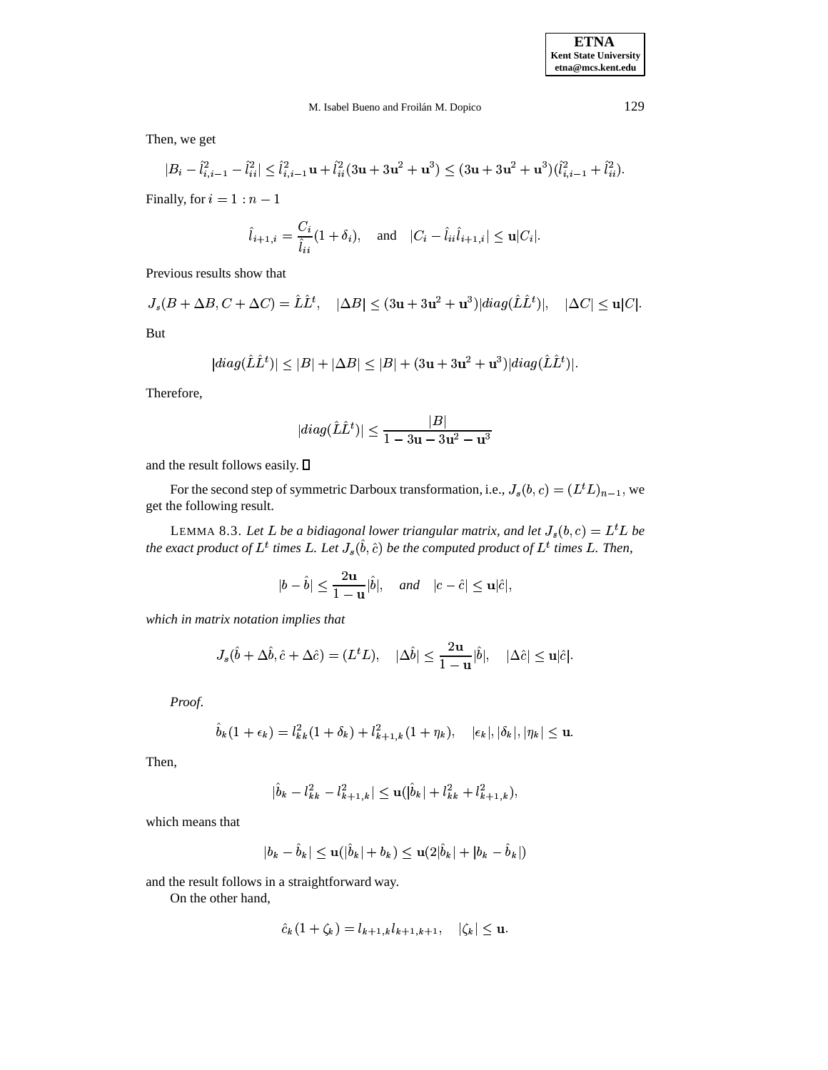Then, we get

$$
|B_i - \hat{l}_{i,i-1}^2 - \hat{l}_{ii}^2| \leq \hat{l}_{i,i-1}^2 \mathbf{u} + \hat{l}_{ii}^2 (3\mathbf{u} + 3\mathbf{u}^2 + \mathbf{u}^3) \leq (3\mathbf{u} + 3\mathbf{u}^2 + \mathbf{u}^3)(\hat{l}_{i,i-1}^2 + \hat{l}_{ii}^2).
$$

Finally, for  $i = 1 : n - 1$ 

$$
\hat{l}_{i+1,i} = \frac{C_i}{\hat{l}_{ii}} (1 + \delta_i), \quad \text{and} \quad |C_i - \hat{l}_{ii}\hat{l}_{i+1,i}| \le \mathbf{u}|C_i|.
$$

Previous results show that

$$
J_s(B+\Delta B,C+\Delta C)=\hat{L}\hat{L}^t, \quad |\Delta B|\leq (3\mathbf{u}+3\mathbf{u}^2+\mathbf{u}^3)|diag(\hat{L}\hat{L}^t)|, \quad |\Delta C|\leq \mathbf{u}|C|.
$$

But

$$
|diag(\hat{L}\hat{L}^t)|\leq |B|+|\Delta B|\leq |B|+(3\mathbf{u}+3\mathbf{u}^2+\mathbf{u}^3)|diag(\hat{L}\hat{L}^t)|.
$$

Therefore,

$$
|diag(\hat{L}\hat{L}^t)|\leq \frac{|B|}{1-3\mathbf{u}-3\mathbf{u}^2-\mathbf{u}^3}
$$

and the result follows easily.  $\square$ 

For the second step of symmetric Darboux transformation, i.e.,  $J_s(b,c) = (L^t L)_{n-1}$ , we  $\blacksquare$  $L)_{n-1}$ , we get the following result.

<span id="page-28-0"></span>LEMMA 8.3. Let L be a bidiagonal lower triangular matrix, and let  $J_s(b,c) = L^tL$  be *be* the exact product of  $L^t$  times  $L$ . Let  $J_s(\hat{b}, \hat{c})$  be the computed product of  $L^t$  times  $L$ . Then,

$$
|b-\hat{b}|\leq \frac{2\mathbf{u}}{1-\mathbf{u}}|\hat{b}|, \quad and \quad |c-\hat{c}|\leq \mathbf{u}|\hat{c}|,
$$

*which in matrix notation implies that*

$$
J_s(\hat{b}+\Delta\hat{b},\hat{c}+\Delta\hat{c})=(L^tL),\quad |\Delta\hat{b}|\leq \frac{2\mathbf{u}}{1-\mathbf{u}}|\hat{b}|,\quad |\Delta\hat{c}|\leq \mathbf{u}|\hat{c}|.
$$

*Proof*.

$$
\hat{b}_k(1+\epsilon_k)=l_{kk}^2(1+\delta_k)+l_{k+1,k}^2(1+\eta_k),\quad |\epsilon_k|,|\delta_k|,|\eta_k|\leq \mathbf{u}.
$$

Then,

$$
|\hat{b}_k - l_{kk}^2 - l_{k+1,k}^2| \le \mathbf{u}(|\hat{b}_k| + l_{kk}^2 + l_{k+1,k}^2),
$$

which means that

$$
|b_k - \hat{b}_k| \le \mathbf{u}(|\hat{b}_k| + b_k) \le \mathbf{u}(2|\hat{b}_k| + |b_k - \hat{b}_k|)
$$

and the result follows in a straightforward way.

On the other hand,

$$
\hat{c}_k(1+\zeta_k) = l_{k+1,k} l_{k+1,k+1}, \quad |\zeta_k| \leq \mathbf{u}.
$$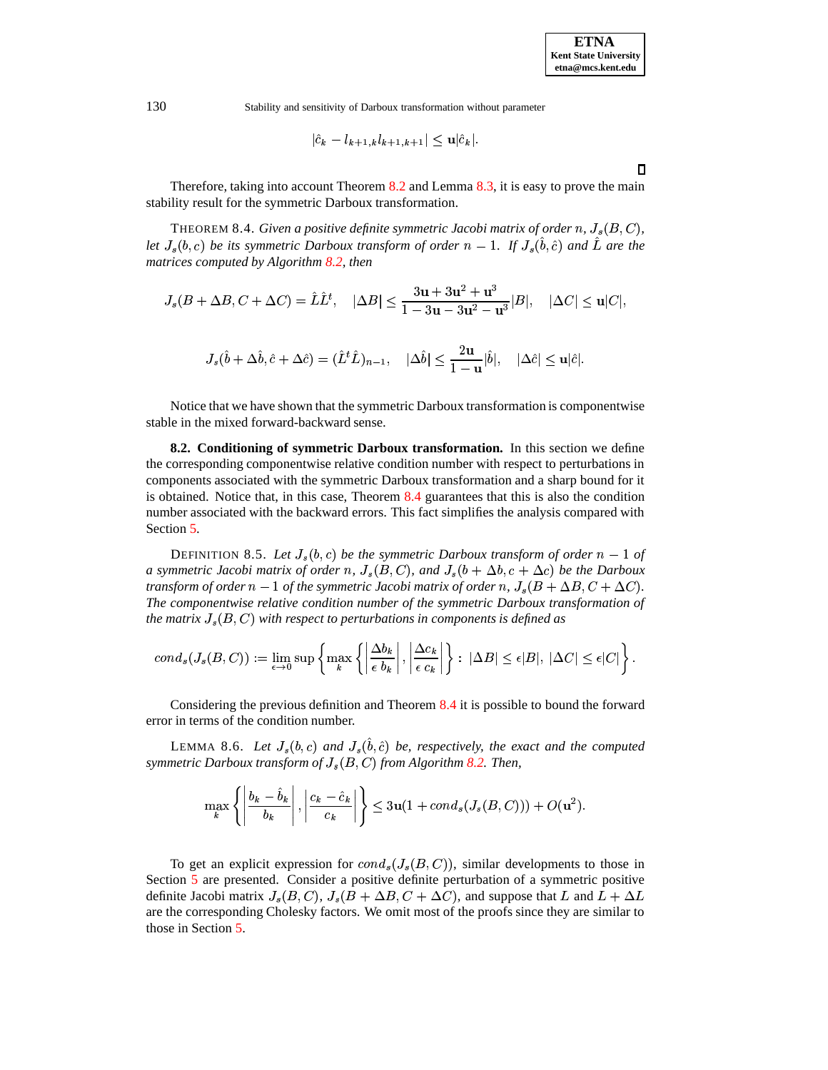$$
|\hat{c}_k-l_{k+1,k}l_{k+1,k+1}|\leq \mathbf{u}|\hat{c}_k|.
$$

Therefore, taking into account Theorem [8.2](#page-27-0) and Lemma [8.3,](#page-28-0) it is easy to prove the main stability result for the symmetric Darboux transformation.

<span id="page-29-0"></span>THEOREM 8.4. *Given a positive definite symmetric Jacobi matrix of order*  $n$ *,*  $J_s(B,C)$ *,* let  $J_s(b,c)$  be its symmetric Darboux transform of order  $n-1$ . If  $J_s(\hat{b},\hat{c})$  and  $\hat{L}$  are the *matrices computed by Algorithm [8.2,](#page-26-0) then*

$$
J_s(B+\Delta B, C+\Delta C)=\hat{L}\hat{L}^t, \quad |\Delta B|\leq \frac{3\mathbf{u}+3\mathbf{u}^2+\mathbf{u}^3}{1-3\mathbf{u}-3\mathbf{u}^2-\mathbf{u}^3}|B|, \quad |\Delta C|\leq \mathbf{u}|C|,
$$

$$
J_s(\hat{b}+\Delta\hat{b},\hat{c}+\Delta\hat{c})=(\hat{L}^t\hat{L})_{n-1},\quad |\Delta\hat{b}|\leq \frac{2\mathbf{u}}{1-\mathbf{u}}|\hat{b}|,\quad |\Delta\hat{c}|\leq \mathbf{u}|\hat{c}|.
$$

Notice that we have shown that the symmetric Darboux transformation is componentwise stable in the mixed forward-backward sense.

**8.2. Conditioning of symmetric Darboux transformation.** In this section we define the corresponding componentwise relative condition number with respect to perturbations in components associated with the symmetric Darboux transformation and a sharp bound for it is obtained. Notice that, in this case, Theorem [8.4](#page-29-0) guarantees that this is also the condition number associated with the backward errors. This fact simplifies the analysis compared with Section [5.](#page-12-0)

<span id="page-29-1"></span>DEFINITION 8.5. Let  $J_s(b, c)$  be the symmetric Darboux transform of order  $n - 1$  of *a* symmetric Jacobi matrix of order  $n$ ,  $J_s(B,C)$ , and  $J_s(b+\Delta b, c+\Delta c)$  be the Darboux  $t$ ransform of order  $n-1$  of the symmetric Jacobi matrix of order  $n$ ,  $J_s(B+\Delta B,C+\Delta C)$ . %-*The componentwise relative condition number of the symmetric Darboux transformation of*  $t$ he matrix  $J_s(B,C)$  with respect to perturbations in components is defined as

$$
cond_s(J_s(B,C)) := \lim_{\epsilon \to 0} \sup \left\{ \max_k \left\{ \left| \frac{\Delta b_k}{\epsilon \ b_k} \right|, \left| \frac{\Delta c_k}{\epsilon \ c_k} \right| \right\} : \ |\Delta B| \leq \epsilon |B|, \ |\Delta C| \leq \epsilon |C| \right\}.
$$

Considering the previous definition and Theorem [8.4](#page-29-0) it is possible to bound the forward error in terms of the condition number.

<span id="page-29-2"></span>LEMMA 8.6. Let  $J_s(b, c)$  and  $J_s(\hat{b}, \hat{c})$  be, respectively, the exact and the computed *symmetric Darboux transform of* T J % *fromAlgorithm [8.2.](#page-26-0) Then,*

$$
\max_{k} \left\{ \left| \frac{b_k - \hat{b}_k}{b_k} \right|, \left| \frac{c_k - \hat{c}_k}{c_k} \right| \right\} \leq 3 \mathbf{u} (1 + cond_s(J_s(B, C))) + O(\mathbf{u}^2).
$$

To get an explicit expression for  $cond_s(J_s(B, C))$ , similar developments to those in Section [5](#page-12-0) are presented. Consider a positive definite perturbation of a symmetric positive definite Jacobi matrix  $J_s(B, C)$ ,  $J_s(B + \Delta B, C + \Delta C)$ , and suppose that L and  $L + \Delta L$ are the corresponding Cholesky factors. We omit most of the proofs since they are similar to those in Section [5.](#page-12-0)

 $\Box$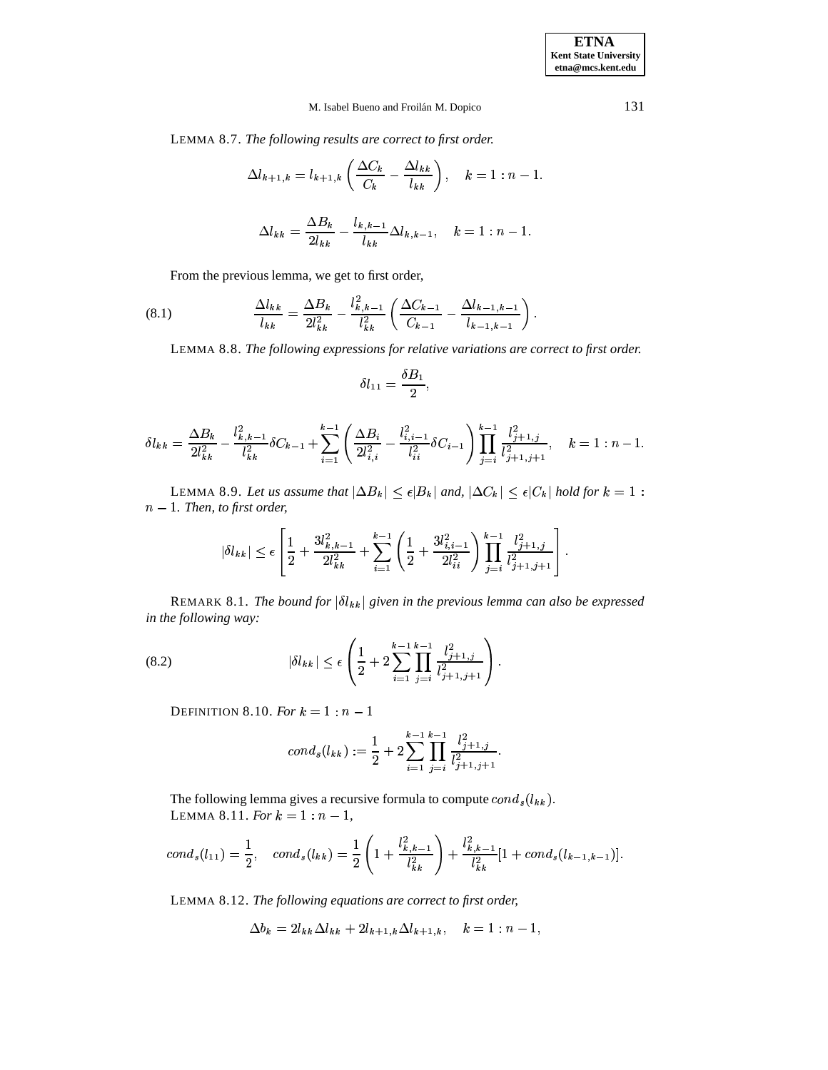LEMMA 8.7. *The following results are correct to first order.*

$$
\Delta l_{k+1,k} = l_{k+1,k} \left( \frac{\Delta C_k}{C_k} - \frac{\Delta l_{kk}}{l_{kk}} \right), \quad k = 1 : n - 1.
$$
  

$$
\Delta l_{kk} = \frac{\Delta B_k}{2l_{kk}} - \frac{l_{k,k-1}}{l_{kk}} \Delta l_{k,k-1}, \quad k = 1 : n - 1.
$$

From the previous lemma, we get to first order,

(8.1) 
$$
\frac{\Delta l_{kk}}{l_{kk}} = \frac{\Delta B_k}{2l_{kk}^2} - \frac{l_{k,k-1}^2}{l_{kk}^2} \left( \frac{\Delta C_{k-1}}{C_{k-1}} - \frac{\Delta l_{k-1,k-1}}{l_{k-1,k-1}} \right).
$$

LEMMA 8.8. *The following expressions for relative variations are correct to first order.*

$$
\delta l_{11}=\frac{\delta B_1}{2},
$$

$$
\delta l_{kk} = \frac{\Delta B_k}{2l_{kk}^2} - \frac{l_{k,k-1}^2}{l_{kk}^2} \delta C_{k-1} + \sum_{i=1}^{k-1} \left( \frac{\Delta B_i}{2l_{i,i}^2} - \frac{l_{i,i-1}^2}{l_{ii}^2} \delta C_{i-1} \right) \prod_{j=i}^{k-1} \frac{l_{j+1,j}^2}{l_{j+1,j+1}^2}, \quad k = 1 : n-1.
$$

LEMMA 8.9. Let us assume that  $|\Delta B_k| \leq \epsilon |B_k|$  and,  $|\Delta C_k| \leq \epsilon |C_k|$  hold for  $k = 1$  :  $n - 1$ *. Then, to first order,* 

$$
|\delta l_{kk}|\leq \epsilon\left[\frac{1}{2}+\frac{3l_{k,k-1}^2}{2l_{kk}^2}+\sum_{i=1}^{k-1}\left(\frac{1}{2}+\frac{3l_{i,i-1}^2}{2l_{ii}^2}\right)\prod_{j=i}^{k-1}\frac{l_{j+1,j}^2}{l_{j+1,j+1}^2}\right].
$$

<span id="page-30-0"></span>REMARK 8.1. *The bound for*  $|\delta l_{kk}|$  given in the previous lemma can also be expressed *in the following way:*

(8.2) 
$$
|\delta l_{kk}| \leq \epsilon \left( \frac{1}{2} + 2 \sum_{i=1}^{k-1} \prod_{j=i}^{k-1} \frac{l_{j+1,j}^2}{l_{j+1,j+1}^2} \right).
$$

Definition 8.10. *For*  $k = 1:n-1$ 

<span id="page-30-1"></span>
$$
cond_s(l_{kk}) := \frac{1}{2} + 2 \sum_{i=1}^{k-1} \prod_{j=i}^{k-1} \frac{l_{j+1,j}^2}{l_{j+1,j+1}^2}.
$$

The following lemma gives a recursive formula to compute  $cond_s(l_{kk})$ . LEMMA 8.11. *For*  $k = 1 : n - 1$ ,

$$
cond_s(l_{11}) = \frac{1}{2}, cond_s(l_{kk}) = \frac{1}{2} \left( 1 + \frac{l_{k,k-1}^2}{l_{kk}^2} \right) + \frac{l_{k,k-1}^2}{l_{kk}^2} [1 + cond_s(l_{k-1,k-1})].
$$

LEMMA 8.12. *The following equations are correct to first order,*

$$
\Delta b_k = 2l_{kk}\Delta l_{kk} + 2l_{k+1,k}\Delta l_{k+1,k}, \quad k=1:n-1,
$$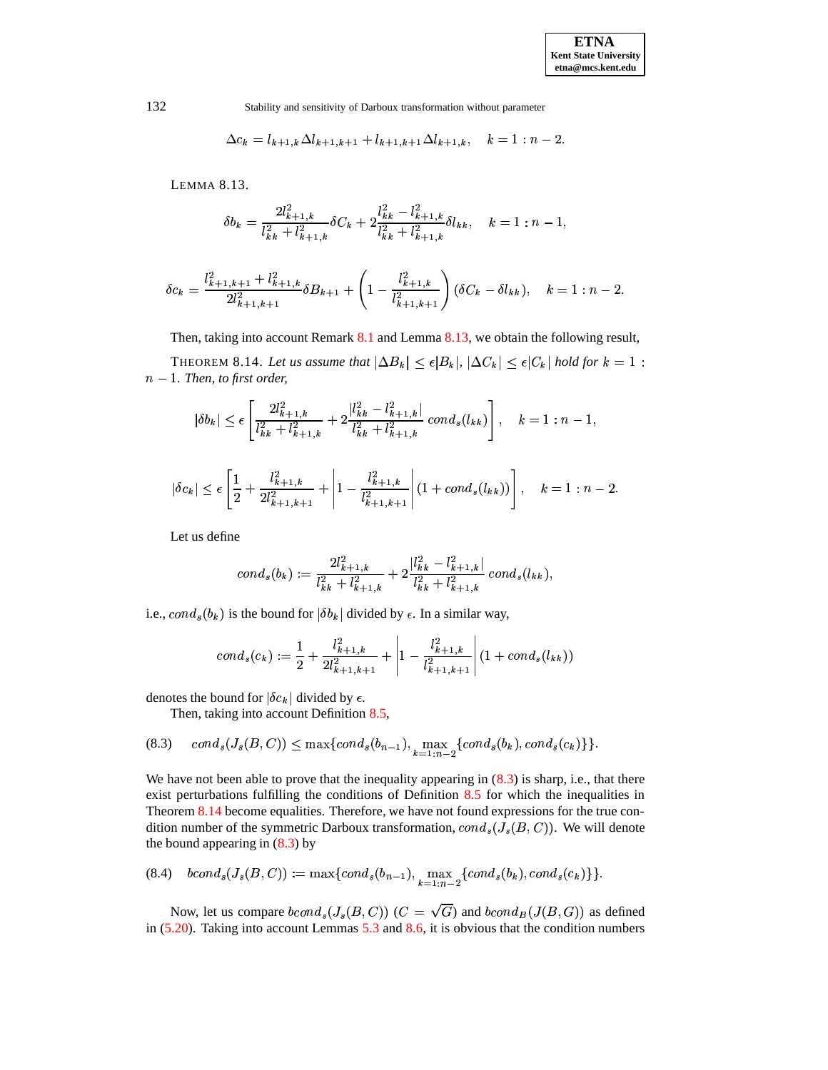$$
\Delta c_k = l_{k+1,k} \Delta l_{k+1,k+1} + l_{k+1,k+1} \Delta l_{k+1,k}, \quad k = 1 : n-2.
$$

LEMMA 8.13.

$$
\delta b_k = \frac{2l_{k+1,k}^2}{l_{kk}^2 + l_{k+1,k}^2} \delta C_k + 2 \frac{l_{kk}^2 - l_{k+1,k}^2}{l_{kk}^2 + l_{k+1,k}^2} \delta l_{kk}, \quad k = 1 : n-1,
$$

$$
\delta c_k = \frac{l_{k+1,k+1}^2 + l_{k+1,k}^2}{2l_{k+1,k+1}^2} \delta B_{k+1} + \left(1 - \frac{l_{k+1,k}^2}{l_{k+1,k+1}^2}\right) (\delta C_k - \delta l_{kk}), \quad k = 1 : n-2.
$$

Then, taking into account Remark [8.1](#page-30-0) and Lemma [8.13,](#page-31-0) we obtain the following result,

<span id="page-31-2"></span>THEOREM 8.14. Let us assume that  $|\Delta B_k| \leq \epsilon |B_k|, |\Delta C_k| \leq \epsilon |C_k|$  hold for  $k = 1$ :  $n - 1$ *. Then, to first order,* 

$$
|\delta b_k| \le \epsilon \left[ \frac{2l_{k+1,k}^2}{l_{kk}^2 + l_{k+1,k}^2} + 2 \frac{|l_{kk}^2 - l_{k+1,k}^2|}{l_{kk}^2 + l_{k+1,k}^2} \operatorname{cond}_s(l_{kk}) \right], \quad k = 1 : n - 1,
$$

$$
|\delta c_k| \leq \epsilon \left[ \frac{1}{2} + \frac{l_{k+1,k}^2}{2l_{k+1,k+1}^2} + \left| 1 - \frac{l_{k+1,k}^2}{l_{k+1,k+1}^2} \right| (1 + cond_s(l_{kk})) \right], \quad k = 1 : n-2.
$$

Let us define

$$
cond_s(b_k) := \frac{2l_{k+1,k}^2}{l_{kk}^2 + l_{k+1,k}^2} + 2\frac{|l_{kk}^2 - l_{k+1,k}^2|}{l_{kk}^2 + l_{k+1,k}^2} cond_s(l_{kk}),
$$

i.e.,  $cond_s(b_k)$  is the bound for  $|\delta b_k|$  divided by  $\epsilon$ . In a similar way,

$$
cond_s(c_k) := \frac{1}{2} + \frac{l_{k+1,k}^2}{2l_{k+1,k+1}^2} + \left| 1 - \frac{l_{k+1,k}^2}{l_{k+1,k+1}^2} \right| (1 + cond_s(l_{kk}))
$$

denotes the bound for  $|\delta c_k|$  divided by  $\epsilon$ .

Then, taking into account Definition [8.5,](#page-29-1)

<span id="page-31-1"></span>
$$
(8.3) \quad cond_s(J_s(B,C)) \leq \max\{cond_s(b_{n-1}), \max_{k=1:n-2} \{cond_s(b_k), cond_s(c_k)\}\}.
$$

We have not been able to prove that the inequality appearing in  $(8.3)$  is sharp, i.e., that there exist perturbations fulfilling the conditions of Definition [8.5](#page-29-1) for which the inequalities in Theorem [8.14](#page-31-2) become equalities. Therefore, we have not found expressions for the true condition number of the symmetric Darboux transformation,  $cond_s(J_s(B,C))$ . We will denote the bound appearing in [\(8.3\)](#page-31-1) by

$$
(8.4) \quad bcond_s(J_s(B,C)) := \max\{cond_s(b_{n-1}), \max_{k=1:n-2}\{cond_s(b_k), cond_s(c_k)\}\}.
$$

Now, let us compare  $bcond_s(J_s(B,C))$  ( $C = \sqrt{G}$ ) and  $bcond_B(J(B,G))$  as defined in [\(5.20\)](#page-17-3). Taking into account Lemmas [5.3](#page-12-3) and [8.6,](#page-29-2) it is obvious that the condition numbers

<span id="page-31-0"></span>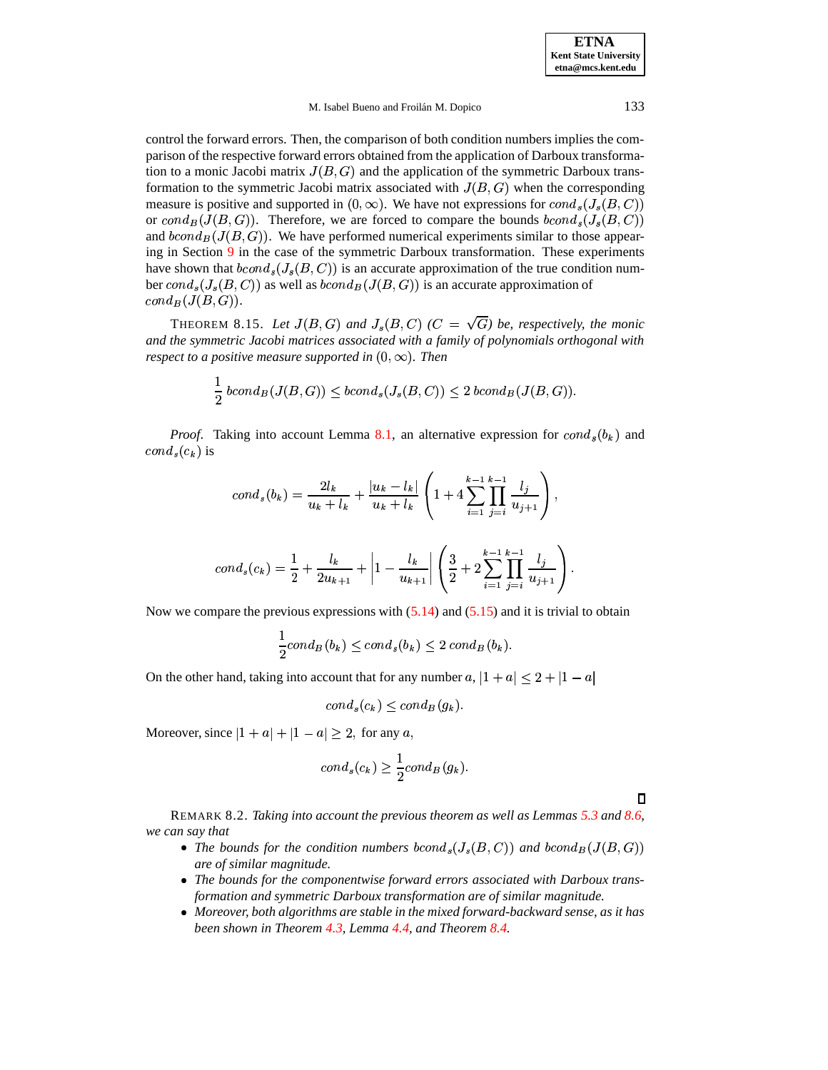$\mathcal{L}$  and the state of the state of the state of the state of the state of the state of the state of the state of the state of the state of the state of the state of the state of the state of the state of the state of

#### M. Isabel Bueno and Froilán M. Dopico 133

control the forward errors. Then, the comparison of both condition numbers implies the comparison of the respective forward errors obtained from the application of Darboux transformation to a monic Jacobi matrix  $J(B, G)$  and the application of the symmetric Darboux transformation to the symmetric Jacobi matrix associated with  $J(B, G)$  when the corresponding measure is positive and supported in  $(0, \infty)$ . We have not expressions for  $cond_s(J_s(B, C))$ or  $cond_B(J(B, G))$ . Therefore, we are forced to compare the bounds  $bcond_s(J_s(B, C))$ and  $bcond_B(J(B, G))$ . We have performed numerical experiments similar to those appearing in Section [9](#page-33-0) in the case of the symmetric Darboux transformation. These experiments have shown that  $bcond_s(J_s(B, C))$  is an accurate approximation of the true condition number  $cond_s(J_s(B, C))$  as well as  $bcond_B(J(B, G))$  is an accurate approximation of  $cond_B(J(B,G)).$ 

<span id="page-32-0"></span>**THEOREM 8.15.** Let  $J(B, G)$  and  $J_s(B, C)$  ( $C = \sqrt{G}$ ) be, respectively, the monic *and the symmetric Jacobi matrices associated with a family of polynomials orthogonal with respect to a positive measure supported in*  $(0, \infty)$ *. Then* 

$$
\frac{1}{2} \text{ bcond}_B(J(B, G)) \le \text{bcond}_s(J_s(B, C)) \le 2 \text{ bcond}_B(J(B, G)).
$$

*Proof.* Taking into account Lemma [8.1,](#page-27-1) an alternative expression for  $cond_s(b_k)$  and  $cond_s(c_k)$  is

$$
cond_s(b_k) = \frac{2l_k}{u_k + l_k} + \frac{|u_k - l_k|}{u_k + l_k} \left( 1 + 4 \sum_{i=1}^{k-1} \prod_{j=i}^{k-1} \frac{l_j}{u_{j+1}} \right),
$$

$$
cond_s(c_k) = \frac{1}{2} + \frac{l_k}{2u_{k+1}} + \left| 1 - \frac{l_k}{u_{k+1}} \right| \left( \frac{3}{2} + 2 \sum_{i=1}^{k-1} \prod_{j=i}^{k-1} \frac{l_j}{u_{j+1}} \right).
$$

Now we compare the previous expressions with  $(5.14)$  and  $(5.15)$  and it is trivial to obtain

$$
\frac{1}{2}cond_B(b_k) \leq cond_s(b_k) \leq 2 cond_B(b_k).
$$

On the other hand, taking into account that for any number  $a, |1 + a| \leq 2 + |1 - a|$ 

$$
cond_s(c_k) \leq cond_B(g_k).
$$

Moreover, since  $|1 + a| + |1 - a| \geq 2$ , for any a,

$$
cond_s(c_k) \geq \frac{1}{2} cond_B(g_k).
$$

 $\Box$ 

REMARK 8.2. *Taking into account the previous theorem as well as Lemmas [5.3](#page-12-3) and [8.6,](#page-29-2) we can say that*

- The bounds for the condition numbers  $bcond_s(J_s(B,C))$  and  $bcond_B(J(B,G))$ *are of similar magnitude.*
- *The bounds for the componentwise forward errors associated with Darboux transformation and symmetric Darboux transformation are of similar magnitude.*
- *Moreover, both algorithms are stable in the mixed forward-backward sense, as it has been shown in Theorem [4.3,](#page-11-0) Lemma [4.4,](#page-11-1) and Theorem [8.4.](#page-29-0)*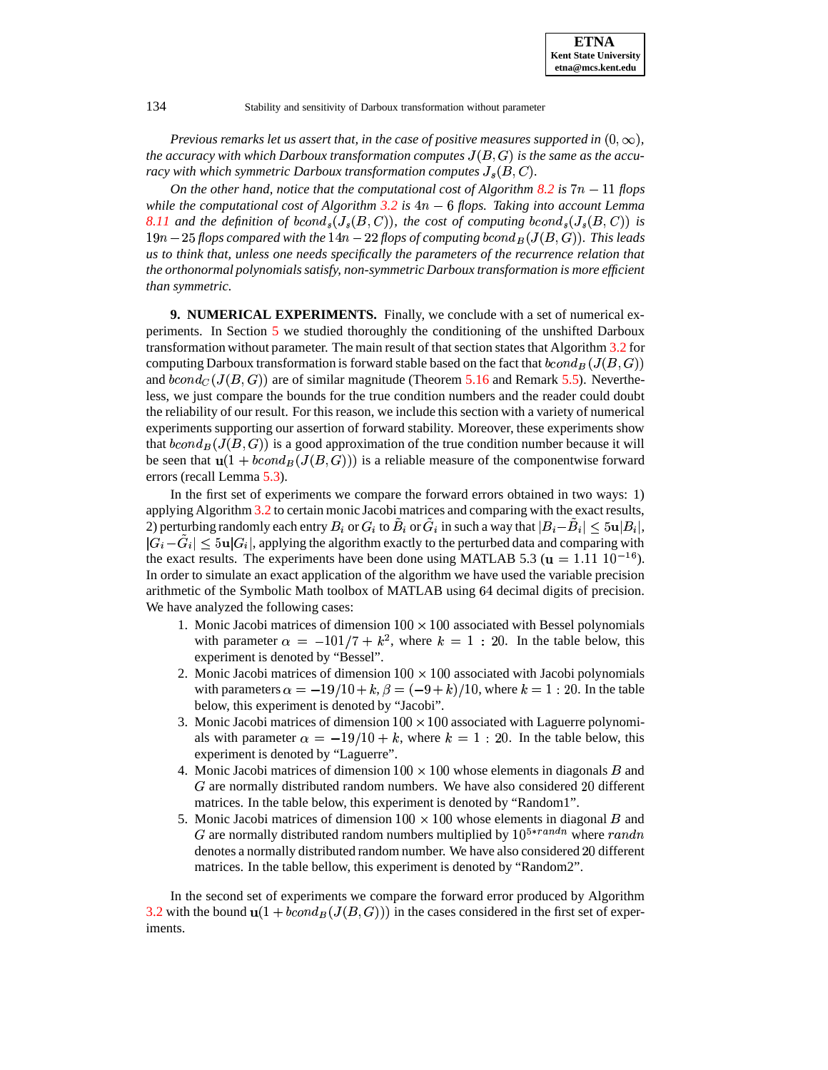*Previous remarks let us assert that, in the case of positive measures supported in*  $(0,\infty)$ *,*  $t$ he  $\emph{accuracy with which Darboux transformation computes $J(B,G)$ is the same as the accuracy of the following equations.$ *racy with which symmetric Darboux transformation computes*  $J_s(B,C)$ *.* 

*On* the other hand, notice that the computational cost of Algorithm [8.2](#page-26-0) is  $7n - 11$  flops *while the computational cost of Algorithm [3.2](#page-6-1) is* -' *flops. Taking into account Lemma* [8.11](#page-30-1) and the definition of  $bcond_s(J_s(B,C))$ , the cost of computing  $bcond_s(J_s(B,C))$  is  $19n - 25$  flops compared with the  $14n - 22$  flops of computing  $bcond_B(J(B, G))$ . This leads *us to think that, unless one needs specifically the parameters of the recurrence relation that the orthonormal polynomialssatisfy, non-symmetric Darboux transformation is more efficient than symmetric.*

<span id="page-33-0"></span>**9. NUMERICAL EXPERIMENTS.** Finally, we conclude with a set of numerical experiments. In Section [5](#page-12-0) we studied thoroughly the conditioning of the unshifted Darboux transformation without parameter. The main result of that section states that Algorithm [3.2](#page-6-1) for computing Darboux transformation is forward stable based on the fact that  $bcond_B(J(B,G))$ and  $bcond_C(J(B, G))$  are of similar magnitude (Theorem [5.16](#page-18-3) and Remark [5.5\)](#page-18-0). Nevertheless, we just compare the bounds for the true condition numbers and the reader could doubt the reliability of our result. For this reason, we include this section with a variety of numerical experiments supporting our assertion of forward stability. Moreover, these experiments show that  $bcond_B(J(B, G))$  is a good approximation of the true condition number because it will be seen that  $\mathbf{u}(1 + bcond_B(J(B, G)))$  is a reliable measure of the componentwise forward errors (recall Lemma [5.3\)](#page-12-3).

In the first set of experiments we compare the forward errors obtained in two ways: 1) applying Algorithm [3.2](#page-6-1) to certain monic Jacobi matrices and comparing with the exact results, 2) perturbing randomly each entry  $B_i$  or  $G_i$  to  $\tilde{B}_i$  or  $\tilde{G}_i$  in such a way that  $|B_i\tilde{B}_i|\leq 5$ u $|B_i|,$  $|G_i-G_i| \leq 5u|G_i|$ , applying the algorithm exactly to the perturbed data and comparing with the exact results. The experiments have been done using MATLAB 5.3 ( $\mathbf{u} = 1.11 \cdot 10^{-16}$ ). In order to simulate an exact application of the algorithm we have used the variable precision arithmetic of the Symbolic Math toolbox of MATLAB using 64 decimal digits of precision. We have analyzed the following cases:

- 1. Monic Jacobi matrices of dimension  $100 \times 100$  associated with Bessel polynomials with parameter  $\alpha = -101/7 + k^2$ , where  $k = 1 : 20$ . In the table below, this experiment is denoted by "Bessel".
- 2. Monic Jacobi matrices of dimension  $100 \times 100$  associated with Jacobi polynomials with parameters  $\alpha = -19/10 + k$ ,  $\beta = (-9 + k)/10$ , where  $k = 1:20$ . In the table below, this experiment is denoted by "Jacobi".
- 3. Monic Jacobi matrices of dimension  $100 \times 100$  associated with Laguerre polynomials with parameter  $\alpha = -19/10 + k$ , where  $k = 1 : 20$ . In the table below, this experiment is denoted by "Laguerre".
- 4. Monic Jacobi matrices of dimension  $100 \times 100$  whose elements in diagonals B and  $G$  are normally distributed random numbers. We have also considered 20 different matrices. In the table below, this experiment is denoted by "Random1".
- 5. Monic Jacobi matrices of dimension  $100 \times 100$  whose elements in diagonal B and G are normally distributed random numbers multiplied by  $10^{5*randn}$  where  $randn$ denotes a normally distributed random number. We have also considered 20 different matrices. In the table bellow, this experiment is denoted by "Random2".

In the second set of experiments we compare the forward error produced by Algorithm [3.2](#page-6-1) with the bound  $\mathbf{u}(1 + bcond_B(J(B, G)))$  in the cases considered in the first set of experiments.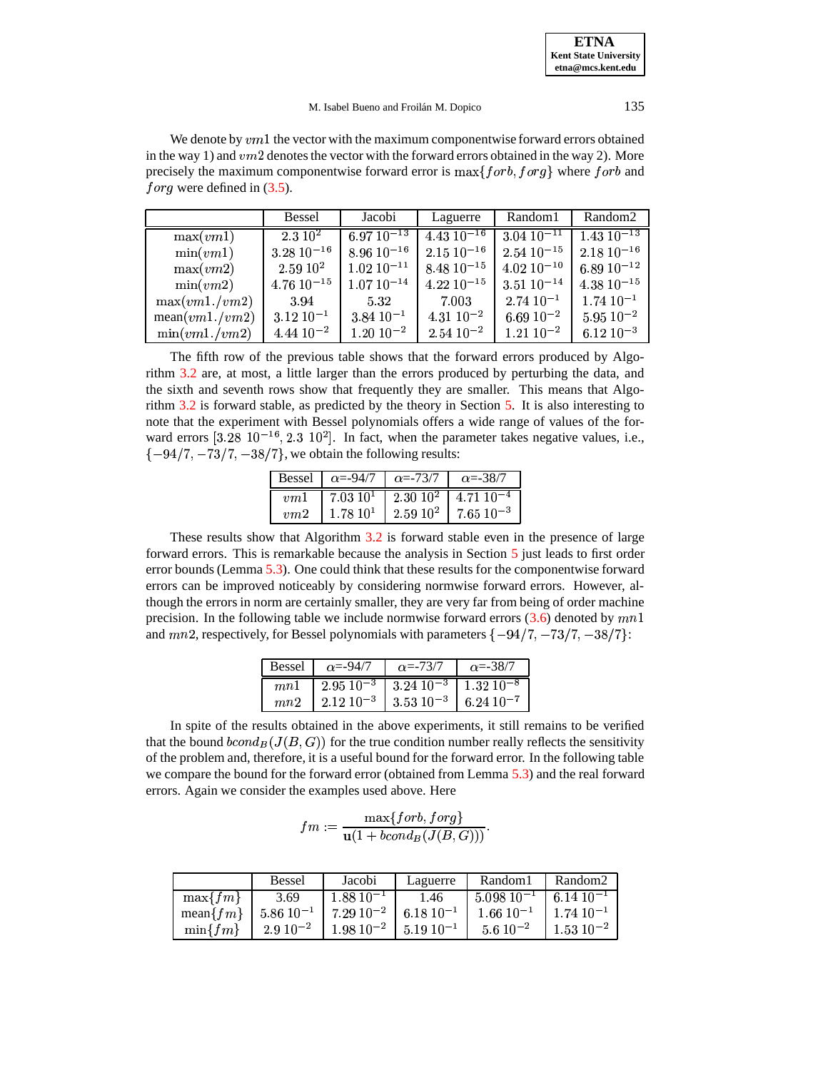**ETNA Kent State University etna@mcs.kent.edu**

#### M. Isabel Bueno and Froilán M. Dopico 135

We denote by  $v m 1$  the vector with the maximum componentwise forward errors obtained in the way 1) and  $vm2$  denotes the vector with the forward errors obtained in the way 2). More precisely the maximum componentwise forward error is  $\max\{forb, forg\}$  where  $forb$  and forg were defined in  $(3.5)$ .

|                | Bessel             | Jacobi                                          | Laguerre                           | Random1                                 | Random2           |
|----------------|--------------------|-------------------------------------------------|------------------------------------|-----------------------------------------|-------------------|
| max(vm1)       | 2.310 <sup>2</sup> |                                                 | $6.97\ 10^{-13}$   4.43 $10^{-16}$ | $3.04 \ 10^{-11}$   1.43 $10^{-13}$     |                   |
| min(vm1)       | $3.28\ 10^{-16}$   | $8.96\ 10^{-16}$   2.15 $10^{-16}$              |                                    | $2.54 \; 10^{-15}$   $2.18 \; 10^{-16}$ |                   |
| max(vm2)       | $2.59\;10^{2}$     | $1.02 \times 10^{-11}$   $8.48 \times 10^{-15}$ |                                    | $4.02 \; 10^{-10}$                      | 6.89 $10^{-12}$   |
| min(vm2)       | $4.76\ 10^{-15}$   | $1.07\ 10^{-14}$                                | $1.22 10^{-15}$                    | $3.51\ 10^{-14}$                        | $4.38\ 10^{-15}$  |
| max(vm1./vm2)  | 3.94               | 5.32                                            | 7.003                              | $2.74\ 10^{-1}$                         | $1.74 \, 10^{-1}$ |
| mean(vm1./vm2) | $3.12\ 10^{-1}$    | $3.84\ 10^{-1}$                                 | $4.31\ 10^{-2}$                    | $6.69\ 10^{-2}$                         | $5.95 \ 10^{-2}$  |
| min(vm1./vm2)  | $4.44\ 10^{-2}$    | $1.20\ 10^{-2}$                                 | $2.54 \; 10^{-2}$                  | $1.21\ 10^{-2}$                         | $6.12\ 10^{-3}$   |

The fifth row of the previous table shows that the forward errors produced by Algorithm [3.2](#page-6-1) are, at most, a little larger than the errors produced by perturbing the data, and the sixth and seventh rows show that frequently they are smaller. This means that Algorithm [3.2](#page-6-1) is forward stable, as predicted by the theory in Section [5.](#page-12-0) It is also interesting to note that the experiment with Bessel polynomials offers a wide range of values of the forward errors  $[3.28 \t10^{-16}, 2.3 \t10^2]$ . In fact, when the parameter takes negative values, i.e.,  $\{-94/7, -73/7, -38/7\}$ , we obtain the following results:

|     | Bessel   $\alpha = -94/7$   $\alpha = -73/7$   $\alpha = -38/7$ |                                                                            |
|-----|-----------------------------------------------------------------|----------------------------------------------------------------------------|
| nm1 |                                                                 | 7.03 $10^1$   2.30 $10^2$   4.71 $10^{-4}$                                 |
| nm2 |                                                                 | $1.78\,10^{1}$ $\begin{array}{ l} 2.59\,10^{2} \end{array}$ 7.65 $10^{-3}$ |

These results show that Algorithm [3.2](#page-6-1) is forward stable even in the presence of large forward errors. This is remarkable because the analysis in Section [5](#page-12-0) just leads to first order error bounds (Lemma [5.3\)](#page-12-3). One could think that these results for the componentwise forward errors can be improved noticeably by considering normwise forward errors. However, although the errors in norm are certainly smaller, they are very far from being of order machine precision. In the following table we include normwise forward errors  $(3.6)$  denoted by  $mn1$ and  $mn2$ , respectively, for Bessel polynomials with parameters  $\{-94/7, -73/7, -38/7\}$ :

| Bessel   $\alpha = -94/7$   $\alpha = -73/7$   $\alpha = -38/7$                                                                                                                   |  |
|-----------------------------------------------------------------------------------------------------------------------------------------------------------------------------------|--|
| $\begin{array}{ c c c c c c } \hline mn1 & 2.95 & 10^{-3} & 3.24 & 10^{-3} & 1.32 & 10^{-8} \ \hline mn2 & 2.12 & 10^{-3} & 3.53 & 10^{-3} & 6.24 & 10^{-7} \ \hline \end{array}$ |  |
|                                                                                                                                                                                   |  |

In spite of the results obtained in the above experiments, it still remains to be verified that the bound  $bcond_B(J(B, G))$  for the true condition number really reflects the sensitivity of the problem and, therefore, it is a useful bound for the forward error. In the following table we compare the bound for the forward error (obtained from Lemma [5.3\)](#page-12-3) and the real forward errors. Again we consider the examples used above. Here

$$
fm:=\frac{\max\{forb,forg\}}{\mathbf u(1+bcond_B(J(B,G)))}.
$$

|               | Bessel         | Jacobi                                                                                                            | Laguerre       | Random <sub>1</sub> | Random2           |
|---------------|----------------|-------------------------------------------------------------------------------------------------------------------|----------------|---------------------|-------------------|
| $\max\{fm\}$  | 3.69           | $1.88\ 10^{-1}$                                                                                                   | 1.46           | $1,5.098$ $10^{-1}$ | $6.1410^{-1}$     |
| mean $\{fm\}$ |                | $\begin{array}{ c c c c c c c c c } \hline 5.86 & 10^{-1} & 7.29 & 10^{-2} & 6.18 & 10^{-1} \ \hline \end{array}$ |                | $1.66\;10^{-1}$     | $1.7410^{-1}$     |
| $\min\{fm\}$  | $2.9\;10^{-2}$ | $1.98\ 10^{-2}$                                                                                                   | $5.19 10^{-1}$ | $5.6 10^{-2}$       | $1.53 \; 10^{-2}$ |